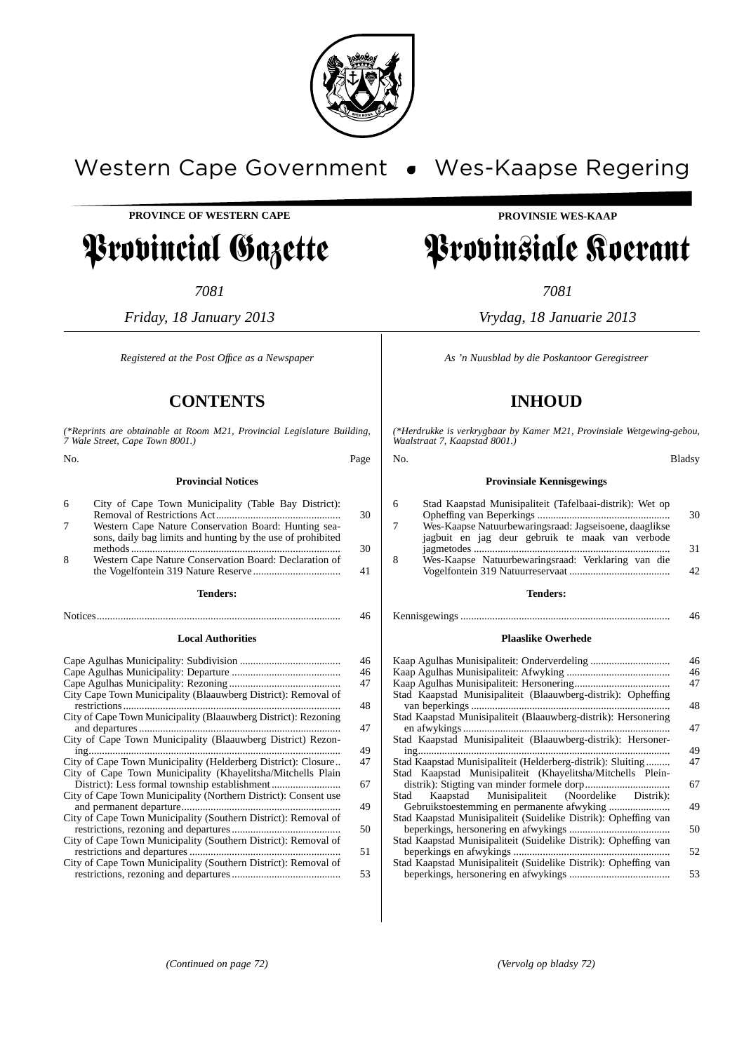

# Western Cape Government . Wes-Kaapse Regering

**PROVINCE OF WESTERN CAPE**

# Provincial Gazette

*7081*

*Friday, 18 January 2013*

*Registered at the Post Offıce as a Newspaper*

# **CONTENTS**

*(\*Reprints are obtainable at Room M21, Provincial Legislature Building, 7 Wale Street, Cape Town 8001.)*

| No. |                                                                                                                     | Page |
|-----|---------------------------------------------------------------------------------------------------------------------|------|
|     | <b>Provincial Notices</b>                                                                                           |      |
| 6   | City of Cape Town Municipality (Table Bay District):                                                                | 30   |
| 7   | Western Cape Nature Conservation Board: Hunting sea-<br>sons, daily bag limits and hunting by the use of prohibited | 30   |
| 8   | Western Cape Nature Conservation Board: Declaration of                                                              | 41   |
|     | <b>Tenders:</b>                                                                                                     |      |
|     |                                                                                                                     | 46   |
|     | <b>Local Authorities</b>                                                                                            |      |

|                                                                 | 46 |
|-----------------------------------------------------------------|----|
|                                                                 | 46 |
|                                                                 | 47 |
| City Cape Town Municipality (Blaauwberg District): Removal of   | 48 |
| City of Cape Town Municipality (Blaauwberg District): Rezoning  |    |
|                                                                 | 47 |
| City of Cape Town Municipality (Blaauwberg District) Rezon-     | 49 |
| City of Cape Town Municipality (Helderberg District): Closure   | 47 |
| City of Cape Town Municipality (Khayelitsha/Mitchells Plain     | 67 |
| City of Cape Town Municipality (Northern District): Consent use | 49 |
| City of Cape Town Municipality (Southern District): Removal of  | 50 |
| City of Cape Town Municipality (Southern District): Removal of  | 51 |
| City of Cape Town Municipality (Southern District): Removal of  | 53 |
|                                                                 |    |

# **PROVINSIE WES-KAAP**

# Provinsiale Koerant

*7081*

*Vrydag, 18 Januarie 2013*

*As 'n Nuusblad by die Poskantoor Geregistreer*

# **INHOUD**

*(\*Herdrukke is verkrygbaar by Kamer M21, Provinsiale Wetgewing-gebou, Waalstraat 7, Kaapstad 8001.)*

# No. Bladsy **Provinsiale Kennisgewings**

| 6 | Stad Kaapstad Munisipaliteit (Tafelbaai-distrik): Wet op                                                  | 30              |
|---|-----------------------------------------------------------------------------------------------------------|-----------------|
| 7 | Wes-Kaapse Natuurbewaringsraad: Jagseisoene, daaglikse<br>jagbuit en jag deur gebruik te maak van verbode | 31              |
| 8 | Wes-Kaapse Natuurbewaringsraad: Verklaring van die                                                        | 42 <sup>°</sup> |

## **Tenders:**

Kennisgewings ............................................................................... 46

#### **Plaaslike Owerhede**

|                                                                 | 46<br>46 |
|-----------------------------------------------------------------|----------|
|                                                                 | 47       |
| Stad Kaapstad Munisipaliteit (Blaauwberg-distrik): Opheffing    | 48       |
| Stad Kaapstad Munisipaliteit (Blaauwberg-distrik): Hersonering  | 47       |
| Stad Kaapstad Munisipaliteit (Blaauwberg-distrik): Hersoner-    | 49       |
| Stad Kaapstad Munisipaliteit (Helderberg-distrik): Sluiting     | 47       |
| Stad Kaapstad Munisipaliteit (Khayelitsha/Mitchells Plein-      |          |
|                                                                 | 67       |
| Stad Kaapstad Munisipaliteit (Noordelike Distrik):              |          |
|                                                                 | 49       |
| Stad Kaapstad Munisipaliteit (Suidelike Distrik): Opheffing van |          |
|                                                                 | 50       |
| Stad Kaapstad Munisipaliteit (Suidelike Distrik): Opheffing van |          |
|                                                                 | 52       |
| Stad Kaapstad Munisipaliteit (Suidelike Distrik): Opheffing van |          |
|                                                                 | 53       |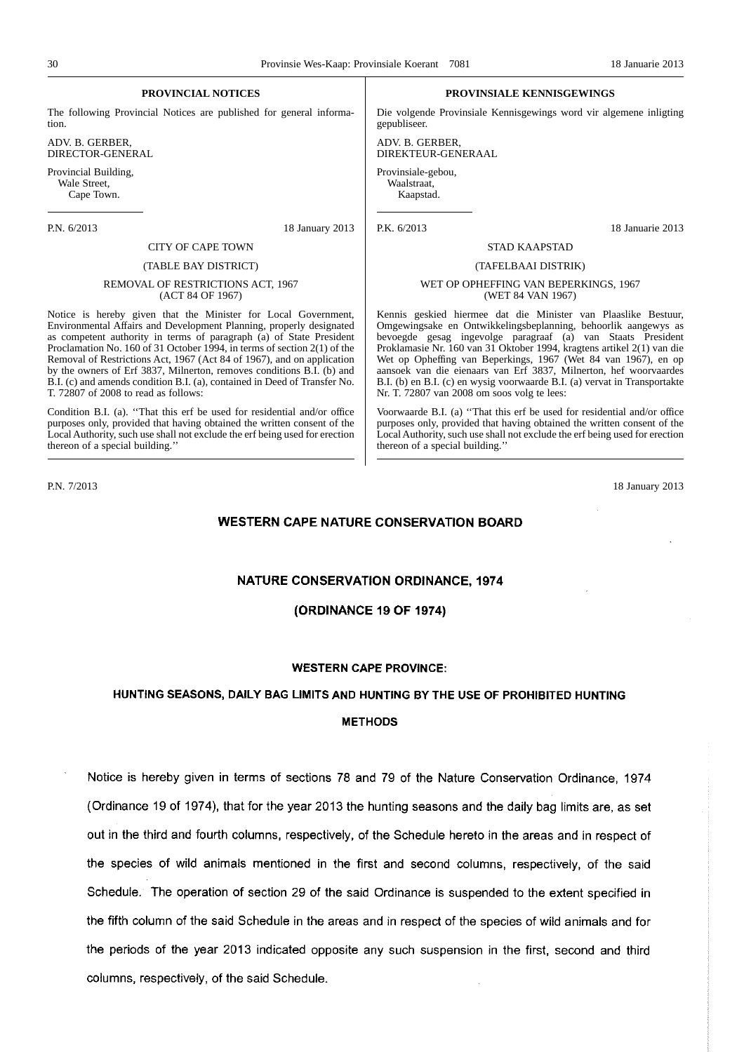#### **PROVINCIAL NOTICES**

The following Provincial Notices are published for general information.

ADV. B. GERBER, DIRECTOR-GENERAL

Provincial Building, Wale Street, Cape Town.

## P.N. 6/2013 18 January 2013

# CITY OF CAPE TOWN

#### (TABLE BAY DISTRICT)

#### REMOVAL OF RESTRICTIONS ACT, 1967 (ACT 84 OF 1967)

Notice is hereby given that the Minister for Local Government, Environmental Affairs and Development Planning, properly designated as competent authority in terms of paragraph  $\overline{a}$  of State President Proclamation No. 160 of 31 October 1994, in terms of section 2(1) of the Removal of Restrictions Act, 1967 (Act 84 of 1967), and on application by the owners of Erf 3837, Milnerton, removes conditions B.I. (b) and B.I. (c) and amends condition B.I. (a), contained in Deed of Transfer No. T. 72807 of 2008 to read as follows:

Condition B.I. (a). ''That this erf be used for residential and/or office purposes only, provided that having obtained the written consent of the Local Authority, such use shall not exclude the erf being used for erection thereon of a special building.''

#### **PROVINSIALE KENNISGEWINGS**

Die volgende Provinsiale Kennisgewings word vir algemene inligting gepubliseer.

ADV. B. GERBER, DIREKTEUR-GENERAAL

Provinsiale-gebou, Waalstraat, Kaapstad.

P.K. 6/2013 18 Januarie 2013

#### STAD KAAPSTAD

#### (TAFELBAAI DISTRIK)

#### WET OP OPHEFFING VAN BEPERKINGS, 1967 (WET 84 VAN 1967)

Kennis geskied hiermee dat die Minister van Plaaslike Bestuur, Omgewingsake en Ontwikkelingsbeplanning, behoorlik aangewys as bevoegde gesag ingevolge paragraaf (a) van Staats President Proklamasie Nr. 160 van 31 Oktober 1994, kragtens artikel 2(1) van die Wet op Opheffing van Beperkings, 1967 (Wet 84 van 1967), en op aansoek van die eienaars van Erf 3837, Milnerton, hef woorvaardes B.I. (b) en B.I. (c) en wysig voorwaarde B.I. (a) vervat in Transportakte Nr. T. 72807 van 2008 om soos volg te lees:

Voorwaarde B.I. (a) ''That this erf be used for residential and/or office purposes only, provided that having obtained the written consent of the Local Authority, such use shall not exclude the erf being used for erection thereon of a special building.''

P.N. 7/2013 18 January 2013

#### **WESTERN CAPE NATURE CONSERVATION BOARD**

# NATURE CONSERVATION ORDINANCE, 1974

#### (ORDINANCE 19 OF 1974)

#### **WESTERN CAPE PROVINCE:**

#### HUNTING SEASONS, DAILY BAG LIMITS AND HUNTING BY THE USE OF PROHIBITED HUNTING

#### **METHODS**

Notice is hereby given in terms of sections 78 and 79 of the Nature Conservation Ordinance, 1974 (Ordinance 19 of 1974), that for the year 2013 the hunting seasons and the daily bag limits are, as set out in the third and fourth columns, respectively, of the Schedule hereto in the areas and in respect of the species of wild animals mentioned in the first and second columns, respectively, of the said Schedule. The operation of section 29 of the said Ordinance is suspended to the extent specified in the fifth column of the said Schedule in the areas and in respect of the species of wild animals and for the periods of the year 2013 indicated opposite any such suspension in the first, second and third columns, respectively, of the said Schedule.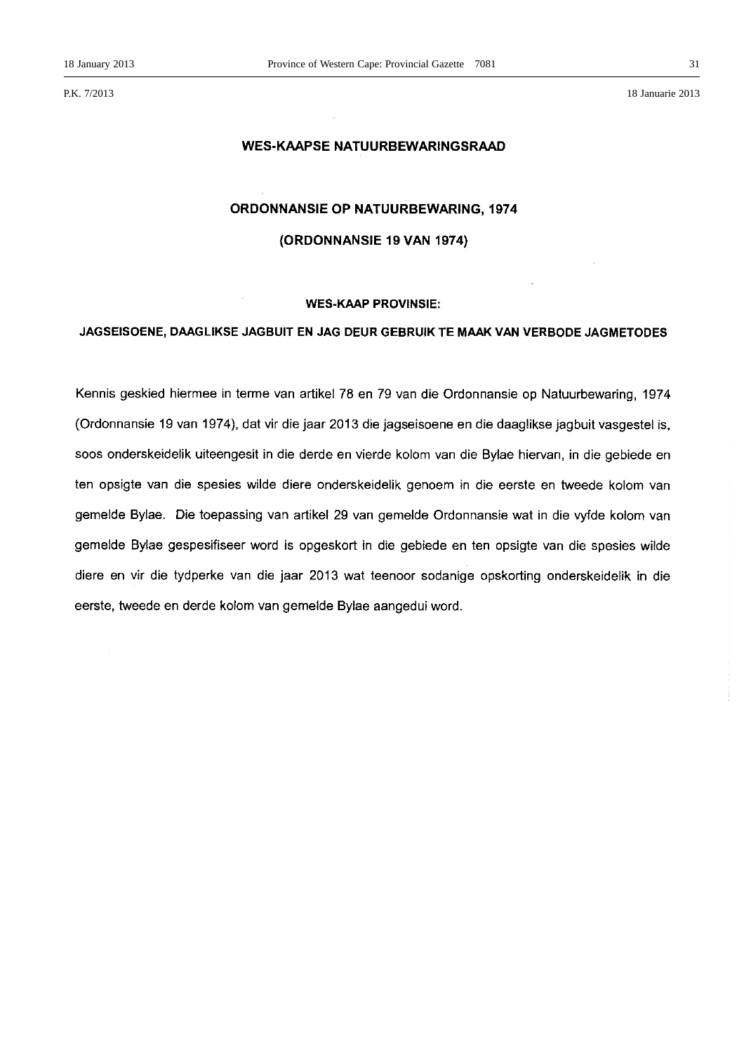P.K. 7/2013 18 Januarie 2013

# **WES-KAAPSE NATUURBEWARINGSRAAD**

#### **ORDONNANSIE OP NATUURBEWARING, 1974**

# (ORDONNANSIE 19 VAN 1974)

#### **WES-KAAP PROVINSIE:**

# JAGSEISOENE, DAAGLIKSE JAGBUIT EN JAG DEUR GEBRUIK TE MAAK VAN VERBODE JAGMETODES

Kennis geskied hiermee in terme van artikel 78 en 79 van die Ordonnansie op Natuurbewaring, 1974 (Ordonnansie 19 van 1974), dat vir die jaar 2013 die jagseisoene en die daaglikse jagbuit vasgestel is, soos onderskeidelik uiteengesit in die derde en vierde kolom van die Bylae hiervan, in die gebiede en ten opsigte van die spesies wilde diere onderskeidelik genoem in die eerste en tweede kolom van gemelde Bylae. Die toepassing van artikel 29 van gemelde Ordonnansie wat in die vyfde kolom van gemelde Bylae gespesifiseer word is opgeskort in die gebiede en ten opsigte van die spesies wilde diere en vir die tydperke van die jaar 2013 wat teenoor sodanige opskorting onderskeidelik in die eerste, tweede en derde kolom van gemelde Bylae aangedui word.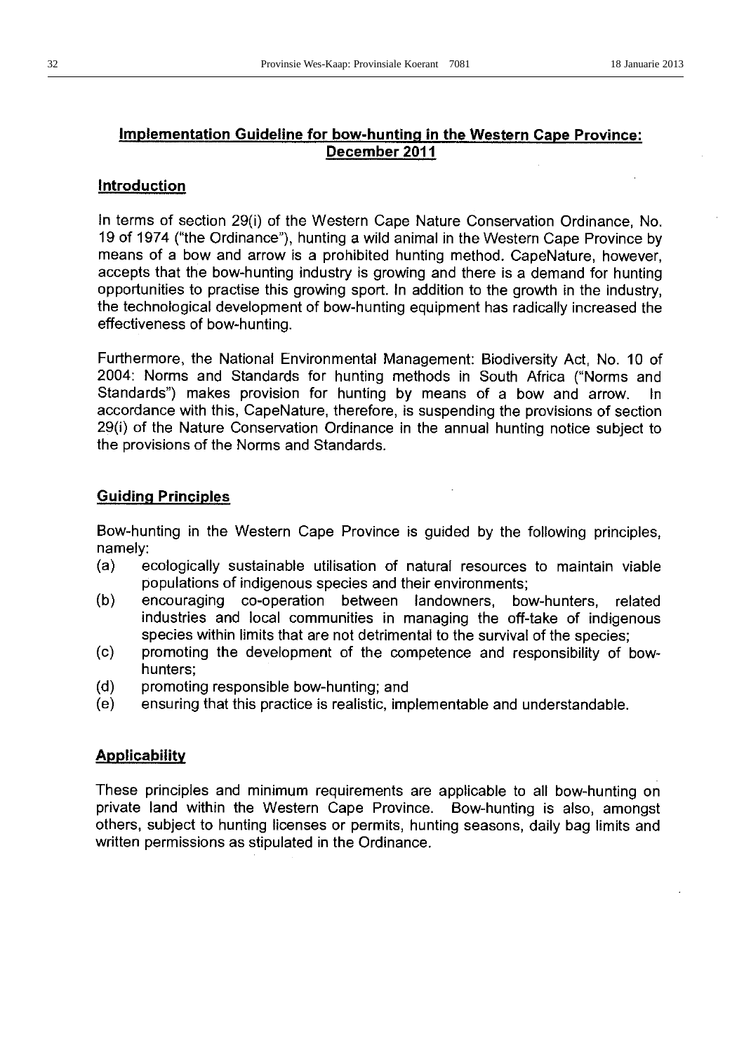# Implementation Guideline for bow-hunting in the Western Cape Province: December 2011

# Introduction

In terms of section 29(i) of the Western Cape Nature Conservation Ordinance, No. 19 of 1974 ("the Ordinance"), hunting a wild animal in the Western Cape Province by means of a bow and arrow is a prohibited hunting method. CapeNature, however, accepts that the bow-hunting industry is growing and there is a demand for hunting opportunities to practise this growing sport. In addition to the growth in the industry, the technological development of bow-hunting equipment has radically increased the effectiveness of bow-hunting.

Furthermore, the National Environmental Management: Biodiversity Act, No. 10 of 2004: Norms and Standards for hunting methods in South Africa ("Norms and Standards") makes provision for hunting by means of a bow and arrow.  $ln$ accordance with this, CapeNature, therefore, is suspending the provisions of section 29(i) of the Nature Conservation Ordinance in the annual hunting notice subject to the provisions of the Norms and Standards.

# **Guiding Principles**

Bow-hunting in the Western Cape Province is guided by the following principles, namely:

- $(a)$ ecologically sustainable utilisation of natural resources to maintain viable populations of indigenous species and their environments;
- $(b)$ encouraging co-operation between landowners, bow-hunters, related industries and local communities in managing the off-take of indigenous species within limits that are not detrimental to the survival of the species;
- promoting the development of the competence and responsibility of bow- $(c)$ hunters:
- $(d)$ promoting responsible bow-hunting; and
- ensuring that this practice is realistic, implementable and understandable.  $(e)$

# **Applicability**

These principles and minimum requirements are applicable to all bow-hunting on private land within the Western Cape Province. Bow-hunting is also, amongst others, subject to hunting licenses or permits, hunting seasons, daily bag limits and written permissions as stipulated in the Ordinance.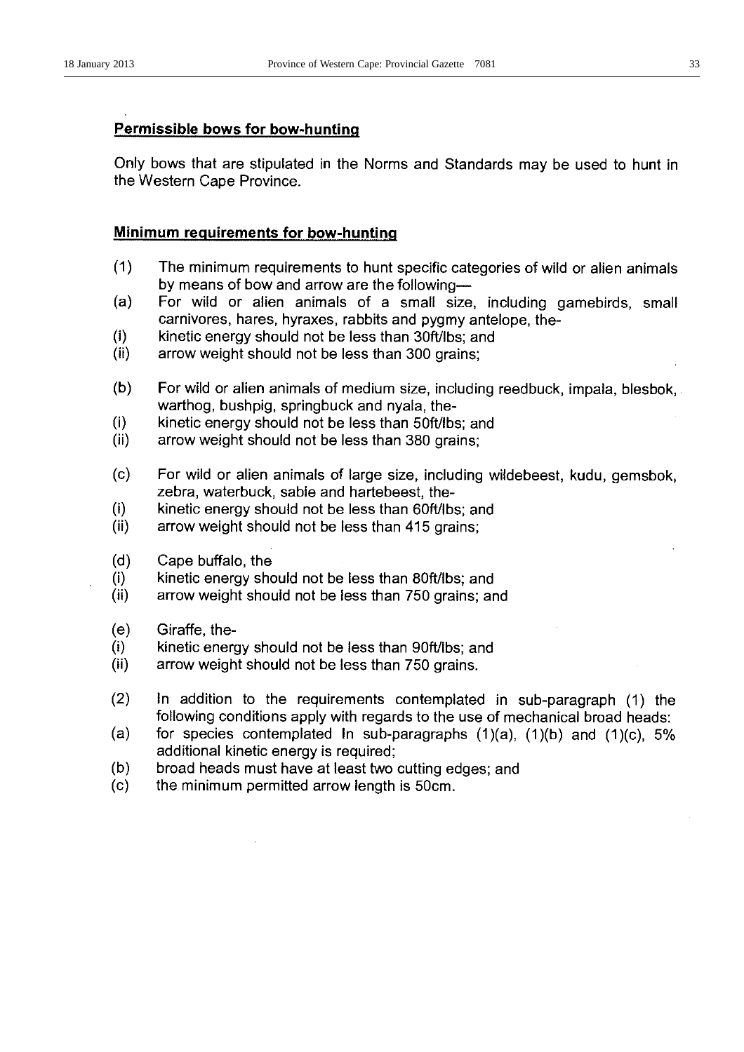# **Permissible bows for bow-hunting**

Only bows that are stipulated in the Norms and Standards may be used to hunt in the Western Cape Province.

# Minimum requirements for bow-hunting

- $(1)$ The minimum requirements to hunt specific categories of wild or alien animals by means of bow and arrow are the following-
- For wild or alien animals of a small size, including gamebirds, small  $(a)$ carnivores, hares, hyraxes, rabbits and pygmy antelope, the-
- $(i)$ kinetic energy should not be less than 30ft/lbs; and
- $(ii)$ arrow weight should not be less than 300 grains;
- $(b)$ For wild or alien animals of medium size, including reedbuck, impala, blesbok, warthog, bushpig, springbuck and nyala, the-
- $(i)$ kinetic energy should not be less than 50ft/lbs; and
- $(ii)$ arrow weight should not be less than 380 grains;
- $(c)$ For wild or alien animals of large size, including wildebeest, kudu, gemsbok, zebra, waterbuck, sable and hartebeest, the-
- $(i)$ kinetic energy should not be less than 60ft/lbs; and
- $(ii)$ arrow weight should not be less than 415 grains;
- $(d)$ Cape buffalo, the
- $(i)$ kinetic energy should not be less than 80ft/lbs; and
- $(ii)$ arrow weight should not be less than 750 grains; and
- $(e)$ Giraffe, the-
- $(i)$ kinetic energy should not be less than 90ft/lbs; and
- $(ii)$ arrow weight should not be less than 750 grains.
- $(2)$ In addition to the requirements contemplated in sub-paragraph (1) the following conditions apply with regards to the use of mechanical broad heads:
- $(a)$ for species contemplated in sub-paragraphs  $(1)(a)$ ,  $(1)(b)$  and  $(1)(c)$ , 5% additional kinetic energy is required;
- $(b)$ broad heads must have at least two cutting edges; and
- $(c)$ the minimum permitted arrow length is 50cm.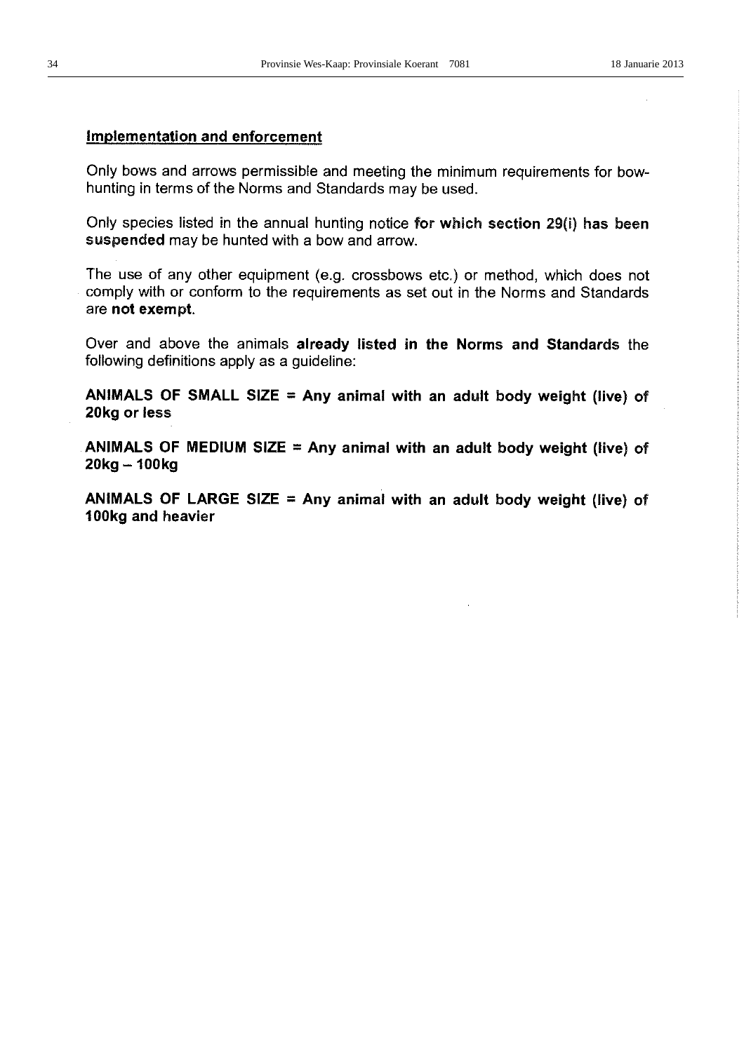# **Implementation and enforcement**

Only bows and arrows permissible and meeting the minimum requirements for bowhunting in terms of the Norms and Standards may be used.

Only species listed in the annual hunting notice for which section 29(i) has been suspended may be hunted with a bow and arrow.

The use of any other equipment (e.g. crossbows etc.) or method, which does not comply with or conform to the requirements as set out in the Norms and Standards are not exempt.

Over and above the animals already listed in the Norms and Standards the following definitions apply as a guideline:

ANIMALS OF SMALL SIZE = Any animal with an adult body weight (live) of 20kg or less

ANIMALS OF MEDIUM SIZE = Any animal with an adult body weight (live) of  $20kg - 100kg$ 

ANIMALS OF LARGE SIZE = Any animal with an adult body weight (live) of 100kg and heavier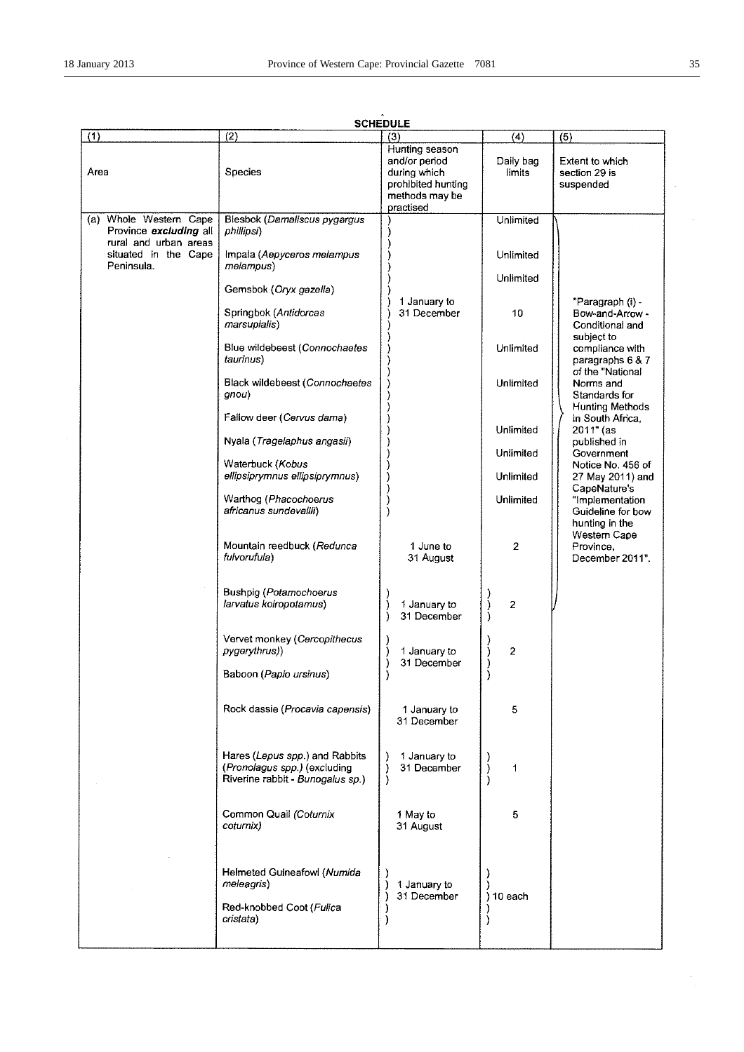| (1)                                                         | (2)                                                                                                | ----<br>(3)                                                                                          | (4)                    | (5)                                                               |
|-------------------------------------------------------------|----------------------------------------------------------------------------------------------------|------------------------------------------------------------------------------------------------------|------------------------|-------------------------------------------------------------------|
| Area                                                        | Species                                                                                            | Hunting season<br>and/or period<br>during which<br>prohibited hunting<br>methods may be<br>practised | Daily bag<br>limits    | Extent to which<br>section 29 is<br>suspended                     |
| Whole Western Cape<br>(a)<br>Province excluding all         | Blesbok (Damaliscus pygargus<br>phillipsi)                                                         |                                                                                                      | Unlimited              |                                                                   |
| rural and urban areas<br>situated in the Cape<br>Peninsula. | Impala (Aepyceros melampus<br>melamous)                                                            |                                                                                                      | Unlimited<br>Unlimited |                                                                   |
|                                                             | Gemsbok (Oryx gazella)                                                                             |                                                                                                      |                        |                                                                   |
|                                                             | Springbok (Antidorcas<br>marsupialis)                                                              | 1 January to<br>31 December                                                                          | 10                     | "Paragraph (i) -<br>Bow-and-Arrow -<br>Conditional and            |
|                                                             | Blue wildebeest (Connochaetes<br>taurinus)                                                         |                                                                                                      | Unlimited              | subject to<br>compliance with<br>paragraphs 6 & 7                 |
|                                                             | Black wildebeest (Connochaetes<br>gnou)                                                            |                                                                                                      | Unlimited              | of the "National<br>Norms and<br>Standards for<br>Hunting Methods |
|                                                             | Fallow deer (Cervus dama)<br>Nyala (Tragelaphus angasii)                                           |                                                                                                      | Unlimited              | in South Africa,<br>2011" (as<br>published in                     |
|                                                             |                                                                                                    |                                                                                                      | Unlimited              | Government                                                        |
|                                                             | Waterbuck (Kobus<br>ellipsiprymnus ellipsiprymnus)                                                 |                                                                                                      | Unlimited              | Notice No. 456 of<br>27 May 2011) and                             |
|                                                             | Warthog (Phacochoerus<br>africanus sundevallii)                                                    |                                                                                                      | Unlimited              | CapeNature's<br>"Implementation<br>Guideline for bow              |
|                                                             | Mountain reedbuck (Redunca<br>fulvorufula)                                                         | 1 June to<br>31 August                                                                               | $\overline{2}$         | hunting in the<br>Western Cape<br>Province,<br>December 2011".    |
|                                                             | <b>Bushpig (Potamochoerus</b><br>larvatus koiropotamus)                                            | 1 January to<br>31 December                                                                          | $\overline{c}$         |                                                                   |
|                                                             | Vervet monkey (Cercopithecus<br>pygerythrus))<br>Baboon (Papio ursinus)                            | 1 January to<br>31 December                                                                          | $\overline{2}$         |                                                                   |
|                                                             |                                                                                                    |                                                                                                      |                        |                                                                   |
|                                                             | Rock dassie (Procavia capensis)                                                                    | 1 January to<br>31 December                                                                          | 5                      |                                                                   |
|                                                             | Hares (Lepus spp.) and Rabbits<br>(Pronolagus spp.) (excluding<br>Riverine rabbit - Bunogalus sp.) | 1 January to<br>31 December<br>)                                                                     | 1                      |                                                                   |
|                                                             | Common Quail (Coturnix<br>coturnix)                                                                | 1 May to<br>31 August                                                                                | 5                      |                                                                   |
|                                                             | Helmeted Guineafowl (Numida<br>meleagris)<br>Red-knobbed Coot (Fulica<br>cristata)                 | 1 January to<br>31 December                                                                          | 10 each                |                                                                   |

# **SCHEDULE**

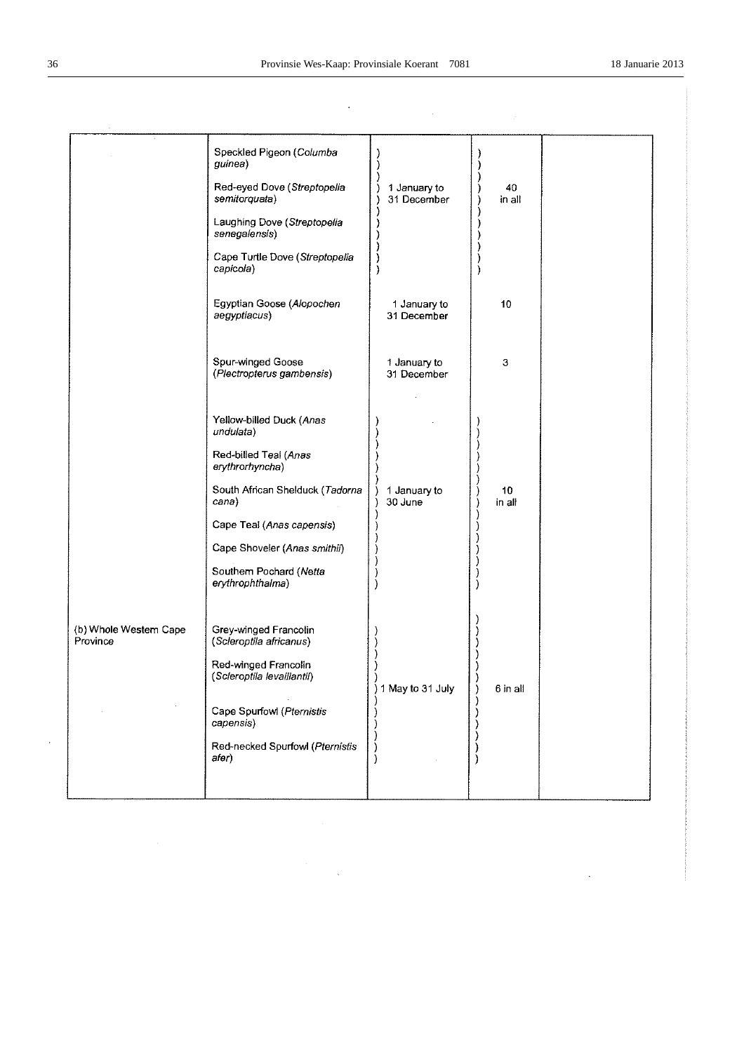$\hat{\mathcal{A}}$ 

|                                    | Speckled Pigeon (Columba<br>guinea)<br>Red-eyed Dove (Streptopelia<br>semitorquata)<br>Laughing Dove (Streptopelia<br>senegalensis)<br>Cape Turtle Dove (Streptopelia<br>capicola)                                                        | 1 January to<br>31 December | 40<br>in all |  |
|------------------------------------|-------------------------------------------------------------------------------------------------------------------------------------------------------------------------------------------------------------------------------------------|-----------------------------|--------------|--|
|                                    | Egyptian Goose (Alopochen<br>aegyptiacus)                                                                                                                                                                                                 | 1 January to<br>31 December | 10           |  |
|                                    | Spur-winged Goose<br>(Plectropterus gambensis)                                                                                                                                                                                            | 1 January to<br>31 December | 3            |  |
|                                    | Yellow-billed Duck (Anas<br>undulata)<br>Red-billed Teal (Anas<br>erythrorhyncha)<br>South African Shelduck (Tadorna<br>cana)<br>Cape Teal (Anas capensis)<br>Cape Shoveler (Anas smithii)<br>Southern Pochard (Netta<br>erythrophthalma) | 1 January to<br>30 June     | 10<br>in all |  |
| (b) Whole Western Cape<br>Province | Grey-winged Francolin<br>(Scleroptila africanus)<br>Red-winged Francolin<br>(Scleroptila levaillantii)<br>Cape Spurfowl (Pternistis<br>capensis)<br>Red-necked Spurfowl (Pternistis<br>afer)                                              | 1 May to 31 July            | 6 in all     |  |

 $\sim$ 

 $\hat{\boldsymbol{\beta}}$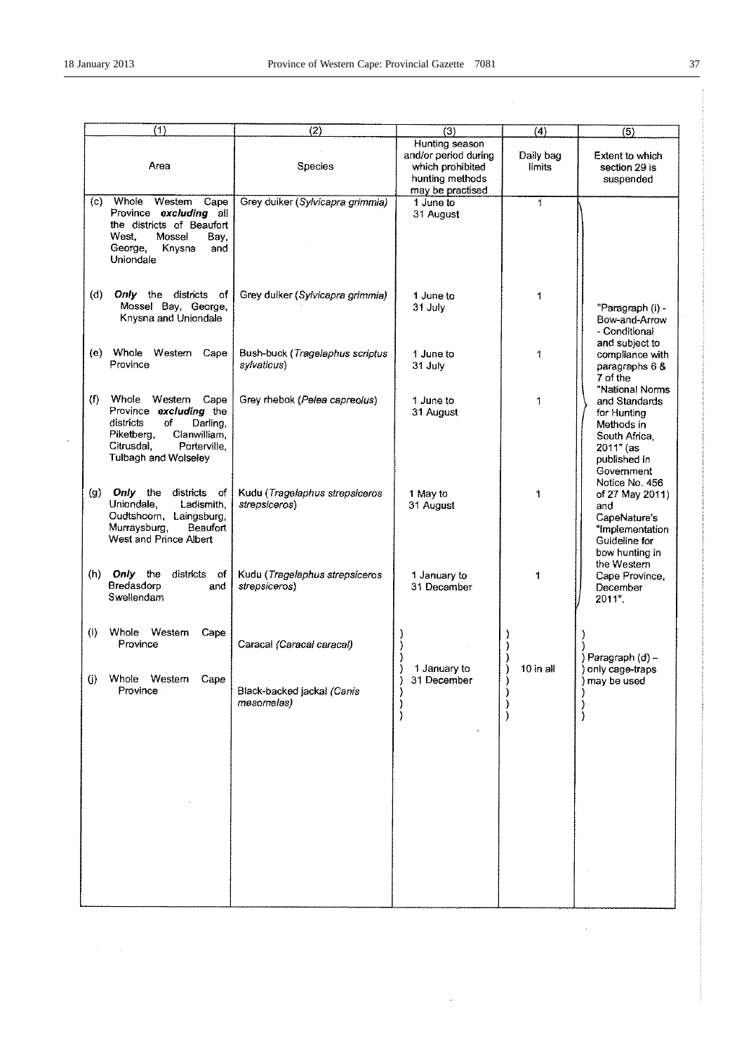$\lambda$ 

 $\sigma_{\rm{eff}}=2$ 

 $\hat{\mathcal{A}}$ 

 $\hat{\mathcal{L}}$ 

 $\ddot{\phantom{1}}$ 

| (1)                                                                                                                                                                          | (2)                                             | (3)                                                                                               | $\overline{(4)}$    | (5)                                                                                                                           |
|------------------------------------------------------------------------------------------------------------------------------------------------------------------------------|-------------------------------------------------|---------------------------------------------------------------------------------------------------|---------------------|-------------------------------------------------------------------------------------------------------------------------------|
| Area                                                                                                                                                                         | Species                                         | Hunting season<br>and/or period during<br>which prohibited<br>hunting methods<br>may be practised | Daily bag<br>limits | Extent to which<br>section 29 is<br>suspended                                                                                 |
| Whole<br>Westem<br>(c)<br>Cape<br>Province excluding all<br>the districts of Beaufort<br>West.<br>Mossel<br>Bay,<br>George,<br>Knysna<br>and<br>Uniondale                    | Grey duiker (Sylvicapra grimmia)                | 1 June to<br>31 August                                                                            | 1                   |                                                                                                                               |
| Only the districts of<br>(d)<br>Mossel Bay, George,<br>Knysna and Uniondale                                                                                                  | Grey duiker (Sylvicapra grimmia)                | 1 June to<br>31 July                                                                              | 1                   | "Paragraph (i) -<br>Bow-and-Arrow<br>- Conditional<br>and subject to                                                          |
| Whole<br>Western<br>(e)<br>Cape<br>Province                                                                                                                                  | Bush-buck (Tragelaphus scriptus<br>sylvaticus)  | 1 June to<br>31 July                                                                              | 1                   | compliance with<br>paragraphs 6 &<br>7 of the                                                                                 |
| (f)<br>Whole<br>Western<br>Cape<br>Province excluding the<br>districts<br>of<br>Darling,<br>Piketberg,<br>Clanwilliam,<br>Citrusdal.<br>Porterville,<br>Tulbagh and Wolseley | Grey rhebok (Pelea capreolus)                   | 1 June to<br>31 August                                                                            | 1                   | "National Norms<br>and Standards<br>for Hunting<br>Methods in<br>South Africa,<br>$2011"$ (as<br>published in<br>Government   |
| districts of<br>(g)<br>Only the<br>Uniondale,<br>Ladismith,<br>Oudtshoorn, Laingsburg,<br>Murraysburg,<br>Beaufort<br>West and Prince Albert                                 | Kudu (Tragelaphus strepsiceros<br>strepsiceros) | 1 May to<br>31 August                                                                             | 1                   | Notice No. 456<br>of 27 May 2011)<br>and<br>CapeNature's<br>"Implementation<br>Guideline for<br>bow hunting in<br>the Western |
| Only the<br>(h)<br>districts of<br>Bredasdorp<br>and<br>Swellendam                                                                                                           | Kudu (Tragelaphus strepsiceros<br>strepsiceros) | 1 January to<br>31 December                                                                       | 1                   | Cape Province,<br>December<br>2011".                                                                                          |
| Whole<br>Western<br>(i)<br>Cape<br>Province                                                                                                                                  | Caracal (Caracal caracal)                       | 1 January to                                                                                      | 10 in all           | Paragraph (d) -                                                                                                               |
| Whole<br>(j)<br>Western<br>Cape<br>Province                                                                                                                                  | Black-backed jackal (Canis<br>mesomelas)        | 31 December                                                                                       |                     | only cage-traps<br>may be used                                                                                                |
|                                                                                                                                                                              |                                                 |                                                                                                   |                     |                                                                                                                               |
|                                                                                                                                                                              |                                                 |                                                                                                   |                     |                                                                                                                               |
|                                                                                                                                                                              |                                                 |                                                                                                   |                     |                                                                                                                               |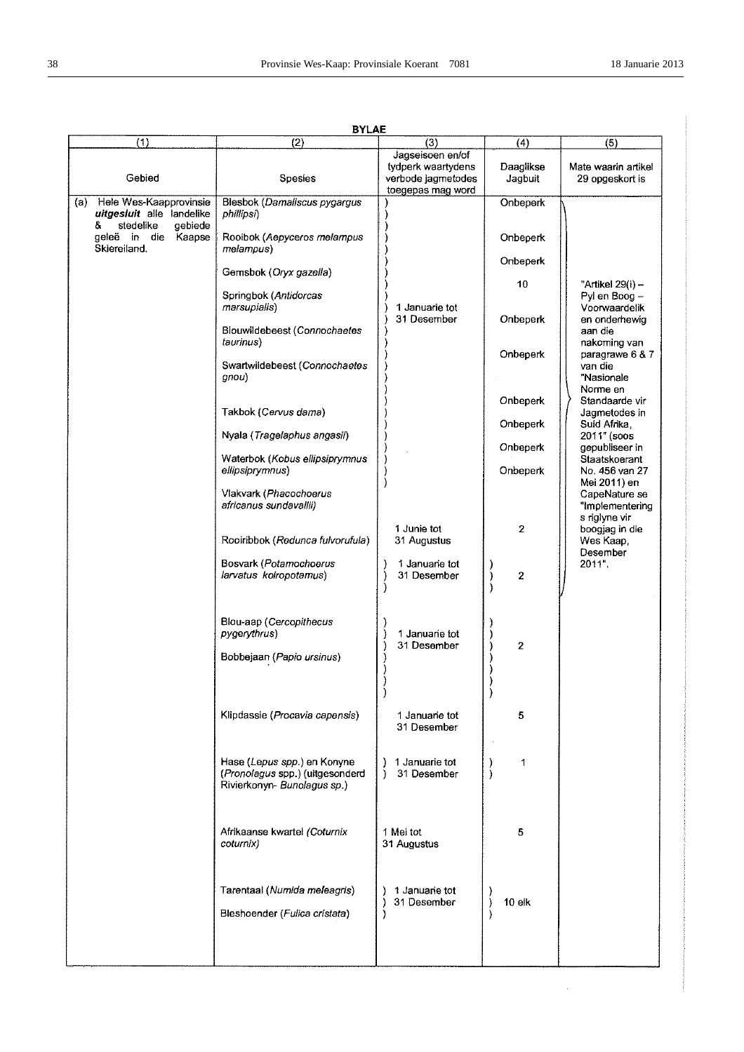$\hat{\mathcal{L}}$ 

|                                                                                      | <b>BYLAE</b>                                                                                  |                                                                                   |                      |                                                                   |
|--------------------------------------------------------------------------------------|-----------------------------------------------------------------------------------------------|-----------------------------------------------------------------------------------|----------------------|-------------------------------------------------------------------|
| (1)                                                                                  | (2)                                                                                           | (3)                                                                               | (4)                  | (5)                                                               |
| Gebied                                                                               | Spesies                                                                                       | Jagseisoen en/of<br>tydperk waartydens<br>verbode jagmetodes<br>toegepas mag word | Daaglikse<br>Jagbuit | Mate waarin artikel<br>29 opgeskort is                            |
| (a) Hele Wes-Kaapprovinsie<br>uitgesluit alle landelike<br>stedelike<br>&<br>gebiede | Blesbok (Damaliscus pygargus<br>phillipsi)                                                    |                                                                                   | <b>Onbeperk</b>      |                                                                   |
| geleë in die<br>Kaapse<br>Skiereiland.                                               | Rooibok (Aepyceros melampus<br>melampus)                                                      |                                                                                   | Onbeperk             |                                                                   |
|                                                                                      | Gemsbok (Oryx gazella)                                                                        |                                                                                   | Onbeperk<br>10       | "Artikel 29(i) -                                                  |
|                                                                                      | Springbok (Antidorcas<br>marsupialis)                                                         | 1 Januarie tot<br>31 Desember                                                     | Onbeperk             | Pyl en Boog -<br>Voorwaardelik<br>en onderhewig                   |
|                                                                                      | Blouwildebeest (Connochaetes<br>taurinus)                                                     |                                                                                   | Onbeperk             | aan die<br>nakoming van<br>paragrawe 6 & 7                        |
|                                                                                      | Swartwildebeest (Connochaetes<br>gnou)                                                        |                                                                                   |                      | van die<br>"Nasionale<br>Norme en                                 |
|                                                                                      | Takbok (Cervus dama)                                                                          |                                                                                   | Onbeperk<br>Onbeperk | Standaarde vir<br>Jagmetodes in<br>Suid Afrika,                   |
|                                                                                      | Nyala (Tragelaphus angasii)                                                                   |                                                                                   | Onbeperk             | 2011" (soos<br>gepubliseer in                                     |
|                                                                                      | Waterbok (Kobus ellipsiprymnus<br>ellipsiprymnus)                                             |                                                                                   | Onbeperk             | Staatskoerant<br>No. 456 van 27                                   |
|                                                                                      | Vlakvark (Phacochoerus<br>africanus sundavallii)                                              |                                                                                   |                      | Mei 2011) en<br>CapeNature se<br>"Implementering<br>s riglyne vir |
|                                                                                      | Rooiribbok (Redunca fulvorufula)                                                              | 1 Junie tot<br>31 Augustus                                                        | 2                    | boogjag in die<br>Wes Kaap,<br>Desember                           |
|                                                                                      | Bosvark (Potamochoerus<br>larvatus koiropotamus)                                              | 1 Januarie tot<br>31 Desember                                                     | 2                    | 2011".                                                            |
|                                                                                      | Blou-aap (Cercopithecus<br>pygerythrus)                                                       | 1 Januarie tot<br>31 Desember                                                     | $\mathbf{2}$         |                                                                   |
|                                                                                      | Bobbejaan (Papio ursinus)                                                                     |                                                                                   |                      |                                                                   |
|                                                                                      | Klipdassie (Procavia capensis)                                                                | 1 Januarie tot<br>31 Desember                                                     | 5                    |                                                                   |
|                                                                                      | Hase (Lepus spp.) en Konyne<br>(Pronolagus spp.) (uitgesonderd<br>Rivierkonyn- Bunolagus sp.) | 1 Januarie tot<br>31 Desember                                                     | 1<br>J.              |                                                                   |
|                                                                                      | Afrikaanse kwartel (Coturnix<br>coturnix)                                                     | 1 Mei tot<br>31 Augustus                                                          | 5                    |                                                                   |
|                                                                                      | Tarentaal (Numida meleagris)<br>Bleshoender (Fulica cristata)                                 | 1 Januarie tot<br>31 Desember                                                     | 10 elk               |                                                                   |
|                                                                                      |                                                                                               |                                                                                   |                      |                                                                   |
|                                                                                      |                                                                                               |                                                                                   |                      |                                                                   |

**RVI AF**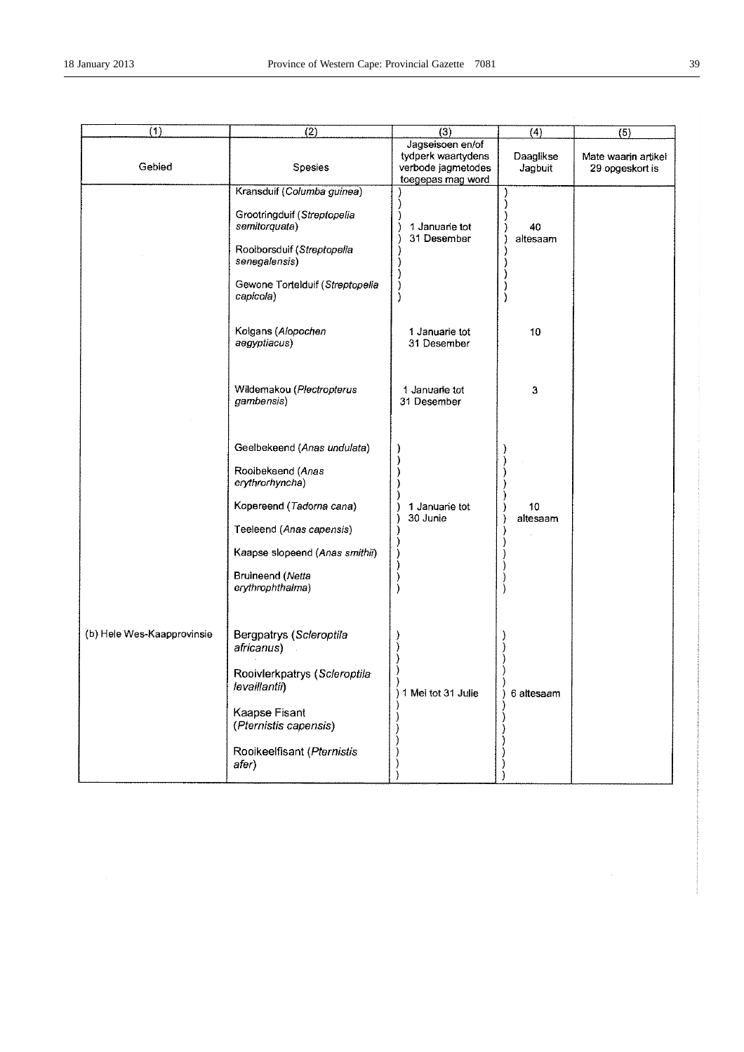| (1)                        | $\overline{(2)}$                                                                                                                                                                                      | (3)                                                                               | $\overline{(4)}$     | (5)                                    |
|----------------------------|-------------------------------------------------------------------------------------------------------------------------------------------------------------------------------------------------------|-----------------------------------------------------------------------------------|----------------------|----------------------------------------|
| Gebied                     | Spesies                                                                                                                                                                                               | Jagseisoen en/of<br>tydperk waartydens<br>verbode jagmetodes<br>toegepas mag word | Daaglikse<br>Jagbuit | Mate waarin artikel<br>29 opgeskort is |
|                            | Kransduif (Columba guinea)<br>Grootringduif (Streptopelia<br>semitorquata)<br>Roolborsduif (Streptopelia<br>senegalensis)<br>Gewone Tortelduif (Streptopelia<br>capicola)                             | 1 Januarie tot<br>31 Desember                                                     | 40<br>altesaam       |                                        |
|                            | Kolgans (Alopochen<br>aegyptiacus)                                                                                                                                                                    | 1 Januarie tot<br>31 Desember                                                     | 10                   |                                        |
|                            | Wildemakou (Plectropterus<br>gambensis)                                                                                                                                                               | 1 Januarie tot<br>31 Desember                                                     | 3                    |                                        |
|                            | Geelbekeend (Anas undulata)<br>Rooibekeend (Anas<br>erythrorhyncha)<br>Kopereend (Tadorna cana)<br>Teeleend (Anas capensis)<br>Kaapse slopeend (Anas smithii)<br>Bruineend (Netta<br>erythrophthalma) | 1 Januarie tot<br>30 Junie                                                        | 10<br>altesaam       |                                        |
| (b) Hele Wes-Kaapprovinsie | Bergpatrys (Scleroptila<br>atricanus)<br>Rooivlerkpatrys (Scleroptila<br>levaillantii)<br>Kaapse Fisant<br>(Pternistis capensis)<br>Rooikeelfisant (Pternistis<br>afer)                               | 1 Mei tot 31 Julie<br>1                                                           | 6 altesaam           |                                        |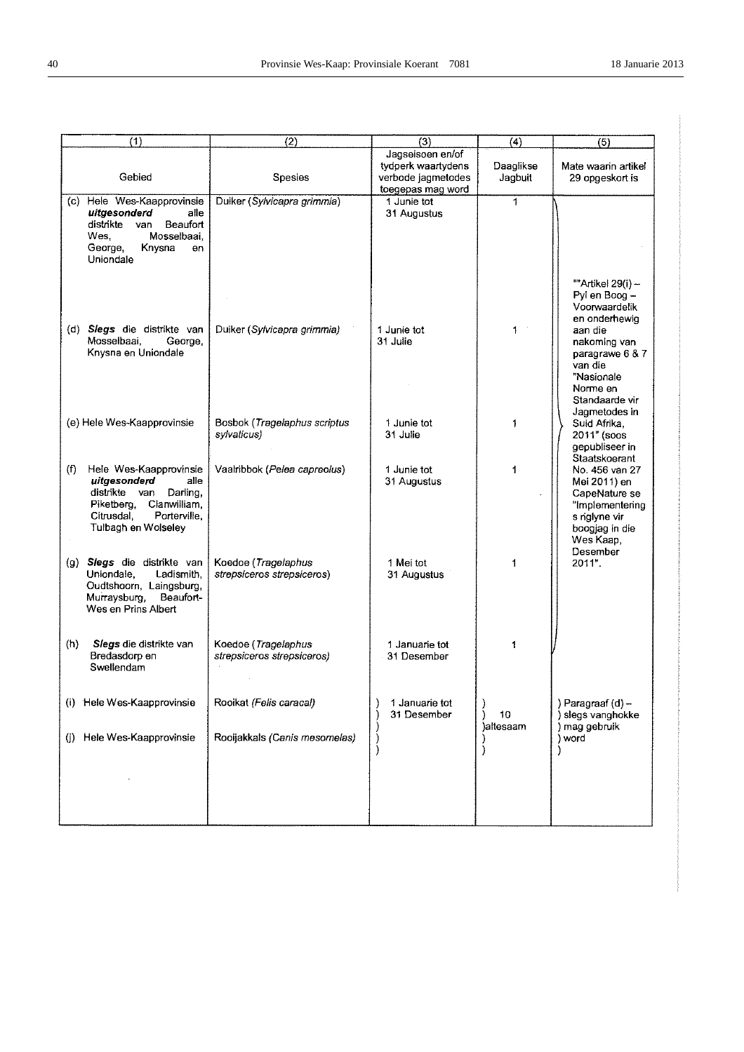| (1)                                                                                                                                                                   | (2)                                               | (3)                                                                               | (4)                  | (5)                                                                                                                            |
|-----------------------------------------------------------------------------------------------------------------------------------------------------------------------|---------------------------------------------------|-----------------------------------------------------------------------------------|----------------------|--------------------------------------------------------------------------------------------------------------------------------|
| Gebied                                                                                                                                                                | <b>Spesies</b>                                    | Jagseisoen en/of<br>tydperk waartydens<br>verbode jagmetodes<br>toegepas mag word | Daaglikse<br>Jagbuit | Mate waarin artikel<br>29 opgeskort is                                                                                         |
| (c) Hele Wes-Kaapprovinsie<br>uitgesonderd<br>alle<br>distrikte<br>van<br>Beaufort<br>Wes.<br>Mosselbaai,<br>George,<br>Knysna<br>en<br>Uniondale                     | Duiker (Sylvicapra grimmia)                       | 1 Junie tot<br>31 Augustus                                                        | $\mathbf{1}$         | ""Artikel 29(i) -<br>Pyl en Boog -<br>Voorwaardelik<br>en onderhewig                                                           |
| (d) Slegs die distrikte van<br>Mosselbaai,<br>George,<br>Knysna en Uniondale                                                                                          | Duiker (Sylvicapra grimmia)                       | 1 Junie tot<br>31 Julie                                                           | 1                    | aan die<br>nakoming van<br>paragrawe 6 & 7<br>van die<br>"Nasionale<br>Norme en<br>Standaarde vir<br>Jagmetodes in             |
| (e) Hele Wes-Kaapprovinsie                                                                                                                                            | Bosbok (Tragelaphus scriptus<br>sylvaticus)       | 1 Junie tot<br>31 Julie                                                           | 1                    | Suid Afrika,<br>2011" (soos<br>gepubliseer in<br>Staatskoerant                                                                 |
| Hele Wes-Kaapprovinsie<br>(f)<br>uitgesonderd<br>alle<br>distrikte van<br>Darling.<br>Piketberg,<br>Clanwilliam,<br>Porterville,<br>Citrusdal,<br>Tulbagh en Wolseley | Vaalribbok (Pelea capreolus)                      | 1 Junie tot<br>31 Augustus                                                        | 1                    | No. 456 van 27<br>Mei 2011) en<br>CapeNature se<br>"Implementering<br>s riglyne vir<br>boogjag in die<br>Wes Kaap,<br>Desember |
| (g) Slegs die distrikte van<br>Uniondale,<br>Ladismith,<br>Oudtshoorn, Laingsburg,<br>Murraysburg,<br>Beaufort-<br>Wes en Prins Albert                                | Koedoe (Tragelaphus<br>strepsiceros strepsiceros) | 1 Mei tot<br>31 Augustus                                                          | 1                    | 2011".                                                                                                                         |
| (h)<br>Slegs die distrikte van<br>Bredasdorp en<br>Swellendam                                                                                                         | Koedoe (Tragelaphus<br>strepsiceros strepsiceros) | 1 Januarie tot<br>31 Desember                                                     | 1                    |                                                                                                                                |
| Hele Wes-Kaapprovinsie<br>(i)                                                                                                                                         | Rooikat (Felis caracal)                           | 1 Januarie tot<br>31 Desember                                                     | 10<br>)altesaam      | ) Paragraaf (d) -<br>) slegs vanghokke<br>) mag gebruik                                                                        |
| Hele Wes-Kaapprovinsie<br>O)                                                                                                                                          | Rooijakkals (Canis mesomelas)                     |                                                                                   | J                    | ) word                                                                                                                         |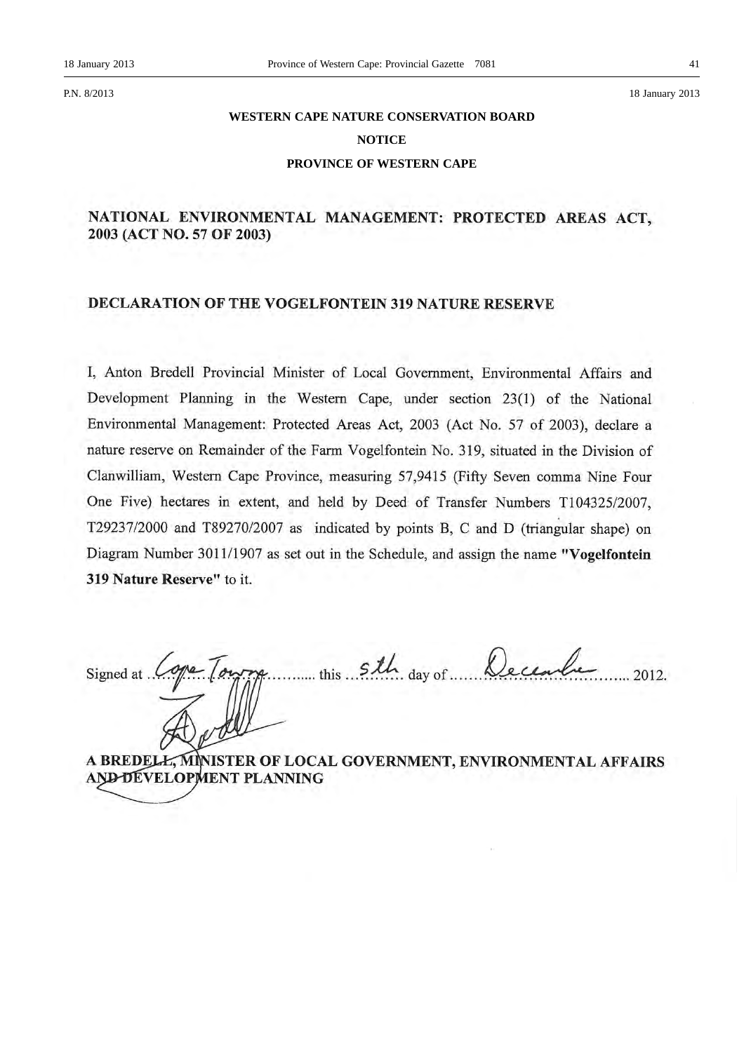P.N. 8/2013 18 January 2013

# **WESTERN CAPE NATURE CONSERVATION BOARD NOTICE**

# **PROVINCE OF WESTERN CAPE**

# NATIONAL ENVIRONMENTAL MANAGEMENT: PROTECTED AREAS ACT, 2003 (ACT NO. 57 OF 2003)

# DECLARATION OF THE VOGELFONTEIN 319 NATURE RESERVE

I, Anton Bredell Provincial Minister of Local Government, Environmental Affairs and Development Planning in the Western Cape, under section 23(1) of the National Environmental Management: Protected Areas Act, 2003 (Act No. 57 of 2003), declare a nature reserve on Remainder of the Farm Vogelfontein No. 319, situated in the Division of Clanwilliam, Western Cape Province, measuring 57,9415 (Fifty Seven comma Nine Four One Five) hectares in extent, and held by Deed of Transfer Numbers T104325/2007, T29237/2000 and T89270/2007 as indicated by points B, C and D (triangular shape) on Diagram Number 3011/1907 as set out in the Schedule, and assign the name "Vogelfontein 319 Nature Reserve" to it.

this 5th day of December Signed at ... 2012.

A BREDELL, MINISTER OF LOCAL GOVERNMENT, ENVIRONMENTAL AFFAIRS AND DEVELOPMENT PLANNING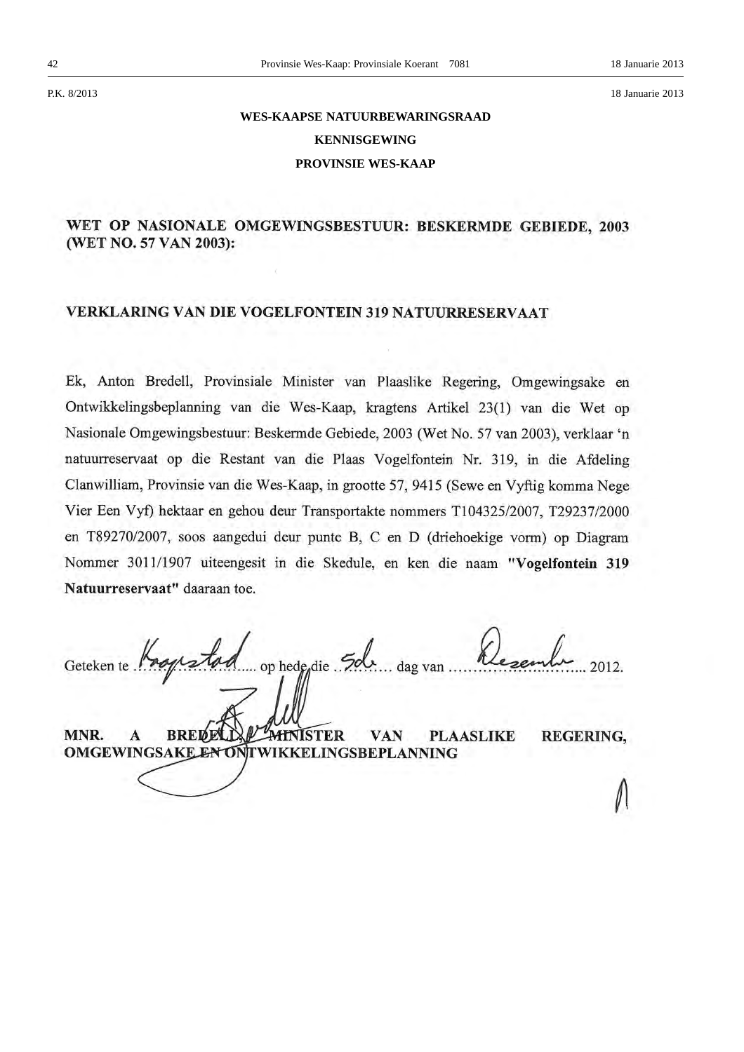# **WES-KAAPSE NATUURBEWARINGSRAAD KENNISGEWING PROVINSIE WES-KAAP**

# WET OP NASIONALE OMGEWINGSBESTUUR: BESKERMDE GEBIEDE, 2003 (WET NO. 57 VAN 2003):

# **VERKLARING VAN DIE VOGELFONTEIN 319 NATUURRESERVAAT**

Ek, Anton Bredell, Provinsiale Minister van Plaaslike Regering, Omgewingsake en Ontwikkelingsbeplanning van die Wes-Kaap, kragtens Artikel 23(1) van die Wet op Nasionale Omgewingsbestuur: Beskermde Gebiede, 2003 (Wet No. 57 van 2003), verklaar 'n natuurreservaat op die Restant van die Plaas Vogelfontein Nr. 319, in die Afdeling Clanwilliam, Provinsie van die Wes-Kaap, in grootte 57, 9415 (Sewe en Vyftig komma Nege Vier Een Vyf) hektaar en gehou deur Transportakte nommers T104325/2007, T29237/2000 en T89270/2007, soos aangedui deur punte B, C en D (driehoekige vorm) op Diagram Nommer 3011/1907 uiteengesit in die Skedule, en ken die naam "Vogelfontein 319 Natuurreservaat" daaraan toe.

.. op hede<sub>die</sub> Sol Geteken te Progra 2012. ... dag van ..

MNR. **BREDELI**  $\mathbf{A}$ MINISTER **PLAASLIKE REGERING, VAN** OMGEWINGSAKE EN ONTWIKKELINGSBEPLANNING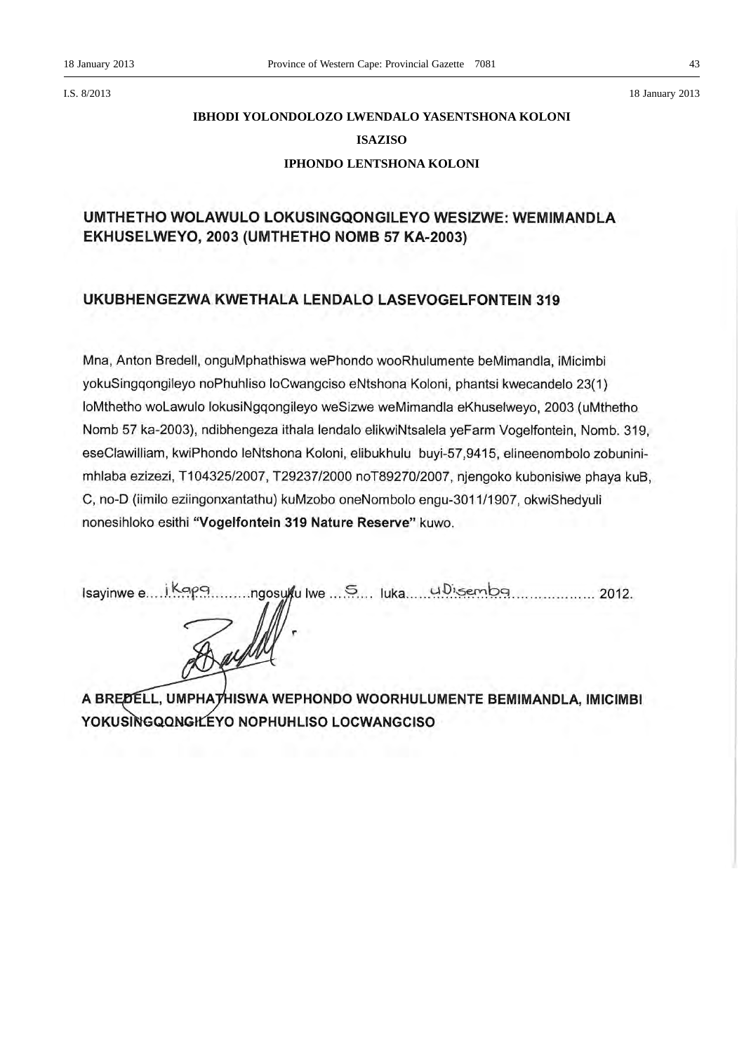I.S. 8/2013 18 January 2013

# **IBHODI YOLONDOLOZO LWENDALO YASENTSHONA KOLONI ISAZISO IPHONDO LENTSHONA KOLONI**

# UMTHETHO WOLAWULO LOKUSINGQONGILEYO WESIZWE: WEMIMANDLA EKHUSELWEYO, 2003 (UMTHETHO NOMB 57 KA-2003)

# UKUBHENGEZWA KWETHALA LENDALO LASEVOGELFONTEIN 319

Mna, Anton Bredell, onguMphathiswa wePhondo wooRhulumente beMimandla, iMicimbi yokuSingqongileyo noPhuhliso loCwangciso eNtshona Koloni, phantsi kwecandelo 23(1) loMthetho woLawulo lokusiNgqongileyo weSizwe weMimandla eKhuselweyo, 2003 (uMthetho Nomb 57 ka-2003), ndibhengeza ithala lendalo elikwiNtsalela yeFarm Vogelfontein, Nomb. 319, eseClawilliam, kwiPhondo leNtshona Koloni, elibukhulu buyi-57,9415, elineenombolo zobuninimhlaba ezizezi, T104325/2007, T29237/2000 noT89270/2007, njengoko kubonisiwe phaya kuB, C, no-D (iimilo eziingonxantathu) kuMzobo oneNombolo engu-3011/1907, okwiShedvuli nonesihloko esithi "Vogelfontein 319 Nature Reserve" kuwo.

A BREDELL, UMPHATHISWA WEPHONDO WOORHULUMENTE BEMIMANDLA, IMICIMBI YOKUSINGQQNGILEYO NOPHUHLISO LOCWANGCISO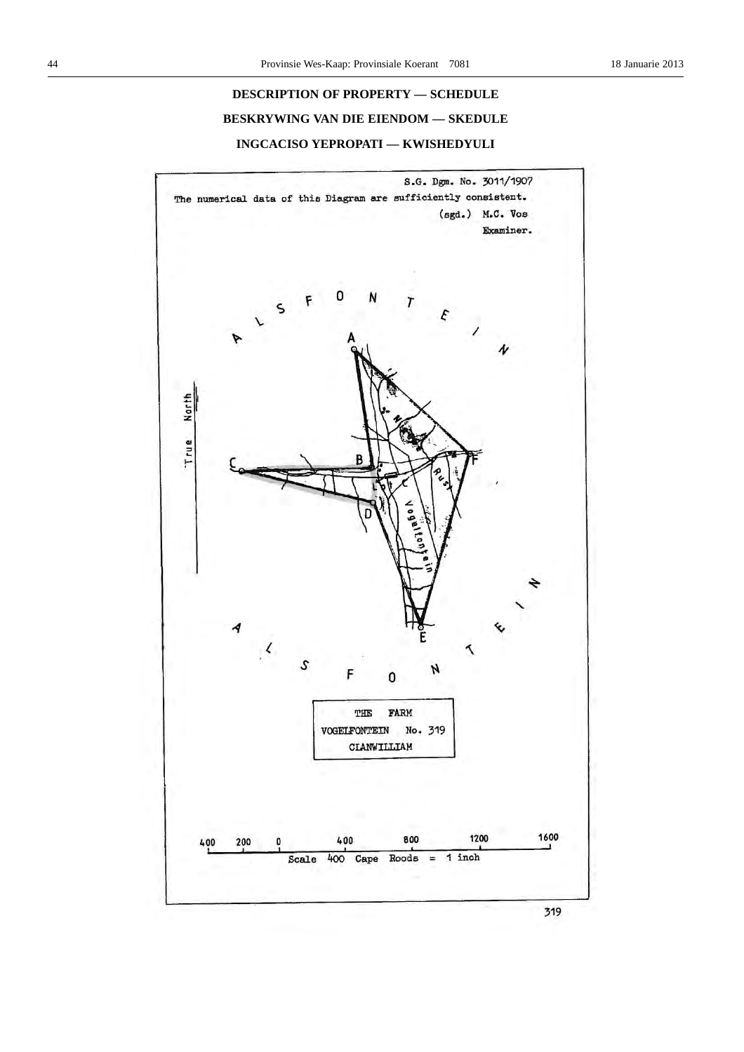# **DESCRIPTION OF PROPERTY — SCHEDULE BESKRYWING VAN DIE EIENDOM — SKEDULE INGCACISO YEPROPATI — KWISHEDYULI**



319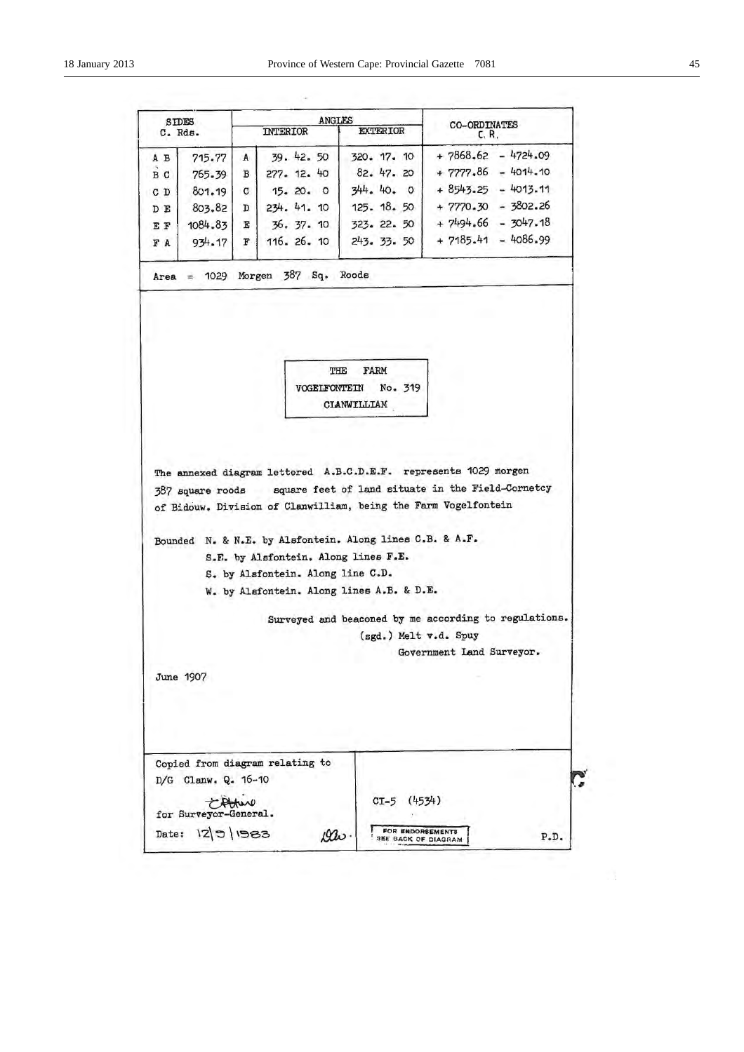| <b>SIDES</b><br>C. Rds. |                                  |   | ANGLES<br>INTERIOR                   | <b>EXTERIOR</b>                                          | <b>CO-ORDINATES</b>                                                                                                                   |
|-------------------------|----------------------------------|---|--------------------------------------|----------------------------------------------------------|---------------------------------------------------------------------------------------------------------------------------------------|
|                         |                                  |   |                                      |                                                          | C. R.                                                                                                                                 |
| A B                     | 715.77                           | A | 39. 42. 50                           | 320. 17. 10                                              | $+7868.62 - 4724.09$                                                                                                                  |
| B <sub>C</sub>          | $765 - 39$                       | в | 277. 12. 40                          | 82. 47. 20                                               | $+ 7777.86 - 4014.10$                                                                                                                 |
| C D                     | 801.19                           | C | 15. 20. 0                            | 344.40.0                                                 | $+8543.25 - 4013.11$                                                                                                                  |
| D E                     | 803.82                           | D | 234. 41. 10                          | 125.18.50                                                | $+ 7770.30 - 3802.26$<br>$+7494.66 - 3047.18$                                                                                         |
| EF                      | 1084.83                          | E | 36.37.10                             | 323. 22. 50                                              | $+ 7185 - 41 - 4086 - 99$                                                                                                             |
| FA                      | 934.17                           | F | 116. 26. 10                          | 243. 33. 50                                              |                                                                                                                                       |
|                         |                                  |   | Area = $1029$ Morgen $387$ Sq. Roods |                                                          |                                                                                                                                       |
|                         |                                  |   | VOGELFONTEIN                         | No. 319<br>CLANWILLIAM                                   |                                                                                                                                       |
|                         |                                  |   |                                      |                                                          |                                                                                                                                       |
|                         |                                  |   |                                      |                                                          | The annexed diagram lettered A.B.C.D.E.F. represents 1029 morgen                                                                      |
|                         |                                  |   |                                      |                                                          | 387 square roods square feet of land situate in the Field-Cornetcy<br>of Bidouw. Division of Clanwilliam, being the Farm Vogelfontein |
|                         |                                  |   |                                      |                                                          |                                                                                                                                       |
|                         |                                  |   |                                      | Bounded N. & N.E. by Alsfontein. Along lines C.B. & A.F. |                                                                                                                                       |
|                         |                                  |   | S.E. by Alsfontein. Along lines F.E. |                                                          |                                                                                                                                       |
|                         |                                  |   | S. by Alsfontein. Along line C.D.    |                                                          |                                                                                                                                       |
|                         |                                  |   |                                      | W. by Alsfontein. Along lines A.B. & D.E.                |                                                                                                                                       |
|                         |                                  |   |                                      |                                                          |                                                                                                                                       |
|                         |                                  |   |                                      | (sgd.) Melt v.d. Spuy                                    |                                                                                                                                       |
|                         |                                  |   |                                      |                                                          | Surveyed and beaconed by me according to regulations.<br>Government Land Surveyor.                                                    |
|                         |                                  |   |                                      |                                                          |                                                                                                                                       |
|                         | June 1907                        |   |                                      |                                                          |                                                                                                                                       |
|                         |                                  |   |                                      |                                                          |                                                                                                                                       |
|                         |                                  |   |                                      |                                                          |                                                                                                                                       |
|                         |                                  |   |                                      |                                                          |                                                                                                                                       |
|                         |                                  |   | Copied from diagram relating to      |                                                          |                                                                                                                                       |
|                         | D/G Clanw. Q. 16-10              |   |                                      |                                                          |                                                                                                                                       |
|                         |                                  |   |                                      | (4534)<br>$CI-5$                                         |                                                                                                                                       |
|                         | tothere<br>for Surveyor-General. |   |                                      |                                                          |                                                                                                                                       |

ù,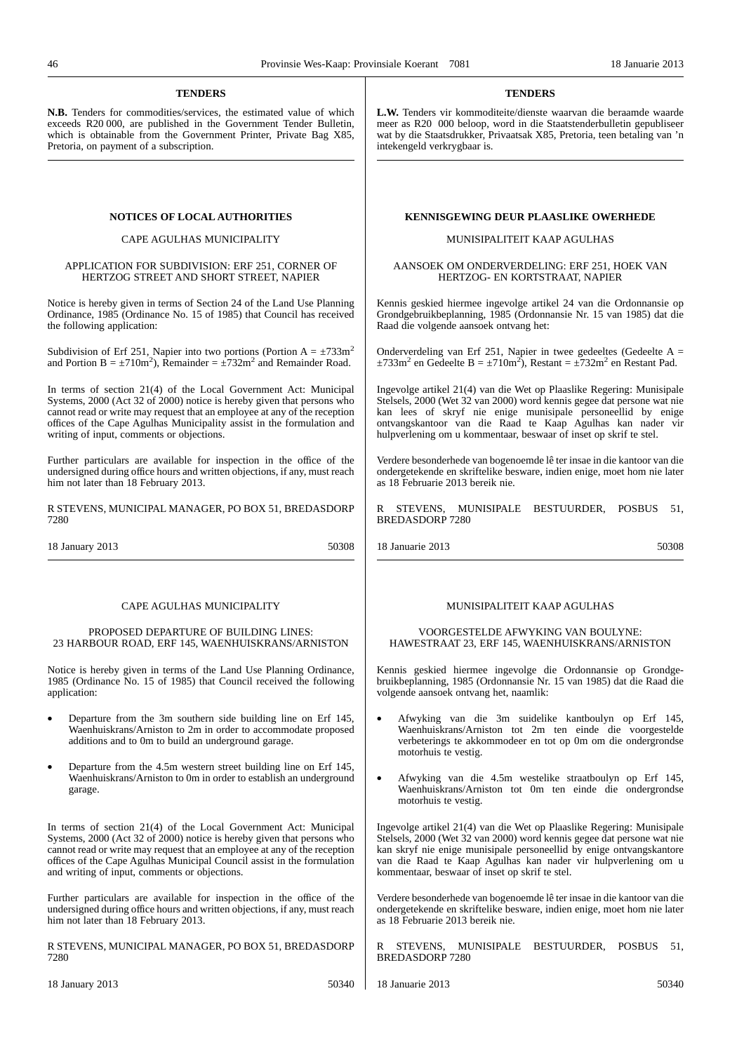#### **TENDERS**

**N.B.** Tenders for commodities/services, the estimated value of which exceeds R20 000, are published in the Government Tender Bulletin. which is obtainable from the Government Printer, Private Bag X85, Pretoria, on payment of a subscription.

#### CAPE AGULHAS MUNICIPALITY

#### APPLICATION FOR SUBDIVISION: ERF 251, CORNER OF HERTZOG STREET AND SHORT STREET, NAPIER

Notice is hereby given in terms of Section 24 of the Land Use Planning Ordinance, 1985 (Ordinance No. 15 of 1985) that Council has received the following application:

Subdivision of Erf 251, Napier into two portions (Portion  $A = \pm 733$ m<sup>2</sup> and Portion  $B = \pm 710 \text{m}^2$ ), Remainder  $= \pm 732 \text{m}^2$  and Remainder Road.

In terms of section 21(4) of the Local Government Act: Municipal Systems, 2000 (Act 32 of 2000) notice is hereby given that persons who cannot read or write may request that an employee at any of the reception offices of the Cape Agulhas Municipality assist in the formulation and writing of input, comments or objections.

Further particulars are available for inspection in the office of the undersigned during office hours and written objections, if any, must reach him not later than 18 February 2013.

R STEVENS, MUNICIPAL MANAGER, PO BOX 51, BREDASDORP 7280

18 January 2013 50308

#### CAPE AGULHAS MUNICIPALITY

#### PROPOSED DEPARTURE OF BUILDING LINES: 23 HARBOUR ROAD, ERF 145, WAENHUISKRANS/ARNISTON

Notice is hereby given in terms of the Land Use Planning Ordinance, 1985 (Ordinance No. 15 of 1985) that Council received the following application:

- Departure from the 3m southern side building line on Erf 145, Waenhuiskrans/Arniston to 2m in order to accommodate proposed additions and to 0m to build an underground garage.
- Departure from the 4.5m western street building line on Erf 145, Waenhuiskrans/Arniston to 0m in order to establish an underground garage.

In terms of section 21(4) of the Local Government Act: Municipal Systems, 2000 (Act 32 of 2000) notice is hereby given that persons who cannot read or write may request that an employee at any of the reception offices of the Cape Agulhas Municipal Council assist in the formulation and writing of input, comments or objections.

Further particulars are available for inspection in the office of the undersigned during office hours and written objections, if any, must reach him not later than 18 February 2013.

R STEVENS, MUNICIPAL MANAGER, PO BOX 51, BREDASDORP 7280

#### **TENDERS**

**L.W.** Tenders vir kommoditeite/dienste waarvan die beraamde waarde meer as R20 000 beloop, word in die Staatstenderbulletin gepubliseer wat by die Staatsdrukker, Privaatsak X85, Pretoria, teen betaling van 'n intekengeld verkrygbaar is.

#### **NOTICES OF LOCAL AUTHORITIES BELL BEINISGEWING DEUR PLAASLIKE OWERHEDE**

#### MUNISIPALITEIT KAAP AGULHAS

#### AANSOEK OM ONDERVERDELING: ERF 251, HOEK VAN HERTZOG- EN KORTSTRAAT, NAPIER

Kennis geskied hiermee ingevolge artikel 24 van die Ordonnansie op Grondgebruikbeplanning, 1985 (Ordonnansie Nr. 15 van 1985) dat die Raad die volgende aansoek ontvang het:

Onderverdeling van Erf 251, Napier in twee gedeeltes (Gedeelte  $A =$  $\pm 733$ m<sup>2</sup> en Gedeelte B =  $\pm 710$ m<sup>2</sup>), Restant =  $\pm 732$ m<sup>2</sup> en Restant Pad.

Ingevolge artikel 21(4) van die Wet op Plaaslike Regering: Munisipale Stelsels, 2000 (Wet 32 van 2000) word kennis gegee dat persone wat nie kan lees of skryf nie enige munisipale personeellid by enige ontvangskantoor van die Raad te Kaap Agulhas kan nader vir hulpverlening om u kommentaar, beswaar of inset op skrif te stel.

Verdere besonderhede van bogenoemde lê ter insae in die kantoor van die ondergetekende en skriftelike besware, indien enige, moet hom nie later as 18 Februarie 2013 bereik nie.

STEVENS, MUNISIPALE BESTUURDER, POSBUS 51, BREDASDORP 7280

18 Januarie 2013 50308

#### MUNISIPALITEIT KAAP AGULHAS

#### VOORGESTELDE AFWYKING VAN BOULYNE: HAWESTRAAT 23, ERF 145, WAENHUISKRANS/ARNISTON

Kennis geskied hiermee ingevolge die Ordonnansie op Grondgebruikbeplanning, 1985 (Ordonnansie Nr. 15 van 1985) dat die Raad die volgende aansoek ontvang het, naamlik:

- Afwyking van die 3m suidelike kantboulyn op Erf 145, Waenhuiskrans/Arniston tot 2m ten einde die voorgestelde verbeterings te akkommodeer en tot op 0m om die ondergrondse motorhuis te vestig.
- Afwyking van die 4.5m westelike straatboulyn op Erf 145, Waenhuiskrans/Arniston tot 0m ten einde die ondergrondse motorhuis te vestig.

Ingevolge artikel 21(4) van die Wet op Plaaslike Regering: Munisipale Stelsels, 2000 (Wet 32 van 2000) word kennis gegee dat persone wat nie kan skryf nie enige munisipale personeellid by enige ontvangskantore van die Raad te Kaap Agulhas kan nader vir hulpverlening om u kommentaar, beswaar of inset op skrif te stel.

Verdere besonderhede van bogenoemde lê ter insae in die kantoor van die ondergetekende en skriftelike besware, indien enige, moet hom nie later as 18 Februarie 2013 bereik nie.

R STEVENS, MUNISIPALE BESTUURDER, POSBUS 51, BREDASDORP 7280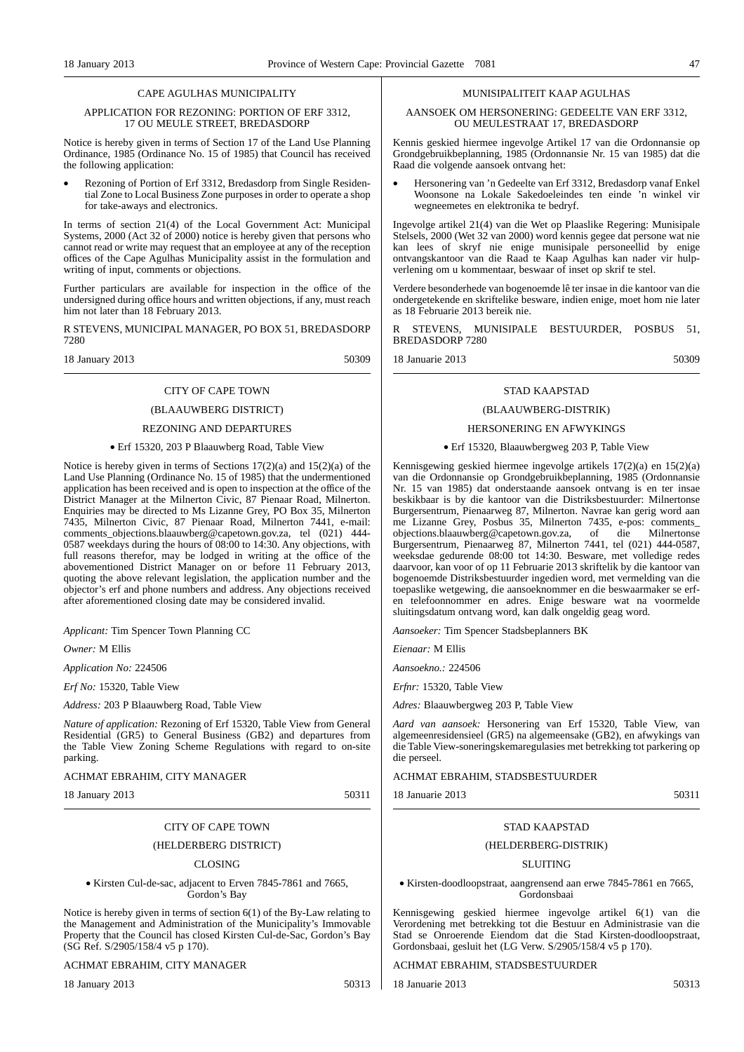#### CAPE AGULHAS MUNICIPALITY

#### APPLICATION FOR REZONING: PORTION OF ERF 3312, 17 OU MEULE STREET, BREDASDORP

Notice is hereby given in terms of Section 17 of the Land Use Planning Ordinance, 1985 (Ordinance No. 15 of 1985) that Council has received the following application:

• Rezoning of Portion of Erf 3312, Bredasdorp from Single Residential Zone to Local Business Zone purposes in order to operate a shop for take-aways and electronics.

In terms of section 21(4) of the Local Government Act: Municipal Systems, 2000 (Act 32 of 2000) notice is hereby given that persons who cannot read or write may request that an employee at any of the reception offices of the Cape Agulhas Municipality assist in the formulation and writing of input, comments or objections.

Further particulars are available for inspection in the office of the undersigned during office hours and written objections, if any, must reach him not later than 18 February 2013.

R STEVENS, MUNICIPAL MANAGER, PO BOX 51, BREDASDORP 7280

18 January 2013 50309

# CITY OF CAPE TOWN

# (BLAAUWBERG DISTRICT)

#### REZONING AND DEPARTURES

#### • Erf 15320, 203 P Blaauwberg Road, Table View

Notice is hereby given in terms of Sections 17(2)(a) and 15(2)(a) of the Land Use Planning (Ordinance No. 15 of 1985) that the undermentioned application has been received and is open to inspection at the office of the District Manager at the Milnerton Civic, 87 Pienaar Road, Milnerton. Enquiries may be directed to Ms Lizanne Grey, PO Box 35, Milnerton 7435, Milnerton Civic, 87 Pienaar Road, Milnerton 7441, e-mail: comments\_objections.blaauwberg@capetown.gov.za, tel (021) 444- 0587 weekdays during the hours of 08:00 to 14:30. Any objections, with full reasons therefor, may be lodged in writing at the office of the abovementioned District Manager on or before 11 February 2013, quoting the above relevant legislation, the application number and the objector's erf and phone numbers and address. Any objections received after aforementioned closing date may be considered invalid.

*Applicant:* Tim Spencer Town Planning CC

*Owner:* M Ellis

*Application No:* 224506

*Erf No:* 15320, Table View

*Address:* 203 P Blaauwberg Road, Table View

*Nature of application:* Rezoning of Erf 15320, Table View from General Residential (GR5) to General Business (GB2) and departures from the Table View Zoning Scheme Regulations with regard to on-site parking.

ACHMAT EBRAHIM, CITY MANAGER

18 January 2013 50311

# CITY OF CAPE TOWN

#### (HELDERBERG DISTRICT)

#### CLOSING

• Kirsten Cul-de-sac, adjacent to Erven 7845-7861 and 7665, Gordon's Bay

Notice is hereby given in terms of section 6(1) of the By-Law relating to the Management and Administration of the Municipality's Immovable Property that the Council has closed Kirsten Cul-de-Sac, Gordon's Bay (SG Ref. S/2905/158/4 v5 p 170).

#### ACHMAT EBRAHIM, CITY MANAGER

18 January 2013 50313

#### MUNISIPALITEIT KAAP AGULHAS

#### AANSOEK OM HERSONERING: GEDEELTE VAN ERF 3312, OU MEULESTRAAT 17, BREDASDORP

Kennis geskied hiermee ingevolge Artikel 17 van die Ordonnansie op Grondgebruikbeplanning, 1985 (Ordonnansie Nr. 15 van 1985) dat die Raad die volgende aansoek ontvang het:

• Hersonering van 'n Gedeelte van Erf 3312, Bredasdorp vanaf Enkel Woonsone na Lokale Sakedoeleindes ten einde 'n winkel vir wegneemetes en elektronika te bedryf.

Ingevolge artikel 21(4) van die Wet op Plaaslike Regering: Munisipale Stelsels, 2000 (Wet 32 van 2000) word kennis gegee dat persone wat nie kan lees of skryf nie enige munisipale personeellid by enige ontvangskantoor van die Raad te Kaap Agulhas kan nader vir hulpverlening om u kommentaar, beswaar of inset op skrif te stel.

Verdere besonderhede van bogenoemde lê ter insae in die kantoor van die ondergetekende en skriftelike besware, indien enige, moet hom nie later as 18 Februarie 2013 bereik nie.

R STEVENS, MUNISIPALE BESTUURDER, POSBUS 51, BREDASDORP 7280

18 Januarie 2013 50309

# STAD KAAPSTAD

# (BLAAUWBERG-DISTRIK)

#### HERSONERING EN AFWYKINGS

#### • Erf 15320, Blaauwbergweg 203 P, Table View

Kennisgewing geskied hiermee ingevolge artikels 17(2)(a) en 15(2)(a) van die Ordonnansie op Grondgebruikbeplanning, 1985 (Ordonnansie Nr. 15 van 1985) dat onderstaande aansoek ontvang is en ter insae beskikbaar is by die kantoor van die Distriksbestuurder: Milnertonse Burgersentrum, Pienaarweg 87, Milnerton. Navrae kan gerig word aan me Lizanne Grey, Posbus 35, Milnerton 7435, e-pos: comments\_ objections.blaauwberg@capetown.gov.za, of die Milnertonse Burgersentrum, Pienaarweg 87, Milnerton 7441, tel (021) 444-0587, weeksdae gedurende 08:00 tot 14:30. Besware, met volledige redes daarvoor, kan voor of op 11 Februarie 2013 skriftelik by die kantoor van bogenoemde Distriksbestuurder ingedien word, met vermelding van die toepaslike wetgewing, die aansoeknommer en die beswaarmaker se erfen telefoonnommer en adres. Enige besware wat na voormelde sluitingsdatum ontvang word, kan dalk ongeldig geag word.

*Aansoeker:* Tim Spencer Stadsbeplanners BK

*Eienaar:* M Ellis

*Aansoekno.:* 224506

*Erfnr:* 15320, Table View

*Adres:* Blaauwbergweg 203 P, Table View

*Aard van aansoek:* Hersonering van Erf 15320, Table View, van algemeenresidensieel (GR5) na algemeensake (GB2), en afwykings van die Table View-soneringskemaregulasies met betrekking tot parkering op die perseel.

#### ACHMAT EBRAHIM, STADSBESTUURDER

18 Januarie 2013 50311

#### STAD KAAPSTAD

#### (HELDERBERG-DISTRIK)

#### SLUITING

• Kirsten-doodloopstraat, aangrensend aan erwe 7845-7861 en 7665, Gordonsbaai

Kennisgewing geskied hiermee ingevolge artikel 6(1) van die Verordening met betrekking tot die Bestuur en Administrasie van die Stad se Onroerende Eiendom dat die Stad Kirsten-doodloopstraat, Gordonsbaai, gesluit het (LG Verw. S/2905/158/4 v5 p 170).

#### ACHMAT EBRAHIM, STADSBESTUURDER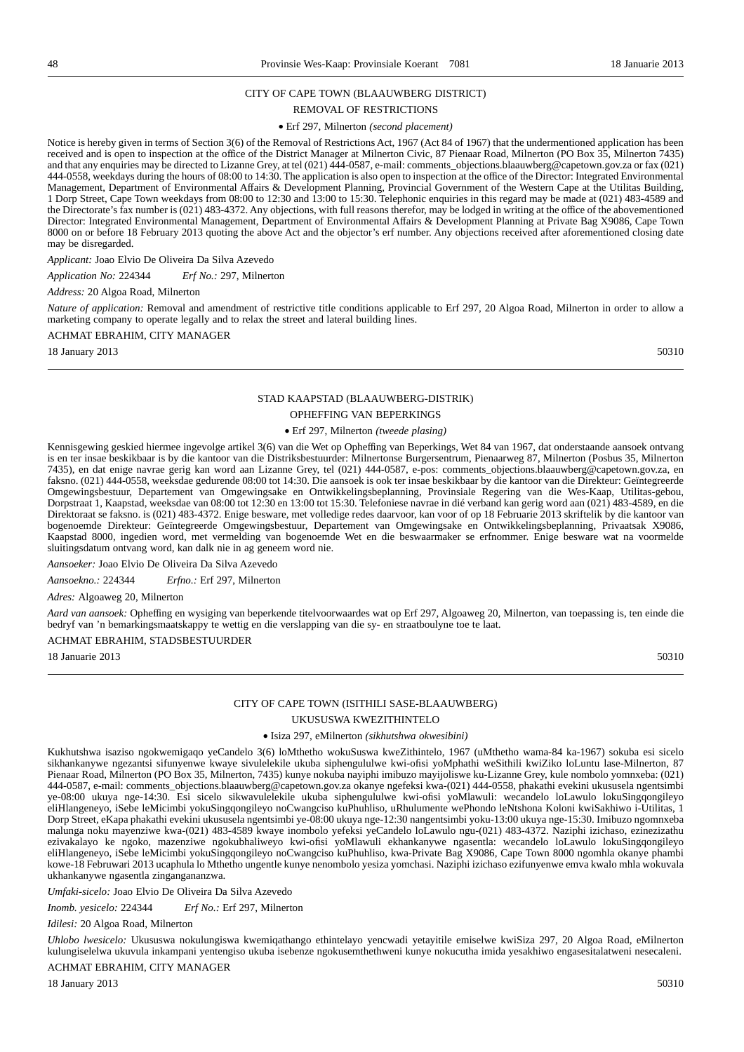#### CITY OF CAPE TOWN (BLAAUWBERG DISTRICT)

#### REMOVAL OF RESTRICTIONS

#### • Erf 297, Milnerton *(second placement)*

Notice is hereby given in terms of Section 3(6) of the Removal of Restrictions Act, 1967 (Act 84 of 1967) that the undermentioned application has been received and is open to inspection at the office of the District Manager at Milnerton Civic, 87 Pienaar Road, Milnerton (PO Box 35, Milnerton 7435) and that any enquiries may be directed to Lizanne Grey, at tel (021) 444-0587, e-mail: comments objections.blaauwberg@capetown.gov.za or fax (021) 444-0558, weekdays during the hours of 08:00 to 14:30. The application is also open to inspection at the office of the Director: Integrated Environmental Management, Department of Environmental Affairs & Development Planning, Provincial Government of the Western Cape at the Utilitas Building, 1 Dorp Street, Cape Town weekdays from 08:00 to 12:30 and 13:00 to 15:30. Telephonic enquiries in this regard may be made at (021) 483-4589 and the Directorate's fax number is (021) 483-4372. Any objections, with full reasons therefor, may be lodged in writing at the office of the abovementioned Director: Integrated Environmental Management, Department of Environmental Affairs & Development Planning at Private Bag X9086, Cape Town 8000 on or before 18 February 2013 quoting the above Act and the objector's erf number. Any objections received after aforementioned closing date may be disregarded.

*Applicant:* Joao Elvio De Oliveira Da Silva Azevedo

*Application No:* 224344 *Erf No.:* 297, Milnerton

#### *Address:* 20 Algoa Road, Milnerton

*Nature of application:* Removal and amendment of restrictive title conditions applicable to Erf 297, 20 Algoa Road, Milnerton in order to allow a marketing company to operate legally and to relax the street and lateral building lines.

#### ACHMAT EBRAHIM, CITY MANAGER

18 January 2013 50310

#### STAD KAAPSTAD (BLAAUWBERG-DISTRIK)

#### OPHEFFING VAN BEPERKINGS

#### • Erf 297, Milnerton *(tweede plasing)*

Kennisgewing geskied hiermee ingevolge artikel 3(6) van die Wet op Opheffing van Beperkings, Wet 84 van 1967, dat onderstaande aansoek ontvang is en ter insae beskikbaar is by die kantoor van die Distriksbestuurder: Milnertonse Burgersentrum, Pienaarweg 87, Milnerton (Posbus 35, Milnerton 7435), en dat enige navrae gerig kan word aan Lizanne Grey, tel (021) 444-0587, e-pos: comments\_objections.blaauwberg@capetown.gov.za, en faksno. (021) 444-0558, weeksdae gedurende 08:00 tot 14:30. Die aansoek is ook ter insae beskikbaar by die kantoor van die Direkteur: Geïntegreerde Omgewingsbestuur, Departement van Omgewingsake en Ontwikkelingsbeplanning, Provinsiale Regering van die Wes-Kaap, Utilitas-gebou, Dorpstraat 1, Kaapstad, weeksdae van 08:00 tot 12:30 en 13:00 tot 15:30. Telefoniese navrae in dié verband kan gerig word aan (021) 483-4589, en die Direktoraat se faksno. is (021) 483-4372. Enige besware, met volledige redes daarvoor, kan voor of op 18 Februarie 2013 skriftelik by die kantoor van bogenoemde Direkteur: Geïntegreerde Omgewingsbestuur, Departement van Omgewingsake en Ontwikkelingsbeplanning, Privaatsak X9086, Kaapstad 8000, ingedien word, met vermelding van bogenoemde Wet en die beswaarmaker se erfnommer. Enige besware wat na voormelde sluitingsdatum ontvang word, kan dalk nie in ag geneem word nie.

*Aansoeker:* Joao Elvio De Oliveira Da Silva Azevedo

*Aansoekno.:* 224344 *Erfno.:* Erf 297, Milnerton

*Adres:* Algoaweg 20, Milnerton

*Aard van aansoek:* Opheffing en wysiging van beperkende titelvoorwaardes wat op Erf 297, Algoaweg 20, Milnerton, van toepassing is, ten einde die bedryf van 'n bemarkingsmaatskappy te wettig en die verslapping van die sy- en straatboulyne toe te laat.

#### ACHMAT EBRAHIM, STADSBESTUURDER

18 Januarie 2013 50310

# CITY OF CAPE TOWN (ISITHILI SASE-BLAAUWBERG)

## UKUSUSWA KWEZITHINTELO

#### • Isiza 297, eMilnerton *(sikhutshwa okwesibini)*

Kukhutshwa isaziso ngokwemigaqo yeCandelo 3(6) loMthetho wokuSuswa kweZithintelo, 1967 (uMthetho wama-84 ka-1967) sokuba esi sicelo sikhankanywe ngezantsi sifunyenwe kwaye sivulelekile ukuba siphengululwe kwi-ofisi yoMphathi weSithili kwiZiko loLuntu lase-Milnerton, 87 Pienaar Road, Milnerton (PO Box 35, Milnerton, 7435) kunye nokuba nayiphi imibuzo mayijoliswe ku-Lizanne Grey, kule nombolo yomnxeba: (021) 444-0587, e-mail: comments\_objections.blaauwberg@capetown.gov.za okanye ngefeksi kwa-(021) 444-0558, phakathi evekini ukususela ngentsimbi ye-08:00 ukuya nge-14:30. Esi sicelo sikwavulelekile ukuba siphengululwe kwi-ofisi yoMlawuli: wecandelo loLawulo lokuSingqongileyo eliHlangeneyo, iSebe leMicimbi yokuSingqongileyo noCwangciso kuPhuhliso, uRhulumente wePhondo leNtshona Koloni kwiSakhiwo i-Utilitas, 1 Dorp Street, eKapa phakathi evekini ukususela ngentsimbi ye-08:00 ukuya nge-12:30 nangentsimbi yoku-13:00 ukuya nge-15:30. Imibuzo ngomnxeba malunga noku mayenziwe kwa-(021) 483-4589 kwaye inombolo yefeksi yeCandelo loLawulo ngu-(021) 483-4372. Naziphi izichaso, ezinezizathu ezivakalayo ke ngoko, mazenziwe ngokubhaliweyo kwi-ofisi yoMlawuli ekhankanywe ngasentla: wecandelo loLawulo lokuSingqongileyo eliHlangeneyo, iSebe leMicimbi yokuSingqongileyo noCwangciso kuPhuhliso, kwa-Private Bag X9086, Cape Town 8000 ngomhla okanye phambi kowe-18 Februwari 2013 ucaphula lo Mthetho ungentle kunye nenombolo yesiza yomchasi. Naziphi izichaso ezifunyenwe emva kwalo mhla wokuvala ukhankanywe ngasentla zingangananzwa.

*Umfaki-sicelo:* Joao Elvio De Oliveira Da Silva Azevedo

*Inomb. yesicelo:* 224344 *Erf No.:* Erf 297, Milnerton

*Idilesi:* 20 Algoa Road, Milnerton

*Uhlobo lwesicelo:* Ukususwa nokulungiswa kwemiqathango ethintelayo yencwadi yetayitile emiselwe kwiSiza 297, 20 Algoa Road, eMilnerton kulungiselelwa ukuvula inkampani yentengiso ukuba isebenze ngokusemthethweni kunye nokucutha imida yesakhiwo engasesitalatweni nesecaleni.

ACHMAT EBRAHIM, CITY MANAGER

18 January 2013 50310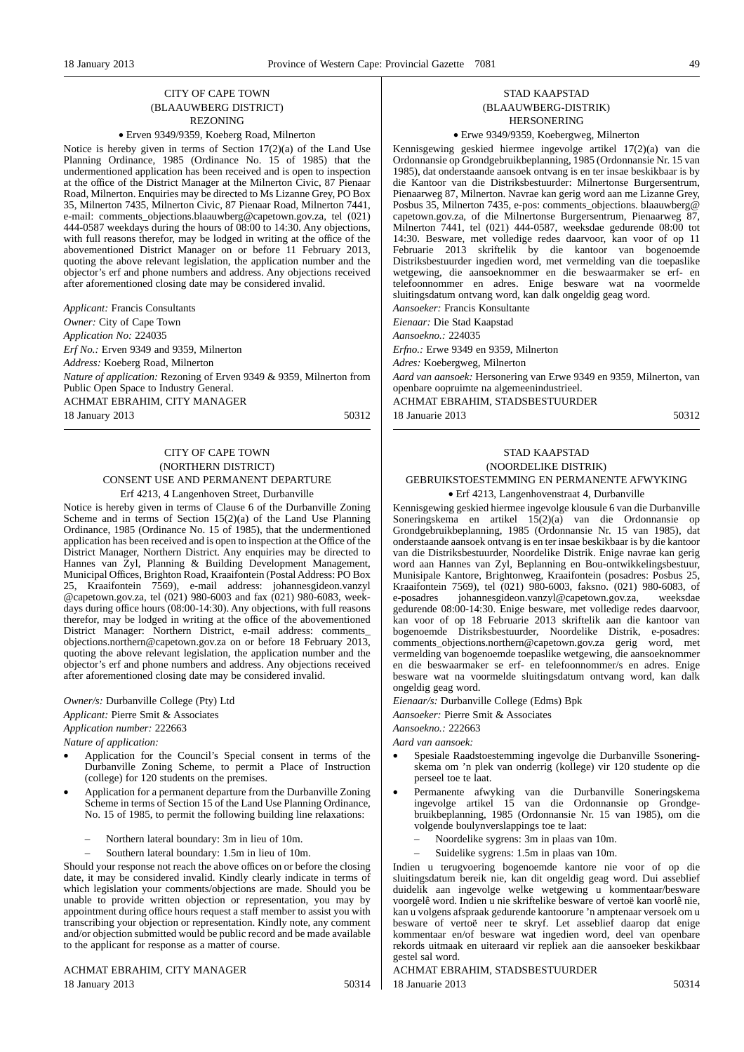#### CITY OF CAPE TOWN (BLAAUWBERG DISTRICT) REZONING

#### • Erven 9349/9359, Koeberg Road, Milnerton

Notice is hereby given in terms of Section 17(2)(a) of the Land Use Planning Ordinance, 1985 (Ordinance No. 15 of 1985) that the undermentioned application has been received and is open to inspection at the office of the District Manager at the Milnerton Civic, 87 Pienaar Road, Milnerton. Enquiries may be directed to Ms Lizanne Grey, PO Box 35, Milnerton 7435, Milnerton Civic, 87 Pienaar Road, Milnerton 7441, e-mail: comments\_objections.blaauwberg@capetown.gov.za, tel (021) 444-0587 weekdays during the hours of  $08:00$  to 14:30. Any objections, with full reasons therefor, may be lodged in writing at the office of the abovementioned District Manager on or before 11 February 2013, quoting the above relevant legislation, the application number and the objector's erf and phone numbers and address. Any objections received after aforementioned closing date may be considered invalid.

*Applicant:* Francis Consultants

*Owner:* City of Cape Town

*Application No:* 224035

*Erf No.:* Erven 9349 and 9359, Milnerton

*Address:* Koeberg Road, Milnerton

*Nature of application:* Rezoning of Erven 9349 & 9359, Milnerton from Public Open Space to Industry General.

ACHMAT EBRAHIM, CITY MANAGER

18 January 2013 50312

#### CITY OF CAPE TOWN (NORTHERN DISTRICT) CONSENT USE AND PERMANENT DEPARTURE Erf 4213, 4 Langenhoven Street, Durbanville

Notice is hereby given in terms of Clause 6 of the Durbanville Zoning Scheme and in terms of Section  $15(2)(a)$  of the Land Use Planning Ordinance, 1985 (Ordinance No. 15 of 1985), that the undermentioned application has been received and is open to inspection at the Office of the District Manager, Northern District. Any enquiries may be directed to Hannes van Zyl, Planning & Building Development Management, Municipal Offices, Brighton Road, Kraaifontein (Postal Address: PO Box 25, Kraaifontein 7569), e-mail address: johannesgideon.vanzyl @capetown.gov.za, tel (021) 980-6003 and fax (021) 980-6083, weekdays during office hours (08:00-14:30). Any objections, with full reasons therefor, may be lodged in writing at the office of the abovementioned District Manager: Northern District, e-mail address: comments\_ objections.northern@capetown.gov.za on or before 18 February 2013, quoting the above relevant legislation, the application number and the objector's erf and phone numbers and address. Any objections received after aforementioned closing date may be considered invalid.

# *Owner/s:* Durbanville College (Pty) Ltd *Applicant:* Pierre Smit & Associates

*Application number:* 222663

*Nature of application:*

- Application for the Council's Special consent in terms of the Durbanville Zoning Scheme, to permit a Place of Instruction (college) for 120 students on the premises.
- Application for a permanent departure from the Durbanville Zoning Scheme in terms of Section 15 of the Land Use Planning Ordinance, No. 15 of 1985, to permit the following building line relaxations:
	- Northern lateral boundary: 3m in lieu of 10m.
	- Southern lateral boundary: 1.5m in lieu of 10m.

Should your response not reach the above offices on or before the closing date, it may be considered invalid. Kindly clearly indicate in terms of which legislation your comments/objections are made. Should you be unable to provide written objection or representation, you may by appointment during office hours request a staff member to assist you with transcribing your objection or representation. Kindly note, any comment and/or objection submitted would be public record and be made available to the applicant for response as a matter of course.

ACHMAT EBRAHIM, CITY MANAGER 18 January 2013 50314

#### STAD KAAPSTAD (BLAAUWBERG-DISTRIK) HERSONERING

• Erwe 9349/9359, Koebergweg, Milnerton

Kennisgewing geskied hiermee ingevolge artikel 17(2)(a) van die Ordonnansie op Grondgebruikbeplanning, 1985 (Ordonnansie Nr. 15 van 1985), dat onderstaande aansoek ontvang is en ter insae beskikbaar is by die Kantoor van die Distriksbestuurder: Milnertonse Burgersentrum, Pienaarweg 87, Milnerton. Navrae kan gerig word aan me Lizanne Grey, Posbus 35, Milnerton 7435, e-pos: comments\_objections. blaauwberg@ capetown.gov.za, of die Milnertonse Burgersentrum, Pienaarweg 87, Milnerton 7441, tel (021) 444-0587, weeksdae gedurende 08:00 tot 14:30. Besware, met volledige redes daarvoor, kan voor of op 11 Februarie 2013 skriftelik by die kantoor van bogenoemde Distriksbestuurder ingedien word, met vermelding van die toepaslike wetgewing, die aansoeknommer en die beswaarmaker se erf- en telefoonnommer en adres. Enige besware wat na voormelde sluitingsdatum ontvang word, kan dalk ongeldig geag word.

*Aansoeker:* Francis Konsultante *Eienaar:* Die Stad Kaapstad

*Aansoekno.:* 224035

*Erfno.:* Erwe 9349 en 9359, Milnerton

*Adres:* Koebergweg, Milnerton

*Aard van aansoek:* Hersonering van Erwe 9349 en 9359, Milnerton, van openbare oopruimte na algemeenindustrieel.

ACHMAT EBRAHIM, STADSBESTUURDER 18 Januarie 2013 50312

#### STAD KAAPSTAD (NOORDELIKE DISTRIK) GEBRUIKSTOESTEMMING EN PERMANENTE AFWYKING

• Erf 4213, Langenhovenstraat 4, Durbanville

Kennisgewing geskied hiermee ingevolge klousule 6 van die Durbanville Soneringskema en artikel 15(2)(a) van die Ordonnansie op Grondgebruikbeplanning, 1985 (Ordonnansie Nr. 15 van 1985), dat onderstaande aansoek ontvang is en ter insae beskikbaar is by die kantoor van die Distriksbestuurder, Noordelike Distrik. Enige navrae kan gerig word aan Hannes van Zyl, Beplanning en Bou-ontwikkelingsbestuur, Munisipale Kantore, Brightonweg, Kraaifontein (posadres: Posbus 25, Kraaifontein 7569), tel (021) 980-6003, faksno. (021) 980-6083, of e-posadres johannesgideon.vanzyl@capetown.gov.za, weeksdae gedurende 08:00-14:30. Enige besware, met volledige redes daarvoor, kan voor of op 18 Februarie 2013 skriftelik aan die kantoor van bogenoemde Distriksbestuurder, Noordelike Distrik, e-posadres: comments\_objections.northern@capetown.gov.za gerig word, met vermelding van bogenoemde toepaslike wetgewing, die aansoeknommer en die beswaarmaker se erf- en telefoonnommer/s en adres. Enige besware wat na voormelde sluitingsdatum ontvang word, kan dalk ongeldig geag word.

*Eienaar/s:* Durbanville College (Edms) Bpk

*Aansoeker:* Pierre Smit & Associates

*Aansoekno.:* 222663

*Aard van aansoek:*

- Spesiale Raadstoestemming ingevolge die Durbanville Ssoneringskema om 'n plek van onderrig (kollege) vir 120 studente op die perseel toe te laat.
- Permanente afwyking van die Durbanville Soneringskema ingevolge artikel 15 van die Ordonnansie op Grondgebruikbeplanning, 1985 (Ordonnansie Nr. 15 van 1985), om die volgende boulynverslappings toe te laat:
	- Noordelike sygrens: 3m in plaas van 10m.
	- Suidelike sygrens: 1.5m in plaas van 10m.

Indien u terugvoering bogenoemde kantore nie voor of op die sluitingsdatum bereik nie, kan dit ongeldig geag word. Dui asseblief duidelik aan ingevolge welke wetgewing u kommentaar/besware voorgelê word. Indien u nie skriftelike besware of vertoë kan voorlê nie, kan u volgens afspraak gedurende kantoorure 'n amptenaar versoek om u besware of vertoë neer te skryf. Let asseblief daarop dat enige kommentaar en/of besware wat ingedien word, deel van openbare rekords uitmaak en uiteraard vir repliek aan die aansoeker beskikbaar gestel sal word.

ACHMAT EBRAHIM, STADSBESTUURDER 18 Ianuarie 2013 **50314**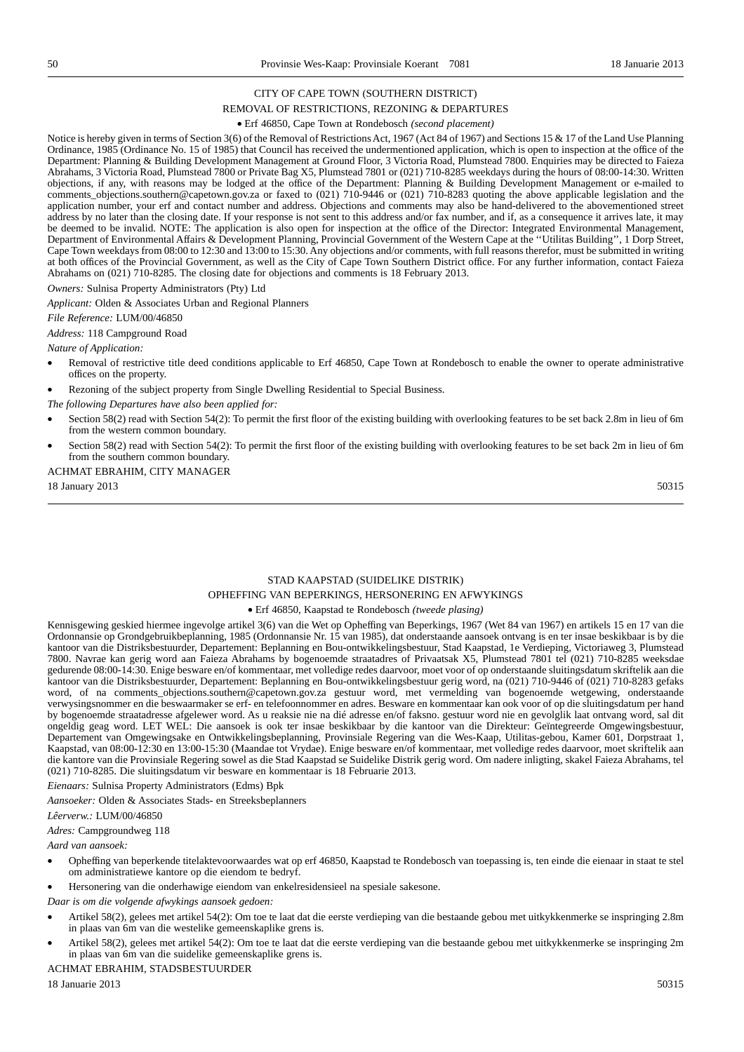#### CITY OF CAPE TOWN (SOUTHERN DISTRICT)

#### REMOVAL OF RESTRICTIONS, REZONING & DEPARTURES

#### • Erf 46850, Cape Town at Rondebosch *(second placement)*

Notice is hereby given in terms of Section 3(6) of the Removal of Restrictions Act, 1967 (Act 84 of 1967) and Sections 15 & 17 of the Land Use Planning Ordinance, 1985 (Ordinance No. 15 of 1985) that Council has received the undermentioned application, which is open to inspection at the office of the Department: Planning & Building Development Management at Ground Floor, 3 Victoria Road, Plumstead 7800. Enquiries may be directed to Faieza Abrahams, 3 Victoria Road, Plumstead 7800 or Private Bag X5, Plumstead 7801 or (021) 710-8285 weekdays during the hours of 08:00-14:30. Written objections, if any, with reasons may be lodged at the office of the Department: Planning & Building Development Management or e-mailed to comments\_objections.southern@capetown.gov.za or faxed to (021) 710-9446 or (021) 710-8283 quoting the above applicable legislation and the application number, your erf and contact number and address. Objections and comments may also be hand-delivered to the abovementioned street address by no later than the closing date. If your response is not sent to this address and/or fax number, and if, as a consequence it arrives late, it may be deemed to be invalid. NOTE: The application is also open for inspection at the office of the Director: Integrated Environmental Management, Department of Environmental Affairs & Development Planning, Provincial Government of the Western Cape at the ''Utilitas Building'', 1 Dorp Street, Cape Town weekdays from 08:00 to 12:30 and 13:00 to 15:30. Any objections and/or comments, with full reasons therefor, must be submitted in writing at both offices of the Provincial Government, as well as the City of Cape Town Southern District office. For any further information, contact Faieza Abrahams on (021) 710-8285. The closing date for objections and comments is 18 February 2013.

*Owners:* Sulnisa Property Administrators (Pty) Ltd

*Applicant:* Olden & Associates Urban and Regional Planners

*File Reference:* LUM/00/46850

*Address:* 118 Campground Road

*Nature of Application:*

- Removal of restrictive title deed conditions applicable to Erf 46850, Cape Town at Rondebosch to enable the owner to operate administrative offices on the property.
- Rezoning of the subject property from Single Dwelling Residential to Special Business.

*The following Departures have also been applied for:*

- Section 58(2) read with Section 54(2): To permit the first floor of the existing building with overlooking features to be set back 2.8m in lieu of 6m from the western common boundary.
- Section 58(2) read with Section 54(2): To permit the first floor of the existing building with overlooking features to be set back 2m in lieu of 6m from the southern common boundary.

#### ACHMAT EBRAHIM, CITY MANAGER

18 January 2013 50315

# STAD KAAPSTAD (SUIDELIKE DISTRIK) OPHEFFING VAN BEPERKINGS, HERSONERING EN AFWYKINGS

#### • Erf 46850, Kaapstad te Rondebosch *(tweede plasing)*

Kennisgewing geskied hiermee ingevolge artikel 3(6) van die Wet op Opheffing van Beperkings, 1967 (Wet 84 van 1967) en artikels 15 en 17 van die Ordonnansie op Grondgebruikbeplanning, 1985 (Ordonnansie Nr. 15 van 1985), dat onderstaande aansoek ontvang is en ter insae beskikbaar is by die kantoor van die Distriksbestuurder, Departement: Beplanning en Bou-ontwikkelingsbestuur, Stad Kaapstad, 1e Verdieping, Victoriaweg 3, Plumstead 7800. Navrae kan gerig word aan Faieza Abrahams by bogenoemde straatadres of Privaatsak X5, Plumstead 7801 tel (021) 710-8285 weeksdae gedurende 08:00-14:30. Enige besware en/of kommentaar, met volledige redes daarvoor, moet voor of op onderstaande sluitingsdatum skriftelik aan die kantoor van die Distriksbestuurder, Departement: Beplanning en Bou-ontwikkelingsbestuur gerig word, na (021) 710-9446 of (021) 710-8283 gefaks word, of na comments\_objections.southern@capetown.gov.za gestuur word, met vermelding van bogenoemde wetgewing, onderstaande verwysingsnommer en die beswaarmaker se erf- en telefoonnommer en adres. Besware en kommentaar kan ook voor of op die sluitingsdatum per hand by bogenoemde straatadresse afgelewer word. As u reaksie nie na dié adresse en/of faksno. gestuur word nie en gevolglik laat ontvang word, sal dit ongeldig geag word. LET WEL: Die aansoek is ook ter insae beskikbaar by die kantoor van die Direkteur: Geïntegreerde Omgewingsbestuur, Departement van Omgewingsake en Ontwikkelingsbeplanning, Provinsiale Regering van die Wes-Kaap, Utilitas-gebou, Kamer 601, Dorpstraat 1, Kaapstad, van 08:00-12:30 en 13:00-15:30 (Maandae tot Vrydae). Enige besware en/of kommentaar, met volledige redes daarvoor, moet skriftelik aan die kantore van die Provinsiale Regering sowel as die Stad Kaapstad se Suidelike Distrik gerig word. Om nadere inligting, skakel Faieza Abrahams, tel (021) 710-8285. Die sluitingsdatum vir besware en kommentaar is 18 Februarie 2013.

*Eienaars:* Sulnisa Property Administrators (Edms) Bpk

*Aansoeker:* Olden & Associates Stads- en Streeksbeplanners

#### *Lêerverw.:* LUM/00/46850

*Adres:* Campgroundweg 118

*Aard van aansoek:*

- Opheffing van beperkende titelaktevoorwaardes wat op erf 46850, Kaapstad te Rondebosch van toepassing is, ten einde die eienaar in staat te stel om administratiewe kantore op die eiendom te bedryf.
- Hersonering van die onderhawige eiendom van enkelresidensieel na spesiale sakesone.

*Daar is om die volgende afwykings aansoek gedoen:*

- Artikel 58(2), gelees met artikel 54(2): Om toe te laat dat die eerste verdieping van die bestaande gebou met uitkykkenmerke se inspringing 2.8m in plaas van 6m van die westelike gemeenskaplike grens is.
- Artikel 58(2), gelees met artikel 54(2): Om toe te laat dat die eerste verdieping van die bestaande gebou met uitkykkenmerke se inspringing 2m in plaas van 6m van die suidelike gemeenskaplike grens is.

#### ACHMAT EBRAHIM, STADSBESTUURDER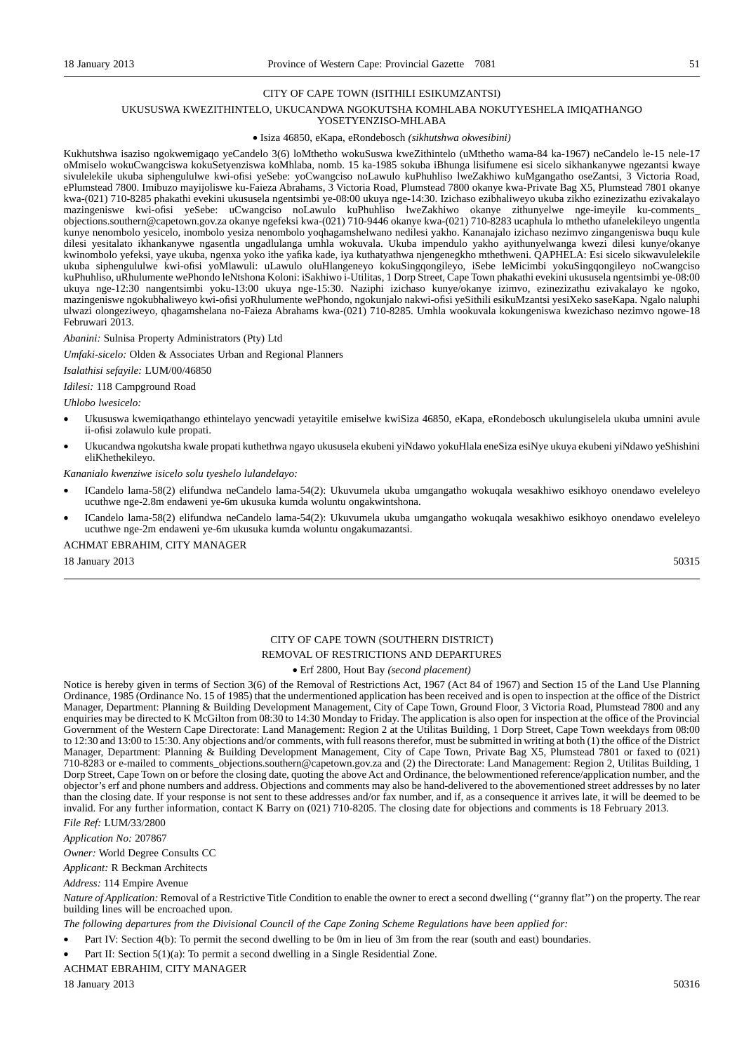#### CITY OF CAPE TOWN (ISITHILI ESIKUMZANTSI)

#### UKUSUSWA KWEZITHINTELO, UKUCANDWA NGOKUTSHA KOMHLABA NOKUTYESHELA IMIQATHANGO YOSETYENZISO-MHLABA

#### • Isiza 46850, eKapa, eRondebosch *(sikhutshwa okwesibini)*

Kukhutshwa isaziso ngokwemigaqo yeCandelo 3(6) loMthetho wokuSuswa kweZithintelo (uMthetho wama-84 ka-1967) neCandelo le-15 nele-17 oMmiselo wokuCwangciswa kokuSetyenziswa koMhlaba, nomb. 15 ka-1985 sokuba iBhunga lisifumene esi sicelo sikhankanywe ngezantsi kwaye sivulelekile ukuba siphengululwe kwi-ofisi yeSebe: yoCwangciso noLawulo kuPhuhliso lweZakhiwo kuMgangatho oseZantsi, 3 Victoria Road, ePlumstead 7800. Imibuzo mayijoliswe ku-Faieza Abrahams, 3 Victoria Road, Plumstead 7800 okanye kwa-Private Bag X5, Plumstead 7801 okanye kwa-(021) 710-8285 phakathi evekini ukususela ngentsimbi ye-08:00 ukuya nge-14:30. Izichaso ezibhaliweyo ukuba zikho ezinezizathu ezivakalayo mazingeniswe kwi-ofisi yeSebe: uCwangciso noLawulo kuPhuhliso lweZakhiwo okanye zithunyelwe nge-imeyile ku-comments\_ objections.southern@capetown.gov.za okanye ngefeksi kwa-(021) 710-9446 okanye kwa-(021) 710-8283 ucaphula lo mthetho ufanelekileyo ungentla kunye nenombolo yesicelo, inombolo yesiza nenombolo yoqhagamshelwano nedilesi yakho. Kananajalo izichaso nezimvo zingangeniswa buqu kule dilesi yesitalato ikhankanywe ngasentla ungadlulanga umhla wokuvala. Ukuba impendulo yakho ayithunyelwanga kwezi dilesi kunye/okanye kwinombolo yefeksi, yaye ukuba, ngenxa yoko ithe yafika kade, iya kuthatyathwa njengenegkho mthethweni. QAPHELA: Esi sicelo sikwavulelekile ukuba siphengululwe kwi-ofisi yoMlawuli: uLawulo oluHlangeneyo kokuSingqongileyo, iSebe leMicimbi yokuSingqongileyo noCwangciso kuPhuhliso, uRhulumente wePhondo leNtshona Koloni: iSakhiwo i-Utilitas, 1 Dorp Street, Cape Town phakathi evekini ukususela ngentsimbi ye-08:00 ukuya nge-12:30 nangentsimbi yoku-13:00 ukuya nge-15:30. Naziphi izichaso kunye/okanye izimvo, ezinezizathu ezivakalayo ke ngoko, mazingeniswe ngokubhaliweyo kwi-ofisi yoRhulumente wePhondo, ngokunjalo nakwi-ofisi yeSithili esikuMzantsi yesiXeko saseKapa. Ngalo naluphi ulwazi olongeziweyo, qhagamshelana no-Faieza Abrahams kwa-(021) 710-8285. Umhla wookuvala kokungeniswa kwezichaso nezimvo ngowe-18 Februwari 2013.

*Abanini:* Sulnisa Property Administrators (Pty) Ltd

*Umfaki-sicelo:* Olden & Associates Urban and Regional Planners

*Isalathisi sefayile:* LUM/00/46850

*Idilesi:* 118 Campground Road

*Uhlobo lwesicelo:*

- Ukususwa kwemiqathango ethintelayo yencwadi yetayitile emiselwe kwiSiza 46850, eKapa, eRondebosch ukulungiselela ukuba umnini avule ii-ofisi zolawulo kule propati.
- Ukucandwa ngokutsha kwale propati kuthethwa ngayo ukususela ekubeni yiNdawo yokuHlala eneSiza esiNye ukuya ekubeni yiNdawo yeShishini eliKhethekileyo.

*Kananialo kwenziwe isicelo solu tyeshelo lulandelayo:*

- ICandelo lama-58(2) elifundwa neCandelo lama-54(2): Ukuvumela ukuba umgangatho wokuqala wesakhiwo esikhoyo onendawo eveleleyo ucuthwe nge-2.8m endaweni ye-6m ukusuka kumda woluntu ongakwintshona.
- ICandelo lama-58(2) elifundwa neCandelo lama-54(2): Ukuvumela ukuba umgangatho wokuqala wesakhiwo esikhoyo onendawo eveleleyo ucuthwe nge-2m endaweni ye-6m ukusuka kumda woluntu ongakumazantsi.

#### ACHMAT EBRAHIM, CITY MANAGER

18 January 2013 50315

# CITY OF CAPE TOWN (SOUTHERN DISTRICT) REMOVAL OF RESTRICTIONS AND DEPARTURES

#### • Erf 2800, Hout Bay *(second placement)*

Notice is hereby given in terms of Section 3(6) of the Removal of Restrictions Act, 1967 (Act 84 of 1967) and Section 15 of the Land Use Planning Ordinance, 1985 (Ordinance No. 15 of 1985) that the undermentioned application has been received and is open to inspection at the office of the District Manager, Department: Planning & Building Development Management, City of Cape Town, Ground Floor, 3 Victoria Road, Plumstead 7800 and any enquiries may be directed to K McGilton from 08:30 to 14:30 Monday to Friday. The application is also open for inspection at the office of the Provincial Government of the Western Cape Directorate: Land Management: Region 2 at the Utilitas Building, 1 Dorp Street, Cape Town weekdays from 08:00 to 12:30 and 13:00 to 15:30. Any objections and/or comments, with full reasons therefor, must be submitted in writing at both (1) the office of the District Manager, Department: Planning & Building Development Management, City of Cape Town, Private Bag X5, Plumstead 7801 or faxed to (021) 710-8283 or e-mailed to comments\_objections.southern@capetown.gov.za and (2) the Directorate: Land Management: Region 2, Utilitas Building, 1 Dorp Street, Cape Town on or before the closing date, quoting the above Act and Ordinance, the belowmentioned reference/application number, and the objector's erf and phone numbers and address. Objections and comments may also be hand-delivered to the abovementioned street addresses by no later than the closing date. If your response is not sent to these addresses and/or fax number, and if, as a consequence it arrives late, it will be deemed to be invalid. For any further information, contact K Barry on (021) 710-8205. The closing date for objections and comments is 18 February 2013.

*File Ref:* LUM/33/2800

*Application No:* 207867

*Owner:* World Degree Consults CC

*Applicant:* R Beckman Architects

*Address:* 114 Empire Avenue

*Nature of Application:* Removal of a Restrictive Title Condition to enable the owner to erect a second dwelling ("granny flat") on the property. The rear building lines will be encroached upon.

*The following departures from the Divisional Council of the Cape Zoning Scheme Regulations have been applied for:*

• Part IV: Section 4(b): To permit the second dwelling to be 0m in lieu of 3m from the rear (south and east) boundaries.

• Part II: Section 5(1)(a): To permit a second dwelling in a Single Residential Zone.

ACHMAT EBRAHIM, CITY MANAGER

18 January 2013 50316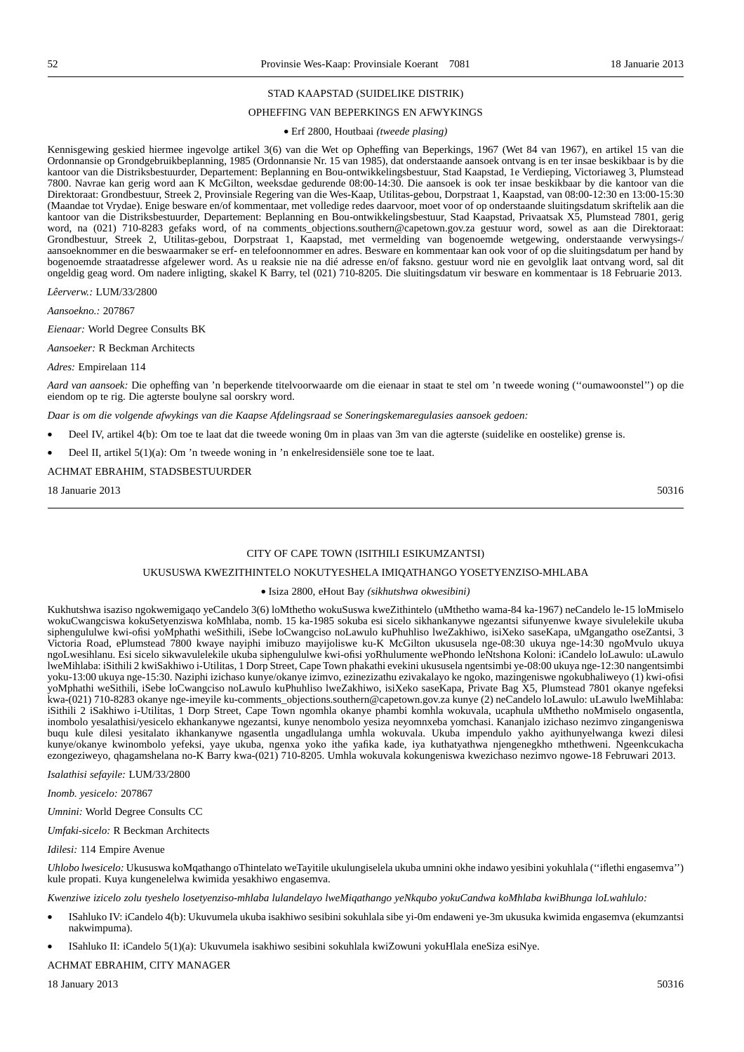#### STAD KAAPSTAD (SUIDELIKE DISTRIK)

#### OPHEFFING VAN BEPERKINGS EN AFWYKINGS

#### • Erf 2800, Houtbaai *(tweede plasing)*

Kennisgewing geskied hiermee ingevolge artikel 3(6) van die Wet op Opheffing van Beperkings, 1967 (Wet 84 van 1967), en artikel 15 van die Ordonnansie op Grondgebruikbeplanning, 1985 (Ordonnansie Nr. 15 van 1985), dat onderstaande aansoek ontvang is en ter insae beskikbaar is by die kantoor van die Distriksbestuurder, Departement: Beplanning en Bou-ontwikkelingsbestuur, Stad Kaapstad, 1e Verdieping, Victoriaweg 3, Plumstead 7800. Navrae kan gerig word aan K McGilton, weeksdae gedurende 08:00-14:30. Die aansoek is ook ter insae beskikbaar by die kantoor van die Direktoraat: Grondbestuur, Streek 2, Provinsiale Regering van die Wes-Kaap, Utilitas-gebou, Dorpstraat 1, Kaapstad, van 08:00-12:30 en 13:00-15:30 (Maandae tot Vrydae). Enige besware en/of kommentaar, met volledige redes daarvoor, moet voor of op onderstaande sluitingsdatum skriftelik aan die kantoor van die Distriksbestuurder, Departement: Beplanning en Bou-ontwikkelingsbestuur, Stad Kaapstad, Privaatsak X5, Plumstead 7801, gerig word, na (021) 710-8283 gefaks word, of na comments\_objections.southern@capetown.gov.za gestuur word, sowel as aan die Direktoraat: Grondbestuur, Streek 2, Utilitas-gebou, Dorpstraat 1, Kaapstad, met vermelding van bogenoemde wetgewing, onderstaande verwysings-/ aansoeknommer en die beswaarmaker se erf- en telefoonnommer en adres. Besware en kommentaar kan ook voor of op die sluitingsdatum per hand by bogenoemde straatadresse afgelewer word. As u reaksie nie na dié adresse en/of faksno. gestuur word nie en gevolglik laat ontvang word, sal dit ongeldig geag word. Om nadere inligting, skakel K Barry, tel (021) 710-8205. Die sluitingsdatum vir besware en kommentaar is 18 Februarie 2013.

*Lêerverw.:* LUM/33/2800

*Aansoekno.:* 207867

*Eienaar:* World Degree Consults BK

*Aansoeker:* R Beckman Architects

#### *Adres:* Empirelaan 114

Aard van aansoek: Die opheffing van 'n beperkende titelvoorwaarde om die eienaar in staat te stel om 'n tweede woning ("oumawoonstel") op die eiendom op te rig. Die agterste boulyne sal oorskry word.

*Daar is om die volgende afwykings van die Kaapse Afdelingsraad se Soneringskemaregulasies aansoek gedoen:*

- Deel IV, artikel 4(b): Om toe te laat dat die tweede woning 0m in plaas van 3m van die agterste (suidelike en oostelike) grense is.
- Deel II, artikel 5(1)(a): Om 'n tweede woning in 'n enkelresidensiële sone toe te laat.

#### ACHMAT EBRAHIM, STADSBESTUURDER

18 Januarie 2013 50316

#### CITY OF CAPE TOWN (ISITHILI ESIKUMZANTSI)

#### UKUSUSWA KWEZITHINTELO NOKUTYESHELA IMIQATHANGO YOSETYENZISO-MHLABA

#### • Isiza 2800, eHout Bay *(sikhutshwa okwesibini)*

Kukhutshwa isaziso ngokwemigaqo yeCandelo 3(6) loMthetho wokuSuswa kweZithintelo (uMthetho wama-84 ka-1967) neCandelo le-15 loMmiselo wokuCwangciswa kokuSetyenziswa koMhlaba, nomb. 15 ka-1985 sokuba esi sicelo sikhankanywe ngezantsi sifunyenwe kwaye sivulelekile ukuba siphengululwe kwi-ofisi yoMphathi weSithili, iSebe loCwangciso noLawulo kuPhuhliso lweZakhiwo, isiXeko saseKapa, uMgangatho oseZantsi, 3 Victoria Road, ePlumstead 7800 kwaye nayiphi imibuzo mayijoliswe ku-K McGilton ukususela nge-08:30 ukuya nge-14:30 ngoMvulo ukuya ngoLwesihlanu. Esi sicelo sikwavulelekile ukuba siphengululwe kwi-ofisi yoRhulumente wePhondo leNtshona Koloni: iCandelo loLawulo: uLawulo lweMihlaba: iSithili 2 kwiSakhiwo i-Utilitas, 1 Dorp Street, Cape Town phakathi evekini ukususela ngentsimbi ye-08:00 ukuya nge-12:30 nangentsimbi yoku-13:00 ukuya nge-15:30. Naziphi izichaso kunye/okanye izimvo, ezinezizathu ezivakalayo ke ngoko, mazingeniswe ngokubhaliweyo (1) kwi-ofisi yoMphathi weSithili, iSebe loCwangciso noLawulo kuPhuhliso lweZakhiwo, isiXeko saseKapa, Private Bag X5, Plumstead 7801 okanye ngefeksi kwa-(021) 710-8283 okanye nge-imeyile ku-comments\_objections.southern@capetown.gov.za kunye (2) neCandelo loLawulo: uLawulo lweMihlaba: iSithili 2 iSakhiwo i-Utilitas, 1 Dorp Street, Cape Town ngomhla okanye phambi komhla wokuvala, ucaphula uMthetho noMmiselo ongasentla, inombolo yesalathisi/yesicelo ekhankanywe ngezantsi, kunye nenombolo yesiza neyomnxeba yomchasi. Kananjalo izichaso nezimvo zingangeniswa buqu kule dilesi yesitalato ikhankanywe ngasentla ungadlulanga umhla wokuvala. Ukuba impendulo yakho ayithunyelwanga kwezi dilesi kunye/okanye kwinombolo yefeksi, yaye ukuba, ngenxa yoko ithe yafika kade, iya kuthatyathwa njengenegkho mthethweni. Ngeenkcukacha ezongeziweyo, qhagamshelana no-K Barry kwa-(021) 710-8205. Umhla wokuvala kokungeniswa kwezichaso nezimvo ngowe-18 Februwari 2013.

*Isalathisi sefayile:* LUM/33/2800

*Inomb. yesicelo:* 207867

*Umnini:* World Degree Consults CC

*Umfaki-sicelo:* R Beckman Architects

*Idilesi:* 114 Empire Avenue

*Uhlobo lwesicelo:* Ukususwa koMqathango oThintelato weTayitile ukulungiselela ukuba umnini okhe indawo yesibini yokuhlala (''iflethi engasemva'') kule propati. Kuya kungenelelwa kwimida yesakhiwo engasemva.

*Kwenziwe izicelo zolu tyeshelo losetyenziso-mhlaba lulandelayo lweMiqathango yeNkqubo yokuCandwa koMhlaba kwiBhunga loLwahlulo:*

- ISahluko IV: iCandelo 4(b): Ukuvumela ukuba isakhiwo sesibini sokuhlala sibe yi-0m endaweni ye-3m ukusuka kwimida engasemva (ekumzantsi nakwimpuma).
- ISahluko II: iCandelo 5(1)(a): Ukuvumela isakhiwo sesibini sokuhlala kwiZowuni yokuHlala eneSiza esiNye.

#### ACHMAT EBRAHIM, CITY MANAGER

18 January 2013 50316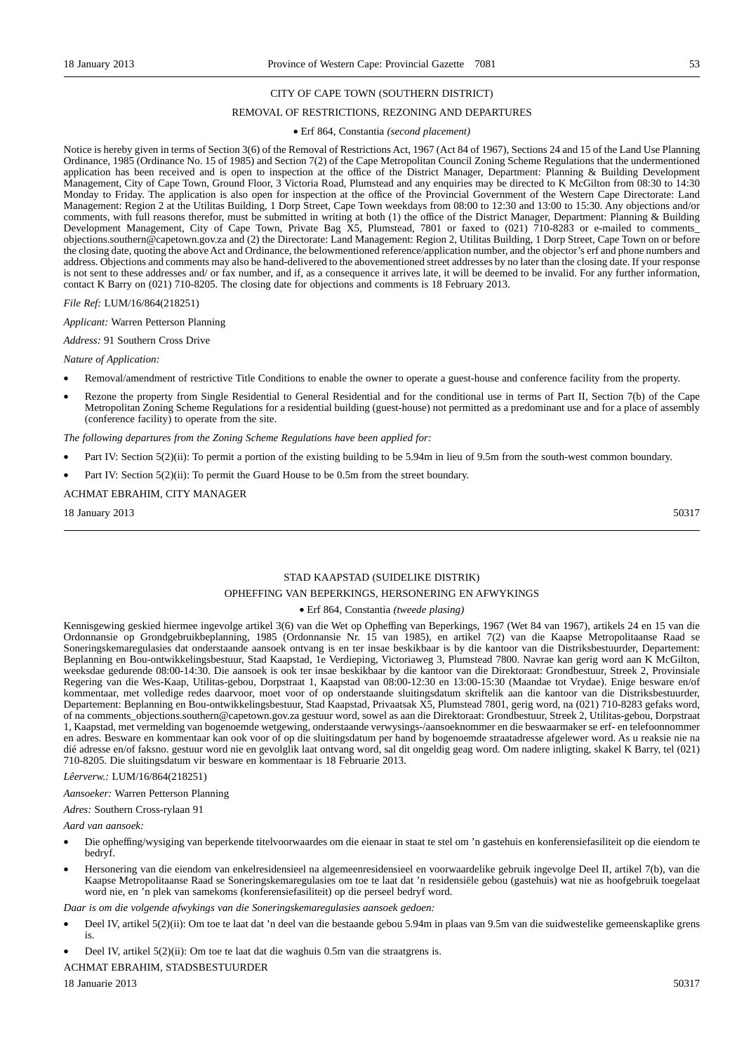#### CITY OF CAPE TOWN (SOUTHERN DISTRICT)

#### REMOVAL OF RESTRICTIONS, REZONING AND DEPARTURES

#### • Erf 864, Constantia *(second placement)*

Notice is hereby given in terms of Section 3(6) of the Removal of Restrictions Act, 1967 (Act 84 of 1967), Sections 24 and 15 of the Land Use Planning Ordinance, 1985 (Ordinance No. 15 of 1985) and Section 7(2) of the Cape Metropolitan Council Zoning Scheme Regulations that the undermentioned application has been received and is open to inspection at the office of the District Manager, Department: Planning & Building Development Management, City of Cape Town, Ground Floor, 3 Victoria Road, Plumstead and any enquiries may be directed to K McGilton from 08:30 to 14:30 Monday to Friday. The application is also open for inspection at the office of the Provincial Government of the Western Cape Directorate: Land Management: Region 2 at the Utilitas Building, 1 Dorp Street, Cape Town weekdays from 08:00 to 12:30 and 13:00 to 15:30. Any objections and/or comments, with full reasons therefor, must be submitted in writing at both (1) the office of the District Manager, Department: Planning & Building Development Management, City of Cape Town, Private Bag X5, Plumstead, 7801 or faxed to (021) 710-8283 or e-mailed to comments\_ objections.southern@capetown.gov.za and (2) the Directorate: Land Management: Region 2, Utilitas Building, 1 Dorp Street, Cape Town on or before the closing date, quoting the above Act and Ordinance, the belowmentioned reference/application number, and the objector's erf and phone numbers and address. Objections and comments may also be hand-delivered to the abovementioned street addresses by no later than the closing date. If your response is not sent to these addresses and/ or fax number, and if, as a consequence it arrives late, it will be deemed to be invalid. For any further information, contact K Barry on (021) 710-8205. The closing date for objections and comments is 18 February 2013.

*File Ref:* LUM/16/864(218251)

*Applicant:* Warren Petterson Planning

*Address:* 91 Southern Cross Drive

#### *Nature of Application:*

- Removal/amendment of restrictive Title Conditions to enable the owner to operate a guest-house and conference facility from the property.
- Rezone the property from Single Residential to General Residential and for the conditional use in terms of Part II, Section 7(b) of the Cape Metropolitan Zoning Scheme Regulations for a residential building (guest-house) not permitted as a predominant use and for a place of assembly (conference facility) to operate from the site.

*The following departures from the Zoning Scheme Regulations have been applied for:*

- Part IV: Section 5(2)(ii): To permit a portion of the existing building to be 5.94m in lieu of 9.5m from the south-west common boundary.
- Part IV: Section 5(2)(ii): To permit the Guard House to be 0.5m from the street boundary.

#### ACHMAT EBRAHIM, CITY MANAGER

18 January 2013 50317

#### STAD KAAPSTAD (SUIDELIKE DISTRIK)

#### OPHEFFING VAN BEPERKINGS, HERSONERING EN AFWYKINGS

#### • Erf 864, Constantia *(tweede plasing)*

Kennisgewing geskied hiermee ingevolge artikel 3(6) van die Wet op Opheffing van Beperkings, 1967 (Wet 84 van 1967), artikels 24 en 15 van die Ordonnansie op Grondgebruikbeplanning, 1985 (Ordonnansie Nr. 15 van 1985), en artikel 7(2) van die Kaapse Metropolitaanse Raad se Soneringskemaregulasies dat onderstaande aansoek ontvang is en ter insae beskikbaar is by die kantoor van die Distriksbestuurder, Departement: Beplanning en Bou-ontwikkelingsbestuur, Stad Kaapstad, 1e Verdieping, Victoriaweg 3, Plumstead 7800. Navrae kan gerig word aan K McGilton, weeksdae gedurende 08:00-14:30. Die aansoek is ook ter insae beskikbaar by die kantoor van die Direktoraat: Grondbestuur, Streek 2, Provinsiale Regering van die Wes-Kaap, Utilitas-gebou, Dorpstraat 1, Kaapstad van 08:00-12:30 en 13:00-15:30 (Maandae tot Vrydae). Enige besware en/of kommentaar, met volledige redes daarvoor, moet voor of op onderstaande sluitingsdatum skriftelik aan die kantoor van die Distriksbestuurder, Departement: Beplanning en Bou-ontwikkelingsbestuur, Stad Kaapstad, Privaatsak X5, Plumstead 7801, gerig word, na (021) 710-8283 gefaks word, of na comments\_objections.southern@capetown.gov.za gestuur word, sowel as aan die Direktoraat: Grondbestuur, Streek 2, Utilitas-gebou, Dorpstraat 1, Kaapstad, met vermelding van bogenoemde wetgewing, onderstaande verwysings-/aansoeknommer en die beswaarmaker se erf- en telefoonnommer en adres. Besware en kommentaar kan ook voor of op die sluitingsdatum per hand by bogenoemde straatadresse afgelewer word. As u reaksie nie na dié adresse en/of faksno. gestuur word nie en gevolglik laat ontvang word, sal dit ongeldig geag word. Om nadere inligting, skakel K Barry, tel (021) 710-8205. Die sluitingsdatum vir besware en kommentaar is 18 Februarie 2013.

#### *Lêerverw.:* LUM/16/864(218251)

*Aansoeker:* Warren Petterson Planning

*Adres:* Southern Cross-rylaan 91

*Aard van aansoek:*

- Die opheffing/wysiging van beperkende titelvoorwaardes om die eienaar in staat te stel om 'n gastehuis en konferensiefasiliteit op die eiendom te bedryf.
- Hersonering van die eiendom van enkelresidensieel na algemeenresidensieel en voorwaardelike gebruik ingevolge Deel II, artikel 7(b), van die Kaapse Metropolitaanse Raad se Soneringskemaregulasies om toe te laat dat 'n residensiële gebou (gastehuis) wat nie as hoofgebruik toegelaat word nie, en 'n plek van samekoms (konferensiefasiliteit) op die perseel bedryf word.

*Daar is om die volgende afwykings van die Soneringskemaregulasies aansoek gedoen:*

- Deel IV, artikel 5(2)(ii): Om toe te laat dat 'n deel van die bestaande gebou 5.94m in plaas van 9.5m van die suidwestelike gemeenskaplike grens is.
- Deel IV, artikel 5(2)(ii): Om toe te laat dat die waghuis 0.5m van die straatgrens is.

ACHMAT EBRAHIM, STADSBESTUURDER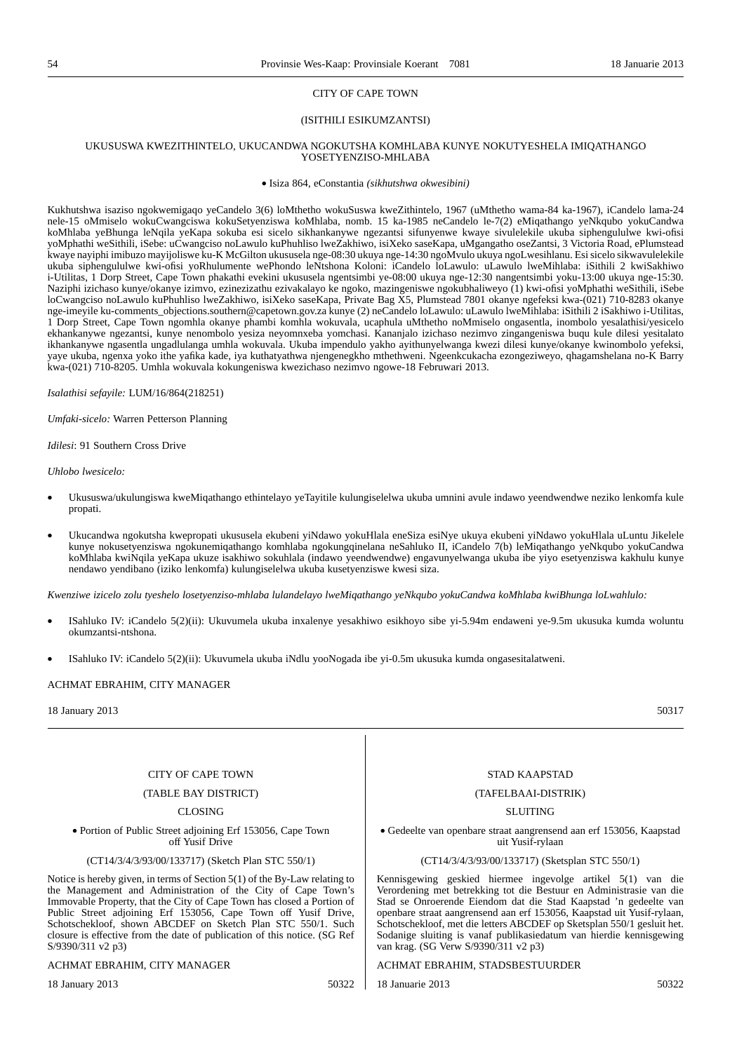#### (ISITHILI ESIKUMZANTSI)

#### UKUSUSWA KWEZITHINTELO, UKUCANDWA NGOKUTSHA KOMHLABA KUNYE NOKUTYESHELA IMIQATHANGO YOSETYENZISO-MHLABA

• Isiza 864, eConstantia *(sikhutshwa okwesibini)*

Kukhutshwa isaziso ngokwemigaqo yeCandelo 3(6) loMthetho wokuSuswa kweZithintelo, 1967 (uMthetho wama-84 ka-1967), iCandelo lama-24 nele-15 oMmiselo wokuCwangciswa kokuSetyenziswa koMhlaba, nomb. 15 ka-1985 neCandelo le-7(2) eMiqathango yeNkqubo yokuCandwa koMhlaba yeBhunga leNqila yeKapa sokuba esi sicelo sikhankanywe ngezantsi sifunyenwe kwaye sivulelekile ukuba siphengululwe kwi-ofisi yoMphathi weSithili, iSebe: uCwangciso noLawulo kuPhuhliso lweZakhiwo, isiXeko saseKapa, uMgangatho oseZantsi, 3 Victoria Road, ePlumstead kwaye nayiphi imibuzo mayijoliswe ku-K McGilton ukususela nge-08:30 ukuya nge-14:30 ngoMvulo ukuya ngoLwesihlanu. Esi sicelo sikwavulelekile ukuba siphengululwe kwi-ofisi yoRhulumente wePhondo leNtshona Koloni: iCandelo loLawulo: uLawulo lweMihlaba: iSithili 2 kwiSakhiwo i-Utilitas, 1 Dorp Street, Cape Town phakathi evekini ukususela ngentsimbi ye-08:00 ukuya nge-12:30 nangentsimbi yoku-13:00 ukuya nge-15:30. Naziphi izichaso kunye/okanye izimvo, ezinezizathu ezivakalayo ke ngoko, mazingeniswe ngokubhaliweyo (1) kwi-ofisi yoMphathi weSithili, iSebe loCwangciso noLawulo kuPhuhliso lweZakhiwo, isiXeko saseKapa, Private Bag X5, Plumstead 7801 okanye ngefeksi kwa-(021) 710-8283 okanye nge-imeyile ku-comments\_objections.southern@capetown.gov.za kunye (2) neCandelo loLawulo: uLawulo lweMihlaba: iSithili 2 iSakhiwo i-Utilitas, 1 Dorp Street, Cape Town ngomhla okanye phambi komhla wokuvala, ucaphula uMthetho noMmiselo ongasentla, inombolo yesalathisi/yesicelo ekhankanywe ngezantsi, kunye nenombolo yesiza neyomnxeba yomchasi. Kananjalo izichaso nezimvo zingangeniswa buqu kule dilesi yesitalato ikhankanywe ngasentla ungadlulanga umhla wokuvala. Ukuba impendulo yakho ayithunyelwanga kwezi dilesi kunye/okanye kwinombolo yefeksi, yaye ukuba, ngenxa yoko ithe yafika kade, iya kuthatyathwa njengenegkho mthethweni. Ngeenkcukacha ezongeziweyo, qhagamshelana no-K Barry kwa-(021) 710-8205. Umhla wokuvala kokungeniswa kwezichaso nezimvo ngowe-18 Februwari 2013.

*Isalathisi sefayile:* LUM/16/864(218251)

*Umfaki-sicelo:* Warren Petterson Planning

*Idilesi*: 91 Southern Cross Drive

*Uhlobo lwesicelo:*

- Ukususwa/ukulungiswa kweMiqathango ethintelayo yeTayitile kulungiselelwa ukuba umnini avule indawo yeendwendwe neziko lenkomfa kule propati.
- Ukucandwa ngokutsha kwepropati ukususela ekubeni yiNdawo yokuHlala eneSiza esiNye ukuya ekubeni yiNdawo yokuHlala uLuntu Jikelele kunye nokusetyenziswa ngokunemiqathango komhlaba ngokungqinelana neSahluko II, iCandelo 7(b) leMiqathango yeNkqubo yokuCandwa koMhlaba kwiNqila yeKapa ukuze isakhiwo sokuhlala (indawo yeendwendwe) engavunyelwanga ukuba ibe yiyo esetyenziswa kakhulu kunye nendawo yendibano (iziko lenkomfa) kulungiselelwa ukuba kusetyenziswe kwesi siza.

*Kwenziwe izicelo zolu tyeshelo losetyenziso-mhlaba lulandelayo lweMiqathango yeNkqubo yokuCandwa koMhlaba kwiBhunga loLwahlulo:*

- ISahluko IV: iCandelo 5(2)(ii): Ukuvumela ukuba inxalenye yesakhiwo esikhoyo sibe yi-5.94m endaweni ye-9.5m ukusuka kumda woluntu okumzantsi-ntshona.
- ISahluko IV: iCandelo 5(2)(ii): Ukuvumela ukuba iNdlu yooNogada ibe yi-0.5m ukusuka kumda ongasesitalatweni.

#### ACHMAT EBRAHIM, CITY MANAGER

18 January 2013 50317

#### CITY OF CAPE TOWN

(TABLE BAY DISTRICT)

CLOSING

• Portion of Public Street adjoining Erf 153056, Cape Town off Yusif Drive

(CT14/3/4/3/93/00/133717) (Sketch Plan STC 550/1)

Notice is hereby given, in terms of Section 5(1) of the By-Law relating to the Management and Administration of the City of Cape Town's Immovable Property, that the City of Cape Town has closed a Portion of Public Street adjoining Erf 153056, Cape Town off Yusif Drive, Schotschekloof, shown ABCDEF on Sketch Plan STC 550/1. Such closure is effective from the date of publication of this notice. (SG Ref S/9390/311 v2 p3)

#### ACHMAT EBRAHIM, CITY MANAGER

18 January 2013 50322

STAD KAAPSTAD

#### (TAFELBAAI-DISTRIK)

SLUITING

• Gedeelte van openbare straat aangrensend aan erf 153056, Kaapstad uit Yusif-rylaan

#### (CT14/3/4/3/93/00/133717) (Sketsplan STC 550/1)

Kennisgewing geskied hiermee ingevolge artikel 5(1) van die Verordening met betrekking tot die Bestuur en Administrasie van die Stad se Onroerende Eiendom dat die Stad Kaapstad 'n gedeelte van openbare straat aangrensend aan erf 153056, Kaapstad uit Yusif-rylaan, Schotschekloof, met die letters ABCDEF op Sketsplan 550/1 gesluit het. Sodanige sluiting is vanaf publikasiedatum van hierdie kennisgewing van krag. (SG Verw S/9390/311 v2 p3)

#### ACHMAT EBRAHIM, STADSBESTUURDER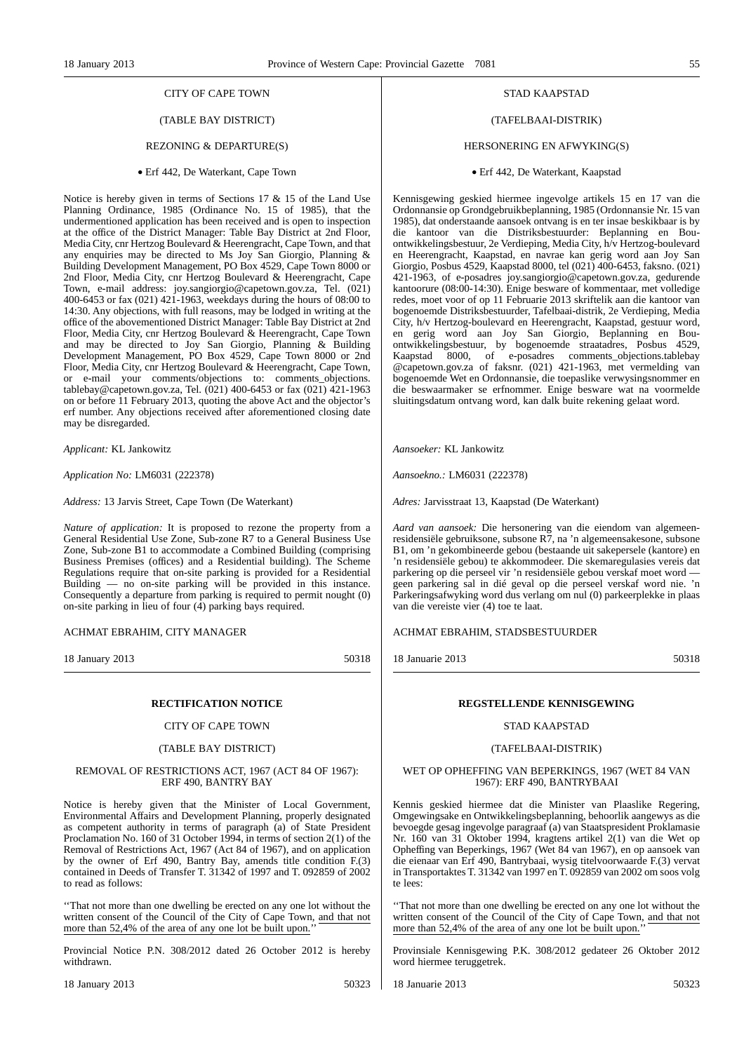### (TABLE BAY DISTRICT)

#### REZONING & DEPARTURE(S)

• Erf 442, De Waterkant, Cape Town

Notice is hereby given in terms of Sections 17 & 15 of the Land Use Planning Ordinance, 1985 (Ordinance No. 15 of 1985), that the undermentioned application has been received and is open to inspection at the office of the District Manager: Table Bay District at 2nd Floor, Media City, cnr Hertzog Boulevard & Heerengracht, Cape Town, and that any enquiries may be directed to Ms Joy San Giorgio, Planning & Building Development Management, PO Box 4529, Cape Town 8000 or 2nd Floor, Media City, cnr Hertzog Boulevard & Heerengracht, Cape Town, e-mail address: joy.sangiorgio@capetown.gov.za, Tel. (021) 400-6453 or fax (021) 421-1963, weekdays during the hours of 08:00 to 14:30. Any objections, with full reasons, may be lodged in writing at the office of the abovementioned District Manager: Table Bay District at 2nd Floor, Media City, cnr Hertzog Boulevard & Heerengracht, Cape Town and may be directed to Joy San Giorgio, Planning & Building Development Management, PO Box 4529, Cape Town 8000 or 2nd Floor, Media City, cnr Hertzog Boulevard & Heerengracht, Cape Town, or e-mail your comments/objections to: comments\_objections. tablebay@capetown.gov.za, Tel. (021) 400-6453 or fax (021) 421-1963 on or before 11 February 2013, quoting the above Act and the objector's erf number. Any objections received after aforementioned closing date may be disregarded.

*Applicant:* KL Jankowitz

*Application No:* LM6031 (222378)

*Address:* 13 Jarvis Street, Cape Town (De Waterkant)

*Nature of application:* It is proposed to rezone the property from a General Residential Use Zone, Sub-zone R7 to a General Business Use Zone, Sub-zone B1 to accommodate a Combined Building (comprising Business Premises (offices) and a Residential building). The Scheme Regulations require that on-site parking is provided for a Residential Building — no on-site parking will be provided in this instance. Consequently a departure from parking is required to permit nought (0) on-site parking in lieu of four (4) parking bays required.

#### ACHMAT EBRAHIM, CITY MANAGER

18 January 2013 50318

#### **RECTIFICATION NOTICE**

#### CITY OF CAPE TOWN

#### (TABLE BAY DISTRICT)

#### REMOVAL OF RESTRICTIONS ACT, 1967 (ACT 84 OF 1967): ERF 490, BANTRY BAY

Notice is hereby given that the Minister of Local Government, Environmental Affairs and Development Planning, properly designated as competent authority in terms of paragraph (a) of State President Proclamation No. 160 of 31 October 1994, in terms of section 2(1) of the Removal of Restrictions Act, 1967 (Act 84 of 1967), and on application by the owner of Erf 490, Bantry Bay, amends title condition F.(3) contained in Deeds of Transfer T. 31342 of 1997 and T. 092859 of 2002 to read as follows:

''That not more than one dwelling be erected on any one lot without the written consent of the Council of the City of Cape Town, and that not more than 52,4% of the area of any one lot be built upon.

Provincial Notice P.N. 308/2012 dated 26 October 2012 is hereby withdrawn.

#### STAD KAAPSTAD

#### (TAFELBAAI-DISTRIK)

#### HERSONERING EN AFWYKING(S)

#### • Erf 442, De Waterkant, Kaapstad

Kennisgewing geskied hiermee ingevolge artikels 15 en 17 van die Ordonnansie op Grondgebruikbeplanning, 1985 (Ordonnansie Nr. 15 van 1985), dat onderstaande aansoek ontvang is en ter insae beskikbaar is by die kantoor van die Distriksbestuurder: Beplanning en Bouontwikkelingsbestuur, 2e Verdieping, Media City, h/v Hertzog-boulevard en Heerengracht, Kaapstad, en navrae kan gerig word aan Joy San Giorgio, Posbus 4529, Kaapstad 8000, tel (021) 400-6453, faksno. (021) 421-1963, of e-posadres joy.sangiorgio@capetown.gov.za, gedurende kantoorure (08:00-14:30). Enige besware of kommentaar, met volledige redes, moet voor of op 11 Februarie 2013 skriftelik aan die kantoor van bogenoemde Distriksbestuurder, Tafelbaai-distrik, 2e Verdieping, Media City, h/v Hertzog-boulevard en Heerengracht, Kaapstad, gestuur word, en gerig word aan Joy San Giorgio, Beplanning en Bouontwikkelingsbestuur, by bogenoemde straatadres, Posbus 4529, Kaapstad 8000, of e-posadres comments\_objections.tablebay @capetown.gov.za of faksnr. (021) 421-1963, met vermelding van bogenoemde Wet en Ordonnansie, die toepaslike verwysingsnommer en die beswaarmaker se erfnommer. Enige besware wat na voormelde sluitingsdatum ontvang word, kan dalk buite rekening gelaat word.

*Aansoeker:* KL Jankowitz

*Aansoekno.:* LM6031 (222378)

*Adres:* Jarvisstraat 13, Kaapstad (De Waterkant)

*Aard van aansoek:* Die hersonering van die eiendom van algemeenresidensiële gebruiksone, subsone R7, na 'n algemeensakesone, subsone B1, om 'n gekombineerde gebou (bestaande uit sakepersele (kantore) en 'n residensiële gebou) te akkommodeer. Die skemaregulasies vereis dat parkering op die perseel vir 'n residensiële gebou verskaf moet word geen parkering sal in dié geval op die perseel verskaf word nie. 'n Parkeringsafwyking word dus verlang om nul (0) parkeerplekke in plaas van die vereiste vier (4) toe te laat.

#### ACHMAT EBRAHIM, STADSBESTUURDER

18 Januarie 2013 50318

#### **REGSTELLENDE KENNISGEWING**

#### STAD KAAPSTAD

#### (TAFELBAAI-DISTRIK)

#### WET OP OPHEFFING VAN BEPERKINGS, 1967 (WET 84 VAN 1967): ERF 490, BANTRYBAAI

Kennis geskied hiermee dat die Minister van Plaaslike Regering, Omgewingsake en Ontwikkelingsbeplanning, behoorlik aangewys as die bevoegde gesag ingevolge paragraaf (a) van Staatspresident Proklamasie Nr. 160 van 31 Oktober 1994, kragtens artikel 2(1) van die Wet op Opheffing van Beperkings, 1967 (Wet 84 van 1967), en op aansoek van die eienaar van Erf 490, Bantrybaai, wysig titelvoorwaarde F.(3) vervat in Transportaktes T. 31342 van 1997 en T. 092859 van 2002 om soos volg te lees:

That not more than one dwelling be erected on any one lot without the written consent of the Council of the City of Cape Town, and that not more than 52,4% of the area of any one lot be built upon.'

Provinsiale Kennisgewing P.K. 308/2012 gedateer 26 Oktober 2012 word hiermee teruggetrek.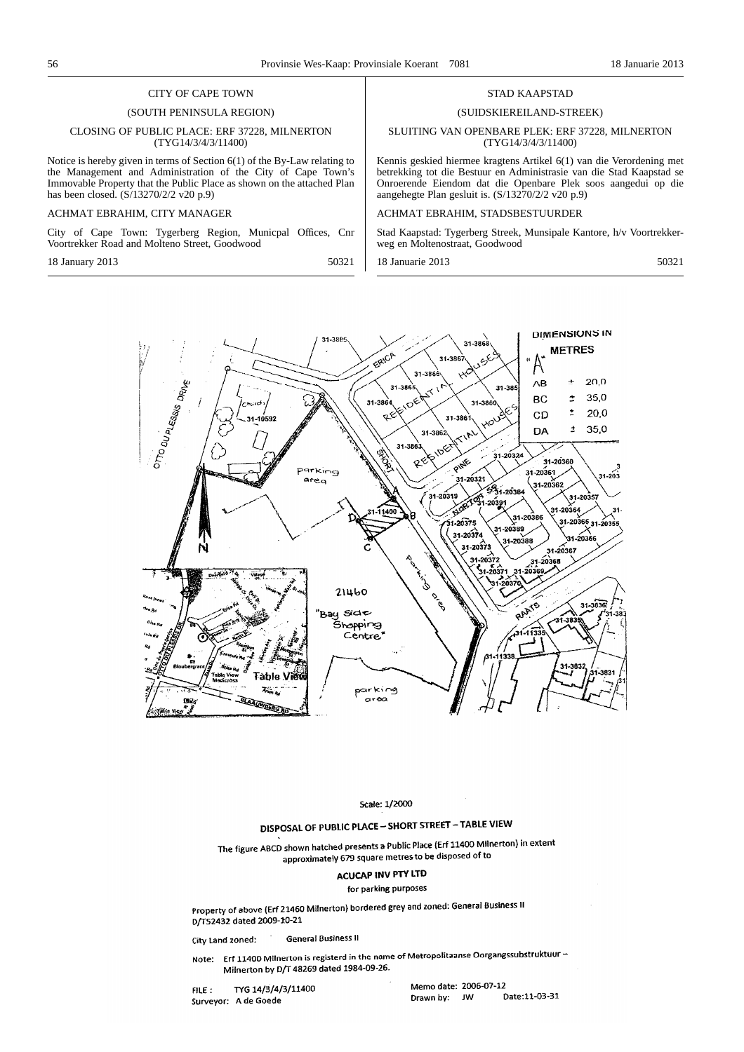#### (SOUTH PENINSULA REGION)

#### CLOSING OF PUBLIC PLACE: ERF 37228, MILNERTON (TYG14/3/4/3/11400)

Notice is hereby given in terms of Section 6(1) of the By-Law relating to the Management and Administration of the City of Cape Town's Immovable Property that the Public Place as shown on the attached Plan has been closed. (S/13270/2/2 v20 p.9)

#### ACHMAT EBRAHIM, CITY MANAGER

City of Cape Town: Tygerberg Region, Municpal Offices, Cnr Voortrekker Road and Molteno Street, Goodwood

18 January 2013 50321

#### STAD KAAPSTAD

#### (SUIDSKIEREILAND-STREEK)

#### SLUITING VAN OPENBARE PLEK: ERF 37228, MILNERTON (TYG14/3/4/3/11400)

Kennis geskied hiermee kragtens Artikel 6(1) van die Verordening met betrekking tot die Bestuur en Administrasie van die Stad Kaapstad se Onroerende Eiendom dat die Openbare Plek soos aangedui op die aangehegte Plan gesluit is. (S/13270/2/2 v20 p.9)

#### ACHMAT EBRAHIM, STADSBESTUURDER

Stad Kaapstad: Tygerberg Streek, Munsipale Kantore, h/v Voortrekkerweg en Moltenostraat, Goodwood

18 Januarie 2013 50321



Scale: 1/2000

# DISPOSAL OF PUBLIC PLACE - SHORT STREET - TABLE VIEW

The figure ABCD shown hatched presents a Public Place (Erf 11400 Milnerton) in extent approximately 679 square metres to be disposed of to

# **ACUCAP INV PTY LTD**

#### for parking purposes

Property of above (Erf 21460 Milnerton) bordered grey and zoned: General Business II D/T52432 dated 2009-10-21

**General Business II** City Land zoned:

Note: Erf 11400 Milnerton is registerd in the name of Metropolitaanse Oorgangssubstruktuur -Milnerton by D/T 48269 dated 1984-09-26.

TYG 14/3/4/3/11400  $FILE$ : Surveyor: A de Goede

Memo date: 2006-07-12 Date:11-03-31 Drawn by: JW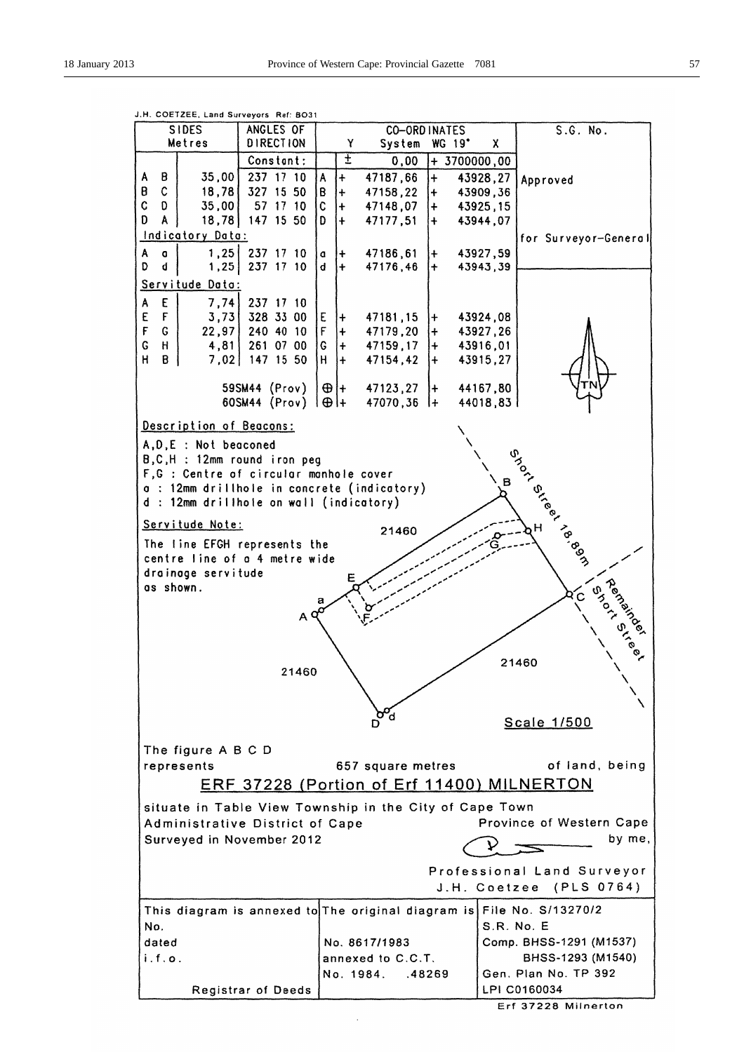

J.H. COETZEE, Land Surveyors Ref: 8031

Erf 37228 Milnerton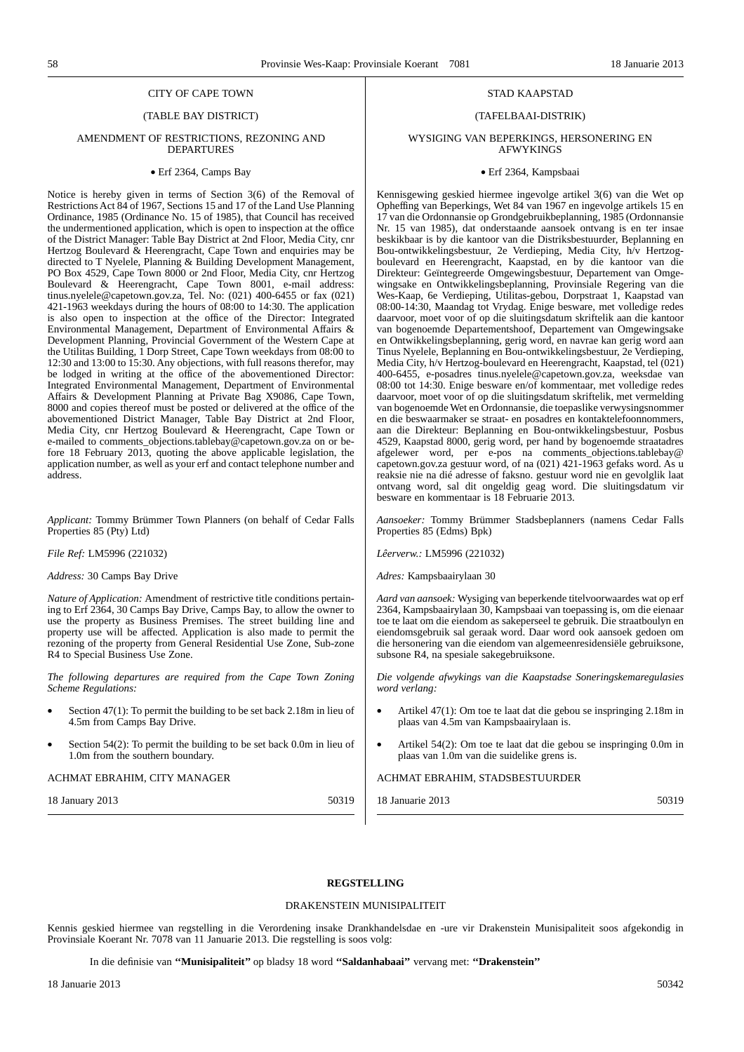# (TABLE BAY DISTRICT)

#### AMENDMENT OF RESTRICTIONS, REZONING AND DEPARTURES

#### • Erf 2364, Camps Bay

Notice is hereby given in terms of Section 3(6) of the Removal of Restrictions Act 84 of 1967, Sections 15 and 17 of the Land Use Planning Ordinance, 1985 (Ordinance No. 15 of 1985), that Council has received the undermentioned application, which is open to inspection at the office of the District Manager: Table Bay District at 2nd Floor, Media City, cnr Hertzog Boulevard & Heerengracht, Cape Town and enquiries may be directed to T Nyelele, Planning & Building Development Management, PO Box 4529, Cape Town 8000 or 2nd Floor, Media City, cnr Hertzog Boulevard & Heerengracht, Cape Town 8001, e-mail address: tinus.nyelele@capetown.gov.za, Tel. No: (021) 400-6455 or fax (021) 421-1963 weekdays during the hours of 08:00 to 14:30. The application is also open to inspection at the office of the Director: Integrated Environmental Management, Department of Environmental Affairs & Development Planning, Provincial Government of the Western Cape at the Utilitas Building, 1 Dorp Street, Cape Town weekdays from 08:00 to 12:30 and 13:00 to 15:30. Any objections, with full reasons therefor, may be lodged in writing at the office of the abovementioned Director: Integrated Environmental Management, Department of Environmental Affairs & Development Planning at Private Bag X9086, Cape Town, 8000 and copies thereof must be posted or delivered at the office of the abovementioned District Manager, Table Bay District at 2nd Floor, Media City, cnr Hertzog Boulevard & Heerengracht, Cape Town or e-mailed to comments\_objections.tablebay@capetown.gov.za on or before 18 February 2013, quoting the above applicable legislation, the application number, as well as your erf and contact telephone number and address.

*Applicant:* Tommy Brümmer Town Planners (on behalf of Cedar Falls Properties 85 (Pty) Ltd)

#### *File Ref:* LM5996 (221032)

*Address:* 30 Camps Bay Drive

*Nature of Application:* Amendment of restrictive title conditions pertaining to Erf 2364, 30 Camps Bay Drive, Camps Bay, to allow the owner to use the property as Business Premises. The street building line and property use will be affected. Application is also made to permit the rezoning of the property from General Residential Use Zone, Sub-zone R4 to Special Business Use Zone.

*The following departures are required from the Cape Town Zoning Scheme Regulations:*

- Section 47(1): To permit the building to be set back 2.18m in lieu of 4.5m from Camps Bay Drive.
- Section 54(2): To permit the building to be set back 0.0m in lieu of 1.0m from the southern boundary.

#### ACHMAT EBRAHIM, CITY MANAGER

18 January 2013 50319

#### STAD KAAPSTAD

#### (TAFELBAAI-DISTRIK)

#### WYSIGING VAN BEPERKINGS, HERSONERING EN AFWYKINGS

#### • Erf 2364, Kampsbaai

Kennisgewing geskied hiermee ingevolge artikel 3(6) van die Wet op Opheffing van Beperkings, Wet 84 van 1967 en ingevolge artikels 15 en 17 van die Ordonnansie op Grondgebruikbeplanning, 1985 (Ordonnansie Nr. 15 van 1985), dat onderstaande aansoek ontvang is en ter insae beskikbaar is by die kantoor van die Distriksbestuurder, Beplanning en Bou-ontwikkelingsbestuur, 2e Verdieping, Media City, h/v Hertzogboulevard en Heerengracht, Kaapstad, en by die kantoor van die Direkteur: Geïntegreerde Omgewingsbestuur, Departement van Omgewingsake en Ontwikkelingsbeplanning, Provinsiale Regering van die Wes-Kaap, 6e Verdieping, Utilitas-gebou, Dorpstraat 1, Kaapstad van 08:00-14:30, Maandag tot Vrydag. Enige besware, met volledige redes daarvoor, moet voor of op die sluitingsdatum skriftelik aan die kantoor van bogenoemde Departementshoof, Departement van Omgewingsake en Ontwikkelingsbeplanning, gerig word, en navrae kan gerig word aan Tinus Nyelele, Beplanning en Bou-ontwikkelingsbestuur, 2e Verdieping, Media City, h/v Hertzog-boulevard en Heerengracht, Kaapstad, tel (021) 400-6455, e-posadres tinus.nyelele@capetown.gov.za, weeksdae van 08:00 tot 14:30. Enige besware en/of kommentaar, met volledige redes daarvoor, moet voor of op die sluitingsdatum skriftelik, met vermelding van bogenoemde Wet en Ordonnansie, die toepaslike verwysingsnommer en die beswaarmaker se straat- en posadres en kontaktelefoonnommers, aan die Direkteur: Beplanning en Bou-ontwikkelingsbestuur, Posbus 4529, Kaapstad 8000, gerig word, per hand by bogenoemde straatadres afgelewer word, per e-pos na comments\_objections.tablebay@ capetown.gov.za gestuur word, of na  $(021)$  421-1963 gefaks word. As u reaksie nie na dié adresse of faksno. gestuur word nie en gevolglik laat ontvang word, sal dit ongeldig geag word. Die sluitingsdatum vir besware en kommentaar is 18 Februarie 2013.

*Aansoeker:* Tommy Brümmer Stadsbeplanners (namens Cedar Falls Properties 85 (Edms) Bpk)

*Lêerverw.:* LM5996 (221032)

*Adres:* Kampsbaairylaan 30

*Aard van aansoek:* Wysiging van beperkende titelvoorwaardes wat op erf 2364, Kampsbaairylaan 30, Kampsbaai van toepassing is, om die eienaar toe te laat om die eiendom as sakeperseel te gebruik. Die straatboulyn en eiendomsgebruik sal geraak word. Daar word ook aansoek gedoen om die hersonering van die eiendom van algemeenresidensiële gebruiksone, subsone R4, na spesiale sakegebruiksone.

*Die volgende afwykings van die Kaapstadse Soneringskemaregulasies word verlang:*

- Artikel 47(1): Om toe te laat dat die gebou se inspringing 2.18m in plaas van 4.5m van Kampsbaairylaan is.
- Artikel 54(2): Om toe te laat dat die gebou se inspringing 0.0m in plaas van 1.0m van die suidelike grens is.

#### ACHMAT EBRAHIM, STADSBESTUURDER

18 Januarie 2013 50319

#### **REGSTELLING**

#### DRAKENSTEIN MUNISIPALITEIT

Kennis geskied hiermee van regstelling in die Verordening insake Drankhandelsdae en -ure vir Drakenstein Munisipaliteit soos afgekondig in Provinsiale Koerant Nr. 7078 van 11 Januarie 2013. Die regstelling is soos volg:

In die definisie van **''Munisipaliteit''** op bladsy 18 word **''Saldanhabaai''** vervang met: **''Drakenstein''**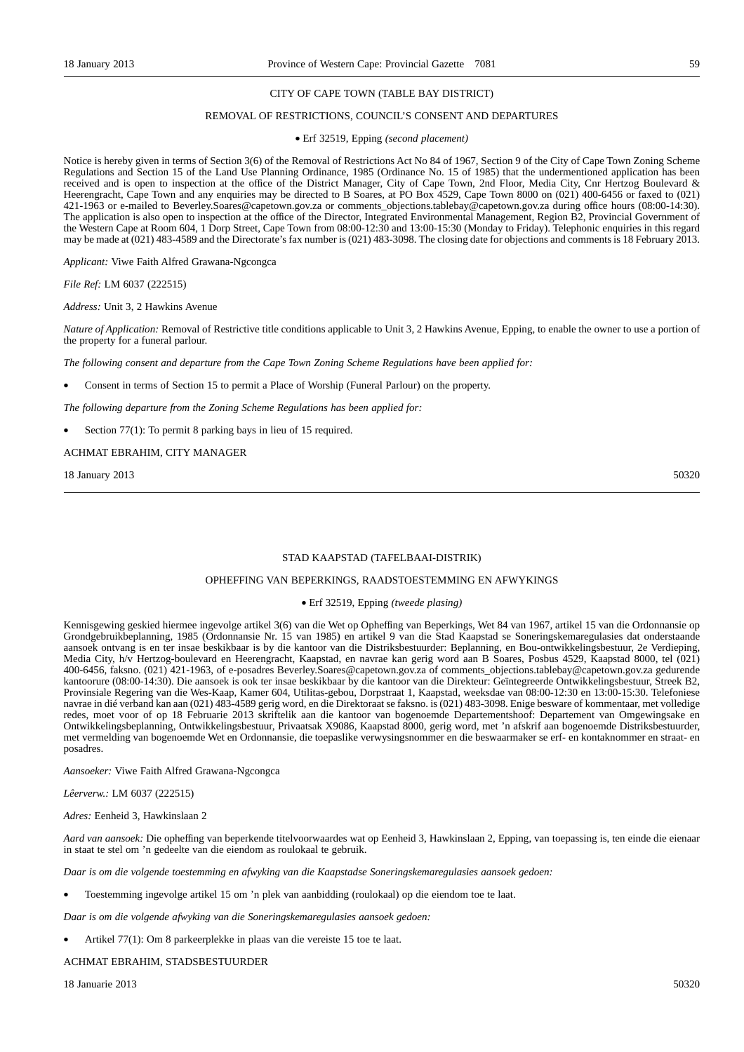#### CITY OF CAPE TOWN (TABLE BAY DISTRICT)

#### REMOVAL OF RESTRICTIONS, COUNCIL'S CONSENT AND DEPARTURES

#### • Erf 32519, Epping *(second placement)*

Notice is hereby given in terms of Section 3(6) of the Removal of Restrictions Act No 84 of 1967, Section 9 of the City of Cape Town Zoning Scheme Regulations and Section 15 of the Land Use Planning Ordinance, 1985 (Ordinance No. 15 of 1985) that the undermentioned application has been received and is open to inspection at the office of the District Manager, City of Cape Town, 2nd Floor, Media City, Cnr Hertzog Boulevard & Heerengracht, Cape Town and any enquiries may be directed to B Soares, at PO Box 4529, Cape Town 8000 on (021) 400-6456 or faxed to (021) 421-1963 or e-mailed to Beverley.Soares@capetown.gov.za or comments\_objections.tablebay@capetown.gov.za during office hours (08:00-14:30). The application is also open to inspection at the office of the Director, Integrated Environmental Management, Region B2, Provincial Government of the Western Cape at Room 604, 1 Dorp Street, Cape Town from 08:00-12:30 and 13:00-15:30 (Monday to Friday). Telephonic enquiries in this regard may be made at (021) 483-4589 and the Directorate's fax number is (021) 483-3098. The closing date for objections and comments is 18 February 2013.

*Applicant:* Viwe Faith Alfred Grawana-Ngcongca

*File Ref:* LM 6037 (222515)

*Address:* Unit 3, 2 Hawkins Avenue

*Nature of Application:* Removal of Restrictive title conditions applicable to Unit 3, 2 Hawkins Avenue, Epping, to enable the owner to use a portion of the property for a funeral parlour.

*The following consent and departure from the Cape Town Zoning Scheme Regulations have been applied for:*

• Consent in terms of Section 15 to permit a Place of Worship (Funeral Parlour) on the property.

*The following departure from the Zoning Scheme Regulations has been applied for:*

Section 77(1): To permit 8 parking bays in lieu of 15 required.

#### ACHMAT EBRAHIM, CITY MANAGER

18 January 2013 50320

#### STAD KAAPSTAD (TAFELBAAI-DISTRIK)

#### OPHEFFING VAN BEPERKINGS, RAADSTOESTEMMING EN AFWYKINGS

#### • Erf 32519, Epping *(tweede plasing)*

Kennisgewing geskied hiermee ingevolge artikel 3(6) van die Wet op Opheffing van Beperkings, Wet 84 van 1967, artikel 15 van die Ordonnansie op Grondgebruikbeplanning, 1985 (Ordonnansie Nr. 15 van 1985) en artikel 9 van die Stad Kaapstad se Soneringskemaregulasies dat onderstaande aansoek ontvang is en ter insae beskikbaar is by die kantoor van die Distriksbestuurder: Beplanning, en Bou-ontwikkelingsbestuur, 2e Verdieping, Media City, h/v Hertzog-boulevard en Heerengracht, Kaapstad, en navrae kan gerig word aan B Soares, Posbus 4529, Kaapstad 8000, tel (021) 400-6456, faksno. (021) 421-1963, of e-posadres Beverley.Soares@capetown.gov.za of comments\_objections.tablebay@capetown.gov.za gedurende kantoorure (08:00-14:30). Die aansoek is ook ter insae beskikbaar by die kantoor van die Direkteur: Geïntegreerde Ontwikkelingsbestuur, Streek B2, Provinsiale Regering van die Wes-Kaap, Kamer 604, Utilitas-gebou, Dorpstraat 1, Kaapstad, weeksdae van 08:00-12:30 en 13:00-15:30. Telefoniese navrae in dié verband kan aan (021) 483-4589 gerig word, en die Direktoraat se faksno. is (021) 483-3098. Enige besware of kommentaar, met volledige redes, moet voor of op 18 Februarie 2013 skriftelik aan die kantoor van bogenoemde Departementshoof: Departement van Omgewingsake en Ontwikkelingsbeplanning, Ontwikkelingsbestuur, Privaatsak X9086, Kaapstad 8000, gerig word, met 'n afskrif aan bogenoemde Distriksbestuurder, met vermelding van bogenoemde Wet en Ordonnansie, die toepaslike verwysingsnommer en die beswaarmaker se erf- en kontaknommer en straat- en posadres.

*Aansoeker:* Viwe Faith Alfred Grawana-Ngcongca

*Lêerverw.:* LM 6037 (222515)

*Adres:* Eenheid 3, Hawkinslaan 2

*Aard van aansoek:* Die opheffing van beperkende titelvoorwaardes wat op Eenheid 3, Hawkinslaan 2, Epping, van toepassing is, ten einde die eienaar in staat te stel om 'n gedeelte van die eiendom as roulokaal te gebruik.

*Daar is om die volgende toestemming en afwyking van die Kaapstadse Soneringskemaregulasies aansoek gedoen:*

• Toestemming ingevolge artikel 15 om 'n plek van aanbidding (roulokaal) op die eiendom toe te laat.

*Daar is om die volgende afwyking van die Soneringskemaregulasies aansoek gedoen:*

• Artikel 77(1): Om 8 parkeerplekke in plaas van die vereiste 15 toe te laat.

ACHMAT EBRAHIM, STADSBESTUURDER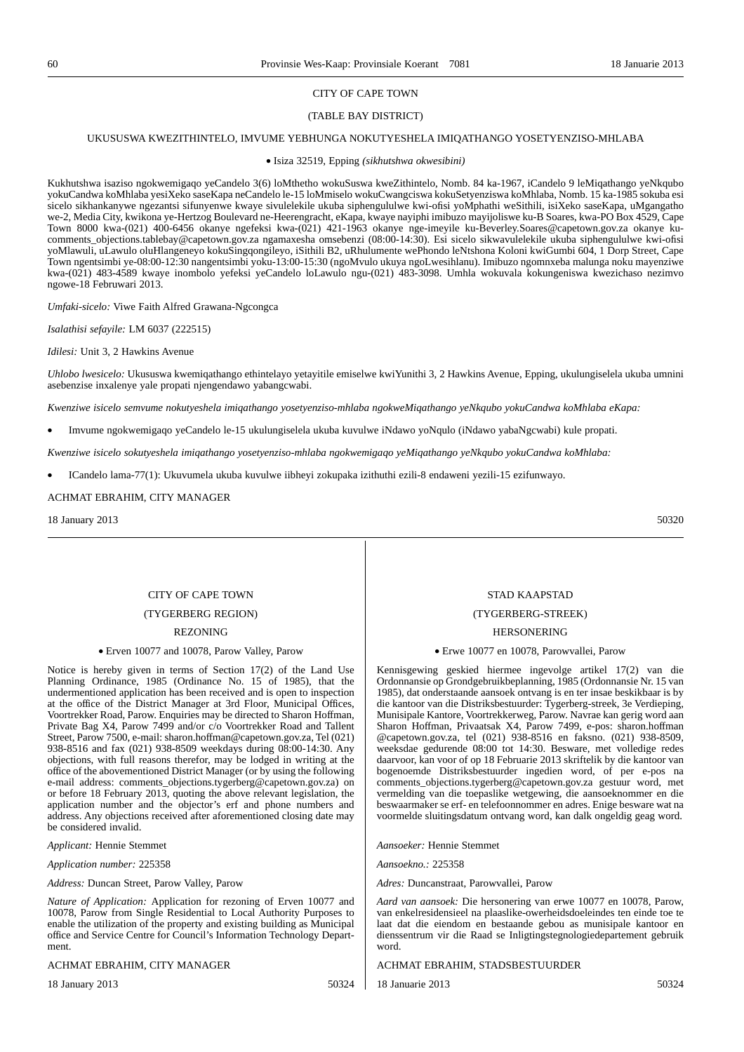#### (TABLE BAY DISTRICT)

#### UKUSUSWA KWEZITHINTELO, IMVUME YEBHUNGA NOKUTYESHELA IMIQATHANGO YOSETYENZISO-MHLABA

#### • Isiza 32519, Epping *(sikhutshwa okwesibini)*

Kukhutshwa isaziso ngokwemigaqo yeCandelo 3(6) loMthetho wokuSuswa kweZithintelo, Nomb. 84 ka-1967, iCandelo 9 leMiqathango yeNkqubo yokuCandwa koMhlaba yesiXeko saseKapa neCandelo le-15 loMmiselo wokuCwangciswa kokuSetyenziswa koMhlaba, Nomb. 15 ka-1985 sokuba esi sicelo sikhankanywe ngezantsi sifunyenwe kwaye sivulelekile ukuba siphengululwe kwi-ofisi yoMphathi weSithili, isiXeko saseKapa, uMgangatho we-2, Media City, kwikona ye-Hertzog Boulevard ne-Heerengracht, eKapa, kwaye nayiphi imibuzo mayijoliswe ku-B Soares, kwa-PO Box 4529, Cape Town 8000 kwa-(021) 400-6456 okanye ngefeksi kwa-(021) 421-1963 okanye nge-imeyile ku-Beverley.Soares@capetown.gov.za okanye kucomments\_objections.tablebay@capetown.gov.za ngamaxesha omsebenzi (08:00-14:30). Esi sicelo sikwavulelekile ukuba siphengululwe kwi-ofisi yoMlawuli, uLawulo oluHlangeneyo kokuSingqongileyo, iSithili B2, uRhulumente wePhondo leNtshona Koloni kwiGumbi 604, 1 Dorp Street, Cape Town ngentsimbi ye-08:00-12:30 nangentsimbi yoku-13:00-15:30 (ngoMvulo ukuya ngoLwesihlanu). Imibuzo ngomnxeba malunga noku mayenziwe kwa-(021) 483-4589 kwaye inombolo yefeksi yeCandelo loLawulo ngu-(021) 483-3098. Umhla wokuvala kokungeniswa kwezichaso nezimvo ngowe-18 Februwari 2013.

*Umfaki-sicelo:* Viwe Faith Alfred Grawana-Ngcongca

*Isalathisi sefayile:* LM 6037 (222515)

*Idilesi:* Unit 3, 2 Hawkins Avenue

*Uhlobo lwesicelo:* Ukususwa kwemiqathango ethintelayo yetayitile emiselwe kwiYunithi 3, 2 Hawkins Avenue, Epping, ukulungiselela ukuba umnini asebenzise inxalenye yale propati njengendawo yabangcwabi.

*Kwenziwe isicelo semvume nokutyeshela imiqathango yosetyenziso-mhlaba ngokweMiqathango yeNkqubo yokuCandwa koMhlaba eKapa:*

• Imvume ngokwemigaqo yeCandelo le-15 ukulungiselela ukuba kuvulwe iNdawo yoNqulo (iNdawo yabaNgcwabi) kule propati.

*Kwenziwe isicelo sokutyeshela imiqathango yosetyenziso-mhlaba ngokwemigaqo yeMiqathango yeNkqubo yokuCandwa koMhlaba:*

• ICandelo lama-77(1): Ukuvumela ukuba kuvulwe iibheyi zokupaka izithuthi ezili-8 endaweni yezili-15 ezifunwayo.

#### ACHMAT EBRAHIM, CITY MANAGER

18 January 2013 50320

#### CITY OF CAPE TOWN

#### (TYGERBERG REGION)

#### REZONING

#### • Erven 10077 and 10078, Parow Valley, Parow

Notice is hereby given in terms of Section 17(2) of the Land Use Planning Ordinance, 1985 (Ordinance No. 15 of 1985), that the undermentioned application has been received and is open to inspection at the office of the District Manager at 3rd Floor, Municipal Offices, Voortrekker Road, Parow. Enquiries may be directed to Sharon Hoffman, Private Bag X4, Parow 7499 and/or c/o Voortrekker Road and Tallent Street, Parow 7500, e-mail: sharon.hoffman@capetown.gov.za, Tel (021) 938-8516 and fax (021) 938-8509 weekdays during 08:00-14:30. Any objections, with full reasons therefor, may be lodged in writing at the office of the abovementioned District Manager (or by using the following e-mail address: comments\_objections.tygerberg@capetown.gov.za) on or before 18 February 2013, quoting the above relevant legislation, the application number and the objector's erf and phone numbers and address. Any objections received after aforementioned closing date may be considered invalid.

*Applicant:* Hennie Stemmet

*Application number:* 225358

*Address:* Duncan Street, Parow Valley, Parow

*Nature of Application:* Application for rezoning of Erven 10077 and 10078, Parow from Single Residential to Local Authority Purposes to enable the utilization of the property and existing building as Municipal office and Service Centre for Council's Information Technology Department.

#### ACHMAT EBRAHIM, CITY MANAGER

18 January 2013 50324

# STAD KAAPSTAD

#### (TYGERBERG-STREEK)

#### **HERSONERING**

#### • Erwe 10077 en 10078, Parowvallei, Parow

Kennisgewing geskied hiermee ingevolge artikel 17(2) van die Ordonnansie op Grondgebruikbeplanning, 1985 (Ordonnansie Nr. 15 van 1985), dat onderstaande aansoek ontvang is en ter insae beskikbaar is by die kantoor van die Distriksbestuurder: Tygerberg-streek, 3e Verdieping, Munisipale Kantore, Voortrekkerweg, Parow. Navrae kan gerig word aan Sharon Hoffman, Privaatsak X4, Parow 7499, e-pos: sharon.hoffman @capetown.gov.za, tel (021) 938-8516 en faksno. (021) 938-8509, weeksdae gedurende 08:00 tot 14:30. Besware, met volledige redes daarvoor, kan voor of op 18 Februarie 2013 skriftelik by die kantoor van bogenoemde Distriksbestuurder ingedien word, of per e-pos na comments\_objections.tygerberg@capetown.gov.za gestuur word, met vermelding van die toepaslike wetgewing, die aansoeknommer en die beswaarmaker se erf- en telefoonnommer en adres. Enige besware wat na voormelde sluitingsdatum ontvang word, kan dalk ongeldig geag word.

*Aansoeker:* Hennie Stemmet

*Aansoekno.:* 225358

*Adres:* Duncanstraat, Parowvallei, Parow

*Aard van aansoek:* Die hersonering van erwe 10077 en 10078, Parow, van enkelresidensieel na plaaslike-owerheidsdoeleindes ten einde toe te laat dat die eiendom en bestaande gebou as munisipale kantoor en dienssentrum vir die Raad se Inligtingstegnologiedepartement gebruik word.

#### ACHMAT EBRAHIM, STADSBESTUURDER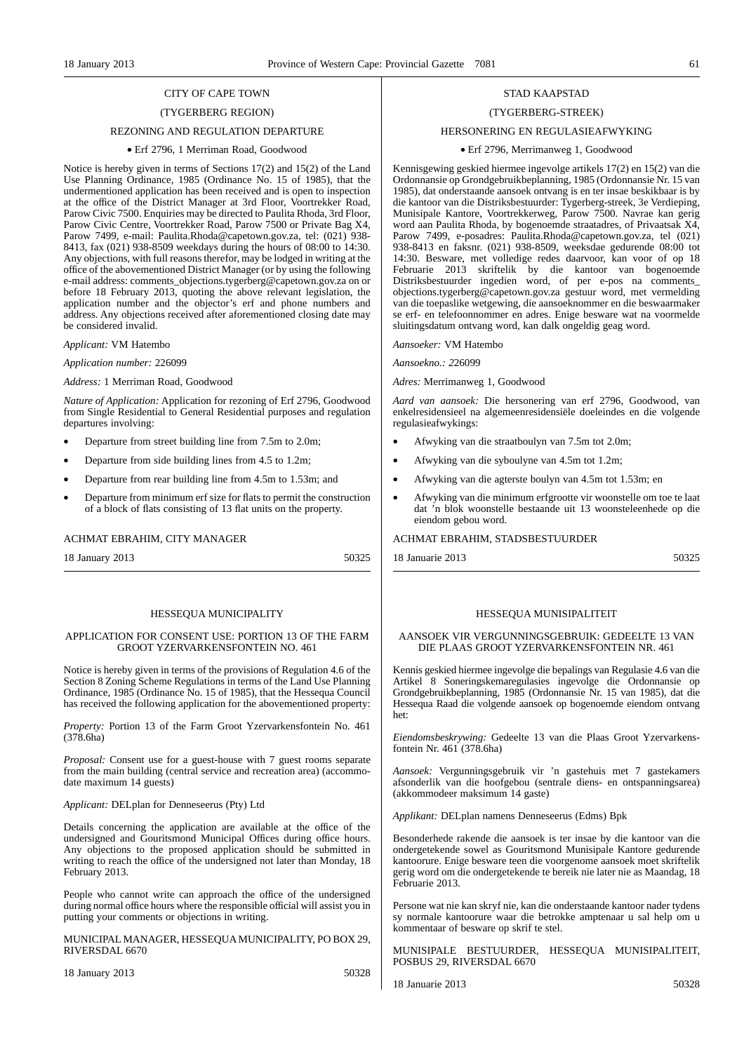#### (TYGERBERG REGION)

#### REZONING AND REGULATION DEPARTURE

#### • Erf 2796, 1 Merriman Road, Goodwood

Notice is hereby given in terms of Sections 17(2) and 15(2) of the Land Use Planning Ordinance, 1985 (Ordinance No. 15 of 1985), that the undermentioned application has been received and is open to inspection at the office of the District Manager at 3rd Floor, Voortrekker Road, Parow Civic 7500. Enquiries may be directed to Paulita Rhoda, 3rd Floor, Parow Civic Centre, Voortrekker Road, Parow 7500 or Private Bag X4, Parow 7499, e-mail: Paulita.Rhoda@capetown.gov.za, tel: (021) 938- 8413, fax (021) 938-8509 weekdays during the hours of 08:00 to 14:30. Any objections, with full reasons therefor, may be lodged in writing at the office of the abovementioned District Manager (or by using the following e-mail address: comments\_objections.tygerberg@capetown.gov.za on or before 18 February 2013, quoting the above relevant legislation, the application number and the objector's erf and phone numbers and address. Any objections received after aforementioned closing date may be considered invalid.

*Applicant:* VM Hatembo

*Application number:* 226099

*Address:* 1 Merriman Road, Goodwood

*Nature of Application:* Application for rezoning of Erf 2796, Goodwood from Single Residential to General Residential purposes and regulation departures involving:

- Departure from street building line from 7.5m to 2.0m;
- Departure from side building lines from 4.5 to 1.2m;
- Departure from rear building line from 4.5m to 1.53m; and
- Departure from minimum erf size for flats to permit the construction of a block of flats consisting of 13 flat units on the property.

#### ACHMAT EBRAHIM, CITY MANAGER

18 January 2013 50325

#### HESSEQUA MUNICIPALITY

#### APPLICATION FOR CONSENT USE: PORTION 13 OF THE FARM GROOT YZERVARKENSFONTEIN NO. 461

Notice is hereby given in terms of the provisions of Regulation 4.6 of the Section 8 Zoning Scheme Regulations in terms of the Land Use Planning Ordinance, 1985 (Ordinance No. 15 of 1985), that the Hessequa Council has received the following application for the abovementioned property:

*Property:* Portion 13 of the Farm Groot Yzervarkensfontein No. 461 (378.6ha)

*Proposal:* Consent use for a guest-house with 7 guest rooms separate from the main building (central service and recreation area) (accommodate maximum 14 guests)

*Applicant:* DELplan for Denneseerus (Pty) Ltd

Details concerning the application are available at the office of the undersigned and Gouritsmond Municipal Offices during office hours. Any objections to the proposed application should be submitted in writing to reach the office of the undersigned not later than Monday, 18 February 2013.

People who cannot write can approach the office of the undersigned during normal office hours where the responsible official will assist you in putting your comments or objections in writing.

MUNICIPAL MANAGER, HESSEQUA MUNICIPALITY, PO BOX 29, RIVERSDAL 6670

18 January 2013 50328

#### STAD KAAPSTAD

#### (TYGERBERG-STREEK)

### HERSONERING EN REGULASIEAFWYKING

#### • Erf 2796, Merrimanweg 1, Goodwood

Kennisgewing geskied hiermee ingevolge artikels 17(2) en 15(2) van die Ordonnansie op Grondgebruikbeplanning, 1985 (Ordonnansie Nr. 15 van 1985), dat onderstaande aansoek ontvang is en ter insae beskikbaar is by die kantoor van die Distriksbestuurder: Tygerberg-streek, 3e Verdieping, Munisipale Kantore, Voortrekkerweg, Parow 7500. Navrae kan gerig word aan Paulita Rhoda, by bogenoemde straatadres, of Privaatsak X4, Parow 7499, e-posadres: Paulita.Rhoda@capetown.gov.za, tel (021) 938-8413 en faksnr. (021) 938-8509, weeksdae gedurende 08:00 tot 14:30. Besware, met volledige redes daarvoor, kan voor of op 18 Februarie 2013 skriftelik by die kantoor van bogenoemde Distriksbestuurder ingedien word, of per e-pos na comments\_ objections.tygerberg@capetown.gov.za gestuur word, met vermelding van die toepaslike wetgewing, die aansoeknommer en die beswaarmaker se erf- en telefoonnommer en adres. Enige besware wat na voormelde sluitingsdatum ontvang word, kan dalk ongeldig geag word.

*Aansoeker:* VM Hatembo

*Aansoekno.: 2*26099

*Adres:* Merrimanweg 1, Goodwood

*Aard van aansoek:* Die hersonering van erf 2796, Goodwood, van enkelresidensieel na algemeenresidensiële doeleindes en die volgende regulasieafwykings:

- Afwyking van die straatboulyn van 7.5m tot 2.0m;
- Afwyking van die syboulyne van 4.5m tot 1.2m;
- Afwyking van die agterste boulyn van 4.5m tot 1.53m; en
- Afwyking van die minimum erfgrootte vir woonstelle om toe te laat dat 'n blok woonstelle bestaande uit 13 woonsteleenhede op die eiendom gebou word.

#### ACHMAT EBRAHIM, STADSBESTUURDER

18 Januarie 2013 50325

#### HESSEQUA MUNISIPALITEIT

#### AANSOEK VIR VERGUNNINGSGEBRUIK: GEDEELTE 13 VAN DIE PLAAS GROOT YZERVARKENSFONTEIN NR. 461

Kennis geskied hiermee ingevolge die bepalings van Regulasie 4.6 van die Artikel 8 Soneringskemaregulasies ingevolge die Ordonnansie op Grondgebruikbeplanning, 1985 (Ordonnansie Nr. 15 van 1985), dat die Hessequa Raad die volgende aansoek op bogenoemde eiendom ontvang het:

*Eiendomsbeskrywing:* Gedeelte 13 van die Plaas Groot Yzervarkensfontein Nr. 461 (378.6ha)

*Aansoek:* Vergunningsgebruik vir 'n gastehuis met 7 gastekamers afsonderlik van die hoofgebou (sentrale diens- en ontspanningsarea) (akkommodeer maksimum 14 gaste)

*Applikant:* DELplan namens Denneseerus (Edms) Bpk

Besonderhede rakende die aansoek is ter insae by die kantoor van die ondergetekende sowel as Gouritsmond Munisipale Kantore gedurende kantoorure. Enige besware teen die voorgenome aansoek moet skriftelik gerig word om die ondergetekende te bereik nie later nie as Maandag, 18 Februarie 2013.

Persone wat nie kan skryf nie, kan die onderstaande kantoor nader tydens sy normale kantoorure waar die betrokke amptenaar u sal help om u kommentaar of besware op skrif te stel.

MUNISIPALE BESTUURDER, HESSEQUA MUNISIPALITEIT, POSBUS 29, RIVERSDAL 6670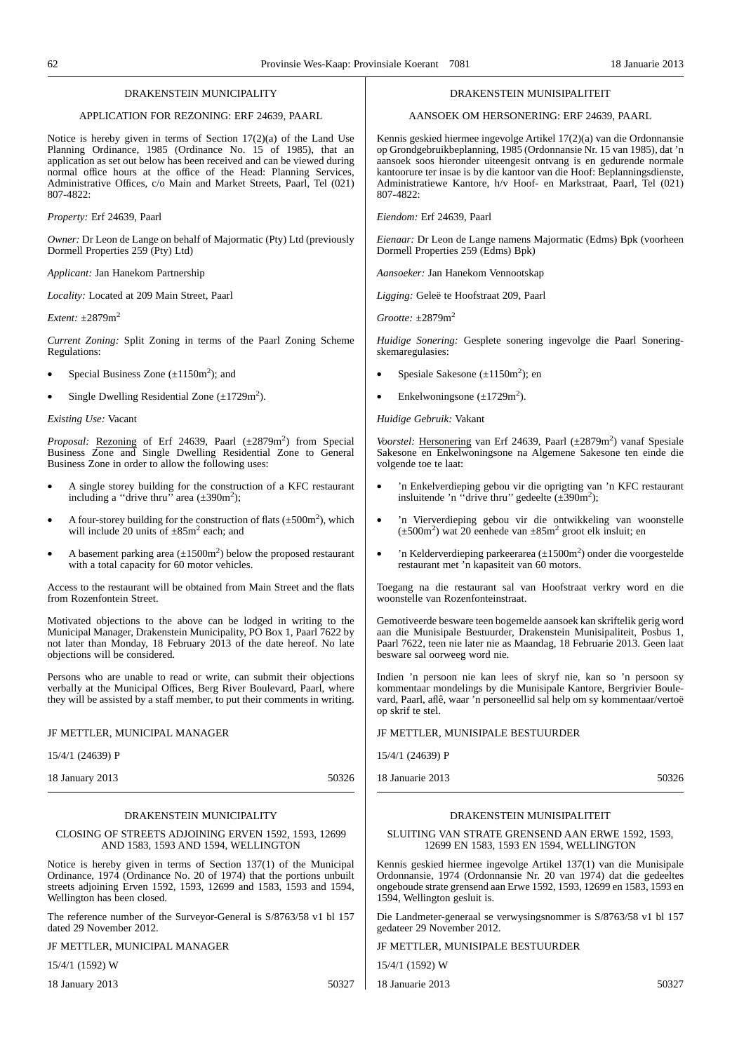| DRAKENSTEIN MUNICIPALITY                                                                                                                                                                                                                                                                                                                                                    | DRAKENSTEIN MUNISIPALITEIT                                                                                                                                                                                                                                                                                                                                                          |  |  |
|-----------------------------------------------------------------------------------------------------------------------------------------------------------------------------------------------------------------------------------------------------------------------------------------------------------------------------------------------------------------------------|-------------------------------------------------------------------------------------------------------------------------------------------------------------------------------------------------------------------------------------------------------------------------------------------------------------------------------------------------------------------------------------|--|--|
| APPLICATION FOR REZONING: ERF 24639, PAARL                                                                                                                                                                                                                                                                                                                                  | AANSOEK OM HERSONERING: ERF 24639, PAARL                                                                                                                                                                                                                                                                                                                                            |  |  |
| Notice is hereby given in terms of Section $17(2)(a)$ of the Land Use<br>Planning Ordinance, 1985 (Ordinance No. 15 of 1985), that an<br>application as set out below has been received and can be viewed during<br>normal office hours at the office of the Head: Planning Services,<br>Administrative Offices, c/o Main and Market Streets, Paarl, Tel (021)<br>807-4822: | Kennis geskied hiermee ingevolge Artikel 17(2)(a) van die Ordonnansie<br>op Grondgebruikbeplanning, 1985 (Ordonnansie Nr. 15 van 1985), dat 'n<br>aansoek soos hieronder uiteengesit ontvang is en gedurende normale<br>kantoorure ter insae is by die kantoor van die Hoof: Beplanningsdienste,<br>Administratiewe Kantore, h/v Hoof- en Markstraat, Paarl, Tel (021)<br>807-4822: |  |  |
| Property: Erf 24639, Paarl                                                                                                                                                                                                                                                                                                                                                  | Eiendom: Erf 24639, Paarl                                                                                                                                                                                                                                                                                                                                                           |  |  |
| <i>Owner:</i> Dr Leon de Lange on behalf of Majormatic (Pty) Ltd (previously<br>Dormell Properties 259 (Pty) Ltd)                                                                                                                                                                                                                                                           | <i>Eienaar:</i> Dr Leon de Lange namens Majormatic (Edms) Bpk (voorheen<br>Dormell Properties 259 (Edms) Bpk)                                                                                                                                                                                                                                                                       |  |  |
| Applicant: Jan Hanekom Partnership                                                                                                                                                                                                                                                                                                                                          | Aansoeker: Jan Hanekom Vennootskap                                                                                                                                                                                                                                                                                                                                                  |  |  |
| Locality: Located at 209 Main Street, Paarl                                                                                                                                                                                                                                                                                                                                 | Ligging: Geleë te Hoofstraat 209, Paarl                                                                                                                                                                                                                                                                                                                                             |  |  |
| Extent: $\pm 2879$ m <sup>2</sup>                                                                                                                                                                                                                                                                                                                                           | Grootte: $\pm 2879$ m <sup>2</sup>                                                                                                                                                                                                                                                                                                                                                  |  |  |
| Current Zoning: Split Zoning in terms of the Paarl Zoning Scheme<br>Regulations:                                                                                                                                                                                                                                                                                            | Huidige Sonering: Gesplete sonering ingevolge die Paarl Sonering-<br>skemaregulasies:                                                                                                                                                                                                                                                                                               |  |  |
| Special Business Zone $(\pm 1150m^2)$ ; and<br>$\bullet$                                                                                                                                                                                                                                                                                                                    | Spesiale Sakesone $(\pm 1150m^2)$ ; en                                                                                                                                                                                                                                                                                                                                              |  |  |
| Single Dwelling Residential Zone $(\pm 1729 \text{m}^2)$ .<br>$\bullet$                                                                                                                                                                                                                                                                                                     | Enkelwoningsone $(\pm 1729 \text{m}^2)$ .                                                                                                                                                                                                                                                                                                                                           |  |  |
| Existing Use: Vacant                                                                                                                                                                                                                                                                                                                                                        | Huidige Gebruik: Vakant                                                                                                                                                                                                                                                                                                                                                             |  |  |
| Proposal: Rezoning of Erf 24639, Paarl (±2879m <sup>2</sup> ) from Special<br>Business Zone and Single Dwelling Residential Zone to General<br>Business Zone in order to allow the following uses:                                                                                                                                                                          | Voorstel: Hersonering van Erf 24639, Paarl (±2879m <sup>2</sup> ) vanaf Spesiale<br>Sakesone en Enkelwoningsone na Algemene Sakesone ten einde die<br>volgende toe te laat:                                                                                                                                                                                                         |  |  |
| A single storey building for the construction of a KFC restaurant<br>$\bullet$<br>including a "drive thru" area $(\pm 390 \text{m}^2)$ ;                                                                                                                                                                                                                                    | 'n Enkelverdieping gebou vir die oprigting van 'n KFC restaurant<br>$\bullet$<br>insluitende 'n "drive thru" gedeelte $(\pm 390 \text{m}^2)$ ;                                                                                                                                                                                                                                      |  |  |
| A four-storey building for the construction of flats $(\pm 500 \text{m}^2)$ , which<br>$\bullet$<br>will include 20 units of $\pm 85$ m <sup>2</sup> each; and                                                                                                                                                                                                              | 'n Vierverdieping gebou vir die ontwikkeling van woonstelle<br>$\bullet$<br>$(\pm 500 \text{m}^2)$ wat 20 eenhede van $\pm 85 \text{m}^2$ groot elk insluit; en                                                                                                                                                                                                                     |  |  |
| A basement parking area $(\pm 1500 \text{m}^2)$ below the proposed restaurant<br>$\bullet$<br>with a total capacity for 60 motor vehicles.                                                                                                                                                                                                                                  | 'n Kelderverdieping parkeerarea $(\pm 1500 \text{m}^2)$ onder die voorgestelde<br>$\bullet$<br>restaurant met 'n kapasiteit van 60 motors.                                                                                                                                                                                                                                          |  |  |
| Access to the restaurant will be obtained from Main Street and the flats<br>from Rozenfontein Street.                                                                                                                                                                                                                                                                       | Toegang na die restaurant sal van Hoofstraat verkry word en die<br>woonstelle van Rozenfonteinstraat.                                                                                                                                                                                                                                                                               |  |  |
| Motivated objections to the above can be lodged in writing to the<br>Municipal Manager, Drakenstein Municipality, PO Box 1, Paarl 7622 by<br>not later than Monday, 18 February 2013 of the date hereof. No late<br>objections will be considered.                                                                                                                          | Gemotiveerde besware teen bogemelde aansoek kan skriftelik gerig word<br>aan die Munisipale Bestuurder, Drakenstein Munisipaliteit, Posbus 1,<br>Paarl 7622, teen nie later nie as Maandag, 18 Februarie 2013. Geen laat<br>besware sal oorweeg word nie.                                                                                                                           |  |  |
| Persons who are unable to read or write, can submit their objections<br>verbally at the Municipal Offices, Berg River Boulevard, Paarl, where<br>they will be assisted by a staff member, to put their comments in writing.                                                                                                                                                 | Indien 'n persoon nie kan lees of skryf nie, kan so 'n persoon sy<br>kommentaar mondelings by die Munisipale Kantore, Bergrivier Boule-<br>vard, Paarl, aflê, waar 'n personeellid sal help om sy kommentaar/vertoë<br>op skrif te stel.                                                                                                                                            |  |  |
| JF METTLER, MUNICIPAL MANAGER                                                                                                                                                                                                                                                                                                                                               | JF METTLER, MUNISIPALE BESTUURDER                                                                                                                                                                                                                                                                                                                                                   |  |  |
| 15/4/1 (24639) P                                                                                                                                                                                                                                                                                                                                                            | 15/4/1 (24639) P                                                                                                                                                                                                                                                                                                                                                                    |  |  |
| 18 January 2013<br>50326                                                                                                                                                                                                                                                                                                                                                    | 18 Januarie 2013<br>50326                                                                                                                                                                                                                                                                                                                                                           |  |  |
| DRAKENSTEIN MUNICIPALITY<br>CLOSING OF STREETS ADJOINING ERVEN 1592, 1593, 12699<br>AND 1583, 1593 AND 1594, WELLINGTON                                                                                                                                                                                                                                                     | DRAKENSTEIN MUNISIPALITEIT<br>SLUITING VAN STRATE GRENSEND AAN ERWE 1592, 1593,<br>12699 EN 1583, 1593 EN 1594, WELLINGTON                                                                                                                                                                                                                                                          |  |  |

Notice is hereby given in terms of Section 137(1) of the Municipal Ordinance, 1974 (Ordinance No. 20 of 1974) that the portions unbuilt streets adjoining Erven 1592, 1593, 12699 and 1583, 1593 and 1594, Wellington has been closed.

The reference number of the Surveyor-General is S/8763/58 v1 bl 157 dated 29 November 2012.

#### JF METTLER, MUNICIPAL MANAGER

15/4/1 (1592) W

Kennis geskied hiermee ingevolge Artikel 137(1) van die Munisipale Ordonnansie, 1974 (Ordonnansie Nr. 20 van 1974) dat die gedeeltes ongeboude strate grensend aan Erwe 1592, 1593, 12699 en 1583, 1593 en 1594, Wellington gesluit is.

Die Landmeter-generaal se verwysingsnommer is S/8763/58 v1 bl 157 gedateer 29 November 2012.

JF METTLER, MUNISIPALE BESTUURDER

15/4/1 (1592) W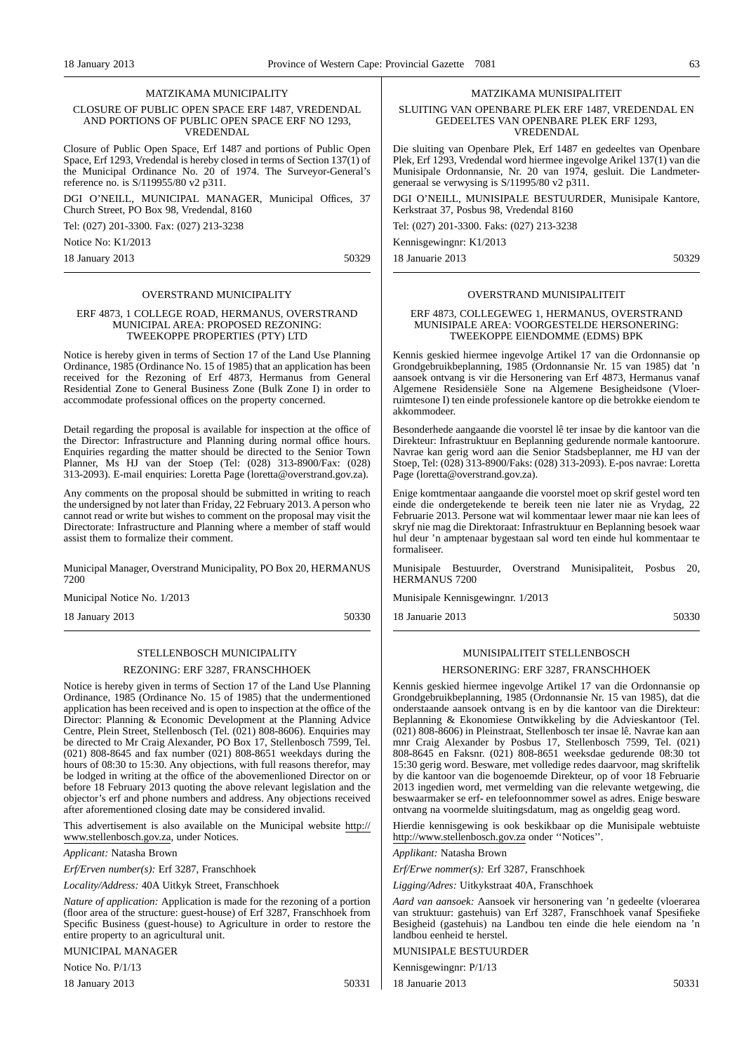#### MATZIKAMA MUNICIPALITY

#### CLOSURE OF PUBLIC OPEN SPACE ERF 1487, VREDENDAL AND PORTIONS OF PUBLIC OPEN SPACE ERF NO 1293, VREDENDAL

Closure of Public Open Space, Erf 1487 and portions of Public Open Space, Erf 1293, Vredendal is hereby closed in terms of Section 137(1) of the Municipal Ordinance No. 20 of 1974. The Surveyor-General's reference no. is S/119955/80 v2 p311.

DGI O'NEILL, MUNICIPAL MANAGER, Municipal Offices, 37 Church Street, PO Box 98, Vredendal, 8160

Tel: (027) 201-3300. Fax: (027) 213-3238

Notice No: K1/2013

18 January 2013 50329

#### OVERSTRAND MUNICIPALITY

#### ERF 4873, 1 COLLEGE ROAD, HERMANUS, OVERSTRAND MUNICIPAL AREA: PROPOSED REZONING: TWEEKOPPE PROPERTIES (PTY) LTD

Notice is hereby given in terms of Section 17 of the Land Use Planning Ordinance, 1985 (Ordinance No. 15 of 1985) that an application has been received for the Rezoning of Erf 4873, Hermanus from General Residential Zone to General Business Zone (Bulk Zone I) in order to accommodate professional offices on the property concerned.

Detail regarding the proposal is available for inspection at the office of the Director: Infrastructure and Planning during normal office hours. Enquiries regarding the matter should be directed to the Senior Town Planner, Ms HJ van der Stoep (Tel: (028) 313-8900/Fax: (028) 313-2093). E-mail enquiries: Loretta Page (loretta@overstrand.gov.za).

Any comments on the proposal should be submitted in writing to reach the undersigned by not later than Friday, 22 February 2013. A person who cannot read or write but wishes to comment on the proposal may visit the Directorate: Infrastructure and Planning where a member of staff would assist them to formalize their comment.

Municipal Manager, Overstrand Municipality, PO Box 20, HERMANUS 7200

Municipal Notice No. 1/2013

18 January 2013 50330

# STELLENBOSCH MUNICIPALITY REZONING: ERF 3287, FRANSCHHOEK

Notice is hereby given in terms of Section 17 of the Land Use Planning Ordinance, 1985 (Ordinance No. 15 of 1985) that the undermentioned application has been received and is open to inspection at the office of the Director: Planning & Economic Development at the Planning Advice Centre, Plein Street, Stellenbosch (Tel. (021) 808-8606). Enquiries may be directed to Mr Craig Alexander, PO Box 17, Stellenbosch 7599, Tel. (021) 808-8645 and fax number (021) 808-8651 weekdays during the hours of 08:30 to 15:30. Any objections, with full reasons therefor, may be lodged in writing at the office of the abovemenlioned Director on or before 18 February 2013 quoting the above relevant legislation and the objector's erf and phone numbers and address. Any objections received after aforementioned closing date may be considered invalid.

This advertisement is also available on the Municipal website http:// www.stellenbosch.gov.za, under Notices.

*Applicant:* Natasha Brown

*Erf/Erven number(s):* Erf 3287, Franschhoek

*Locality/Address:* 40A Uitkyk Street, Franschhoek

*Nature of application:* Application is made for the rezoning of a portion (floor area of the structure: guest-house) of Erf 3287, Franschhoek from Specific Business (guest-house) to Agriculture in order to restore the entire property to an agricultural unit.

MUNICIPAL MANAGER

Notice No. P/1/13

18 January 2013 50331

MATZIKAMA MUNISIPALITEIT

#### SLUITING VAN OPENBARE PLEK ERF 1487, VREDENDAL EN GEDEELTES VAN OPENBARE PLEK ERF 1293, VREDENDAL

Die sluiting van Openbare Plek, Erf 1487 en gedeeltes van Openbare Plek, Erf 1293, Vredendal word hiermee ingevolge Arikel 137(1) van die Munisipale Ordonnansie, Nr. 20 van 1974, gesluit. Die Landmetergeneraal se verwysing is S/11995/80 v2 p311.

DGI O'NEILL, MUNISIPALE BESTUURDER, Munisipale Kantore, Kerkstraat 37, Posbus 98, Vredendal 8160

Tel: (027) 201-3300. Faks: (027) 213-3238

Kennisgewingnr: K1/2013

18 Januarie 2013 50329

#### OVERSTRAND MUNISIPALITEIT

#### ERF 4873, COLLEGEWEG 1, HERMANUS, OVERSTRAND MUNISIPALE AREA: VOORGESTELDE HERSONERING: TWEEKOPPE ElENDOMME (EDMS) BPK

Kennis geskied hiermee ingevolge Artikel 17 van die Ordonnansie op Grondgebruikbeplanning, 1985 (Ordonnansie Nr. 15 van 1985) dat 'n aansoek ontvang is vir die Hersonering van Erf 4873, Hermanus vanaf Algemene Residensiële Sone na Algemene Besigheidsone (Vloerruimtesone I) ten einde professionele kantore op die betrokke eiendom te akkommodeer.

Besonderhede aangaande die voorstel lê ter insae by die kantoor van die Direkteur: Infrastruktuur en Beplanning gedurende normale kantoorure. Navrae kan gerig word aan die Senior Stadsbeplanner, me HJ van der Stoep, Tel: (028) 313-8900/Faks: (028) 313-2093). E-pos navrae: Loretta Page (loretta@overstrand.gov.za).

Enige komtmentaar aangaande die voorstel moet op skrif gestel word ten einde die ondergetekende te bereik teen nie later nie as Vrydag, 22 Februarie 2013. Persone wat wil kommentaar lewer maar nie kan lees of skryf nie mag die Direktoraat: Infrastruktuur en Beplanning besoek waar hul deur 'n amptenaar bygestaan sal word ten einde hul kommentaar te formaliseer.

Munisipale Bestuurder, Overstrand Munisipaliteit, Posbus 20, HERMANUS 7200

Munisipale Kennisgewingnr. 1/2013

18 Januarie 2013 50330

#### MUNISIPALITEIT STELLENBOSCH

#### HERSONERING: ERF 3287, FRANSCHHOEK

Kennis geskied hiermee ingevolge Artikel 17 van die Ordonnansie op Grondgebruikbeplanning, 1985 (Ordonnansie Nr. 15 van 1985), dat die onderstaande aansoek ontvang is en by die kantoor van die Direkteur: Beplanning & Ekonomiese Ontwikkeling by die Advieskantoor (Tel. (021) 808-8606) in Pleinstraat, Stellenbosch ter insae lê. Navrae kan aan mnr Craig Alexander by Posbus 17, Stellenbosch 7599, Tel. (021) 808-8645 en Faksnr. (021) 808-8651 weeksdae gedurende 08:30 tot 15:30 gerig word. Besware, met volledige redes daarvoor, mag skriftelik by die kantoor van die bogenoemde Direkteur, op of voor 18 Februarie 2013 ingedien word, met vermelding van die relevante wetgewing, die beswaarmaker se erf- en telefoonnommer sowel as adres. Enige besware ontvang na voormelde sluitingsdatum, mag as ongeldig geag word.

Hierdie kennisgewing is ook beskikbaar op die Munisipale webtuiste http://www.stellenbosch.gov.za onder ''Notices''.

*Applikant:* Natasha Brown

*Erf/Erwe nommer(s):* Erf 3287, Franschhoek

*Ligging/Adres:* Uitkykstraat 40A, Franschhoek

*Aard van aansoek:* Aansoek vir hersonering van 'n gedeelte (vloerarea van struktuur: gastehuis) van Erf 3287, Franschhoek vanaf Spesifieke Besigheid (gastehuis) na Landbou ten einde die hele eiendom na 'n landbou eenheid te herstel.

MUNISIPALE BESTUURDER

Kennisgewingnr: P/1/13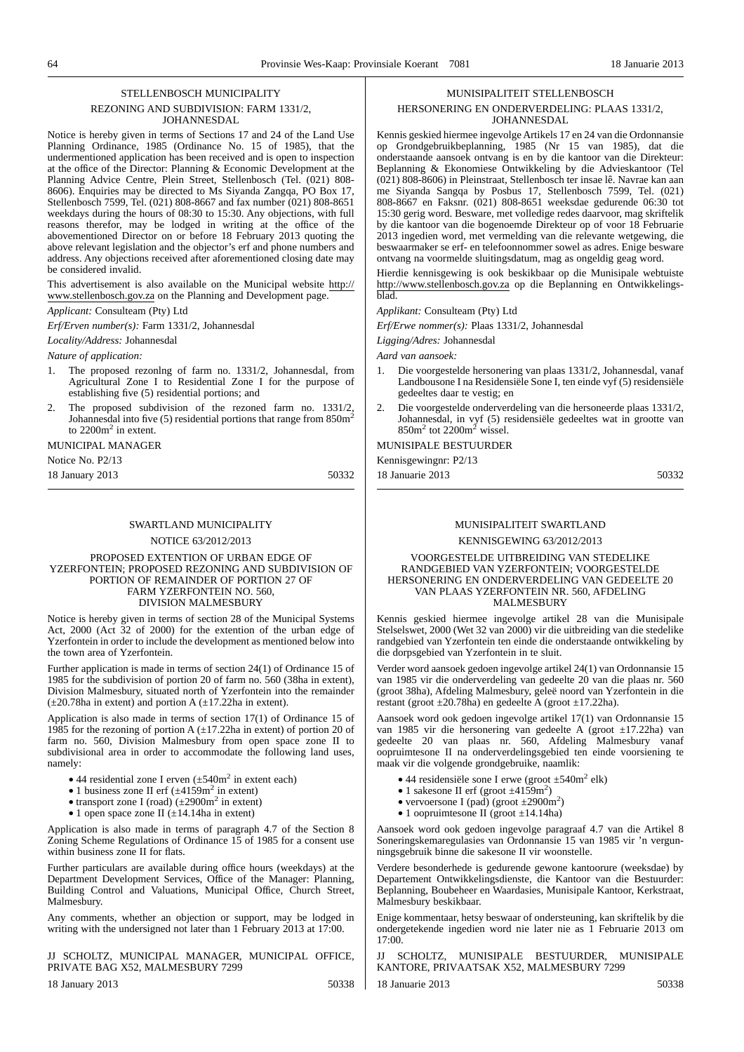#### STELLENBOSCH MUNICIPALITY

#### REZONING AND SUBDIVISION: FARM 1331/2, JOHANNESDAL

Notice is hereby given in terms of Sections 17 and 24 of the Land Use Planning Ordinance, 1985 (Ordinance No. 15 of 1985), that the undermentioned application has been received and is open to inspection at the office of the Director: Planning & Economic Development at the Planning Advice Centre, Plein Street, Stellenbosch (Tel. (021) 808- 8606). Enquiries may be directed to Ms Siyanda Zangqa, PO Box 17, Stellenbosch 7599, Tel. (021) 808-8667 and fax number (021) 808-8651 weekdays during the hours of 08:30 to 15:30. Any objections, with full reasons therefor, may be lodged in writing at the office of the abovementioned Director on or before 18 February 2013 quoting the above relevant legislation and the objector's erf and phone numbers and address. Any objections received after aforementioned closing date may be considered invalid.

This advertisement is also available on the Municipal website http:// www.stellenbosch.gov.za on the Planning and Development page.

*Applicant:* Consulteam (Pty) Ltd

*Erf/Erven number(s):* Farm 1331/2, Johannesdal

*Locality/Address:* Johannesdal

*Nature of application:*

- 1. The proposed rezonlng of farm no. 1331/2, Johannesdal, from Agricultural Zone I to Residential Zone I for the purpose of establishing five (5) residential portions; and
- 2. The proposed subdivision of the rezoned farm no. 1331/2. Johannesdal into five (5) residential portions that range from  $850m^2$ to 2200m<sup>2</sup> in extent.

## MUNICIPAL MANAGER

Notice No. P2/13

18 January 2013 50332

#### SWARTLAND MUNICIPALITY

NOTICE 63/2012/2013

PROPOSED EXTENTION OF URBAN EDGE OF YZERFONTEIN; PROPOSED REZONING AND SUBDIVISION OF PORTION OF REMAINDER OF PORTION 27 OF FARM YZERFONTEIN NO. 560, DIVISION MALMESBURY

Notice is hereby given in terms of section 28 of the Municipal Systems Act, 2000 (Act 32 of 2000) for the extention of the urban edge of Yzerfontein in order to include the development as mentioned below into the town area of Yzerfontein.

Further application is made in terms of section 24(1) of Ordinance 15 of 1985 for the subdivision of portion 20 of farm no. 560 (38ha in extent), Division Malmesbury, situated north of Yzerfontein into the remainder  $(\pm 20.78$ ha in extent) and portion A  $(\pm 17.22)$ ha in extent).

Application is also made in terms of section 17(1) of Ordinance 15 of 1985 for the rezoning of portion A  $(\pm 17.22)$ ha in extent) of portion 20 of farm no. 560, Division Malmesbury from open space zone II to subdivisional area in order to accommodate the following land uses, namely:

- 44 residential zone I erven  $(\pm 540 \text{m}^2 \text{ in extent each})$
- 1 business zone II erf  $(\pm 4159 \text{m}^2 \text{ in extent})$
- transport zone I (road)  $(\pm 2900 \text{m}^2 \text{ in extent})$
- 1 open space zone II  $(\pm 14.14$ ha in extent)

Application is also made in terms of paragraph 4.7 of the Section 8 Zoning Scheme Regulations of Ordinance 15 of 1985 for a consent use within business zone II for flats.

Further particulars are available during office hours (weekdays) at the Department Development Services, Office of the Manager: Planning, Building Control and Valuations, Municipal Office, Church Street, Malmesbury.

Any comments, whether an objection or support, may be lodged in writing with the undersigned not later than 1 February 2013 at 17:00.

#### JJ SCHOLTZ, MUNICIPAL MANAGER, MUNICIPAL OFFICE, PRIVATE BAG X52, MALMESBURY 7299

18 January 2013 50338

# MUNISIPALITEIT STELLENBOSCH

#### HERSONERING EN ONDERVERDELING: PLAAS 1331/2, JOHANNESDAL

Kennis geskied hiermee ingevolge Artikels 17 en 24 van die Ordonnansie op Grondgebruikbeplanning, 1985 (Nr 15 van 1985), dat die onderstaande aansoek ontvang is en by die kantoor van die Direkteur: Beplanning & Ekonomiese Ontwikkeling by die Advieskantoor (Tel (021) 808-8606) in Pleinstraat, Stellenbosch ter insae lê. Navrae kan aan me Siyanda Sangqa by Posbus 17, Stellenbosch 7599, Tel. (021) 808-8667 en Faksnr. (021) 808-8651 weeksdae gedurende 06:30 tot 15:30 gerig word. Besware, met volledige redes daarvoor, mag skriftelik by die kantoor van die bogenoemde Direkteur op of voor 18 Februarie 2013 ingedien word, met vermelding van die relevante wetgewing, die beswaarmaker se erf- en telefoonnommer sowel as adres. Enige besware ontvang na voormelde sluitingsdatum, mag as ongeldig geag word.

Hierdie kennisgewing is ook beskikbaar op die Munisipale webtuiste http://www.stellenbosch.gov.za op die Beplanning en Ontwikkelingsblad.

*Applikant:* Consulteam (Pty) Ltd

*Erf/Erwe nommer(s):* Plaas 1331/2, Johannesdal

*Ligging/Adres:* Johannesdal

*Aard van aansoek:*

- 1. Die voorgestelde hersonering van plaas 1331/2, Johannesdal, vanaf Landbousone I na Residensiële Sone I, ten einde vyf (5) residensiële gedeeltes daar te vestig; en
- 2. Die voorgestelde onderverdeling van die hersoneerde plaas 1331/2, Johannesdal, in vyf (5) residensiële gedeeltes wat in grootte van  $850m^2$  tot  $2200m^2$  wissel.

## MUNISIPALE BESTUURDER

Kennisgewingnr: P2/13 18 Januarie 2013 50332

#### MUNISIPALITEIT SWARTLAND

#### KENNISGEWING 63/2012/2013

#### VOORGESTELDE UITBREIDING VAN STEDELIKE RANDGEBIED VAN YZERFONTEIN; VOORGESTELDE HERSONERING EN ONDERVERDELING VAN GEDEELTE 20 VAN PLAAS YZERFONTEIN NR. 560, AFDELING MALMESBURY

Kennis geskied hiermee ingevolge artikel 28 van die Munisipale Stelselswet, 2000 (Wet 32 van 2000) vir die uitbreiding van die stedelike randgebied van Yzerfontein ten einde die onderstaande ontwikkeling by die dorpsgebied van Yzerfontein in te sluit.

Verder word aansoek gedoen ingevolge artikel 24(1) van Ordonnansie 15 van 1985 vir die onderverdeling van gedeelte 20 van die plaas nr. 560 (groot 38ha), Afdeling Malmesbury, geleë noord van Yzerfontein in die restant (groot  $\pm 20.78$ ha) en gedeelte A (groot  $\pm 17.22$ ha).

Aansoek word ook gedoen ingevolge artikel 17(1) van Ordonnansie 15 van 1985 vir die hersonering van gedeelte A (groot ±17.22ha) van gedeelte 20 van plaas nr. 560, Afdeling Malmesbury vanaf oopruimtesone II na onderverdelingsgebied ten einde voorsiening te maak vir die volgende grondgebruike, naamlik:

- 44 residensiële sone I erwe (groot  $\pm 540$ m<sup>2</sup> elk)
- 1 sakesone II erf (groot  $\pm 4159$ m<sup>2</sup>)
- vervoersone I (pad) (groot  $\pm 2900 \text{m}^2$ )
- 1 oopruimtesone II (groot  $\pm$ 14.14ha)

Aansoek word ook gedoen ingevolge paragraaf 4.7 van die Artikel 8 Soneringskemaregulasies van Ordonnansie 15 van 1985 vir 'n vergunningsgebruik binne die sakesone II vir woonstelle.

Verdere besonderhede is gedurende gewone kantoorure (weeksdae) by Departement Ontwikkelingsdienste, die Kantoor van die Bestuurder: Beplanning, Boubeheer en Waardasies, Munisipale Kantoor, Kerkstraat, Malmesbury beskikbaar.

Enige kommentaar, hetsy beswaar of ondersteuning, kan skriftelik by die ondergetekende ingedien word nie later nie as 1 Februarie 2013 om  $17:00$ 

SCHOLTZ, MUNISIPALE BESTUURDER, MUNISIPALE KANTORE, PRIVAATSAK X52, MALMESBURY 7299 18 Ianuarie 2013 **50338**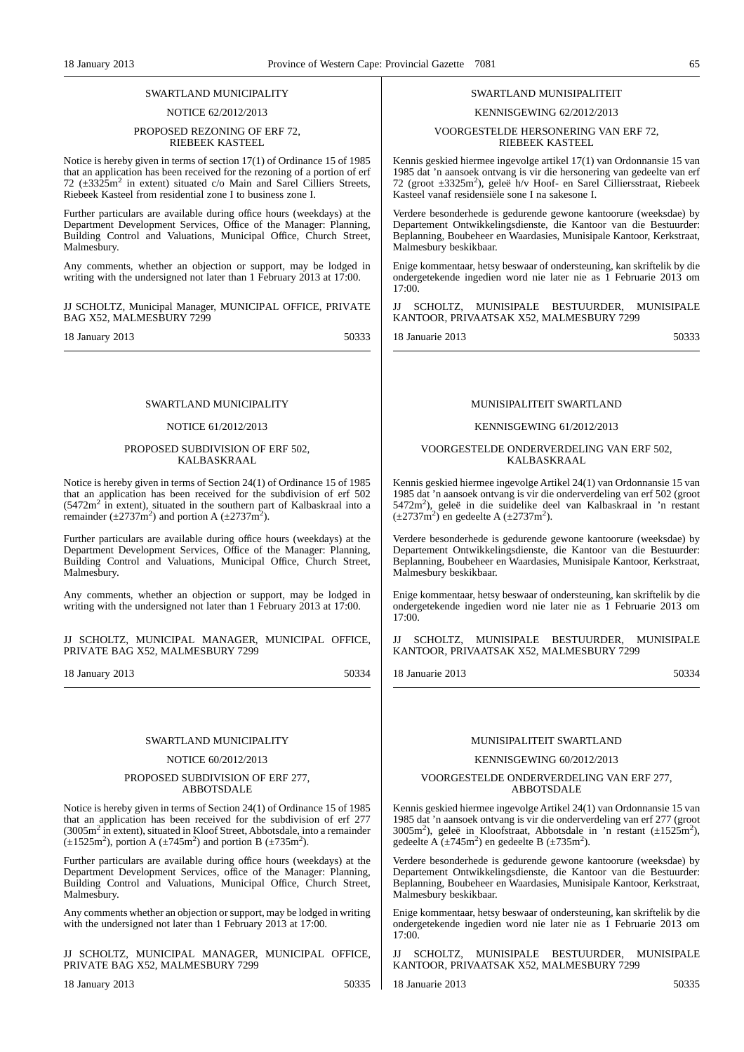#### SWARTLAND MUNICIPALITY

#### NOTICE 62/2012/2013

#### PROPOSED REZONING OF ERF 72, RIEBEEK KASTEEL

Notice is hereby given in terms of section 17(1) of Ordinance 15 of 1985 that an application has been received for the rezoning of a portion of erf 72  $(\pm 3325 \text{m}^2$  in extent) situated c/o Main and Sarel Cilliers Streets, Riebeek Kasteel from residential zone I to business zone I.

Further particulars are available during office hours (weekdays) at the Department Development Services, Office of the Manager: Planning, Building Control and Valuations, Municipal Office, Church Street, Malmesbury.

Any comments, whether an objection or support, may be lodged in writing with the undersigned not later than 1 February 2013 at 17:00.

JJ SCHOLTZ, Municipal Manager, MUNICIPAL OFFICE, PRIVATE BAG X52, MALMESBURY 7299

18 January 2013 50333

#### SWARTLAND MUNICIPALITY

#### NOTICE 61/2012/2013

#### PROPOSED SUBDIVISION OF ERF 502, KALBASKRAAL

Notice is hereby given in terms of Section 24(1) of Ordinance 15 of 1985 that an application has been received for the subdivision of erf 502  $(5472m^2$  in extent), situated in the southern part of Kalbaskraal into a remainder  $(\pm 2737\text{m}^2)$  and portion A  $(\pm 2737\text{m}^2)$ .

Further particulars are available during office hours (weekdays) at the Department Development Services, Office of the Manager: Planning, Building Control and Valuations, Municipal Office, Church Street, Malmesbury.

Any comments, whether an objection or support, may be lodged in writing with the undersigned not later than 1 February 2013 at 17:00.

JJ SCHOLTZ, MUNICIPAL MANAGER, MUNICIPAL OFFICE, PRIVATE BAG X52, MALMESBURY 7299

18 January 2013 50334

#### SWARTLAND MUNICIPALITY

#### NOTICE 60/2012/2013

#### PROPOSED SUBDIVISION OF ERF 277, ABBOTSDALE

Notice is hereby given in terms of Section 24(1) of Ordinance 15 of 1985 that an application has been received for the subdivision of erf 277 (3005m<sup>2</sup> in extent), situated in Kloof Street, Abbotsdale, into a remainder  $(\pm 1525 \text{m}^2)$ , portion A  $(\pm 745 \text{m}^2)$  and portion B  $(\pm 735 \text{m}^2)$ .

Further particulars are available during office hours (weekdays) at the Department Development Services, office of the Manager: Planning, Building Control and Valuations, Municipal Office, Church Street, Malmesbury.

Any comments whether an objection or support, may be lodged in writing with the undersigned not later than 1 February 2013 at 17:00.

JJ SCHOLTZ, MUNICIPAL MANAGER, MUNICIPAL OFFICE, PRIVATE BAG X52, MALMESBURY 7299

18 January 2013 50335

#### SWARTLAND MUNISIPALITEIT

#### KENNISGEWING 62/2012/2013

VOORGESTELDE HERSONERING VAN ERF 72, RIEBEEK KASTEEL

Kennis geskied hiermee ingevolge artikel 17(1) van Ordonnansie 15 van 1985 dat 'n aansoek ontvang is vir die hersonering van gedeelte van erf 72 (groot ±3325m<sup>2</sup>), geleë h/v Hoof- en Sarel Cilliersstraat, Riebeek Kasteel vanaf residensiële sone I na sakesone I.

Verdere besonderhede is gedurende gewone kantoorure (weeksdae) by Departement Ontwikkelingsdienste, die Kantoor van die Bestuurder: Beplanning, Boubeheer en Waardasies, Munisipale Kantoor, Kerkstraat, Malmesbury beskikbaar.

Enige kommentaar, hetsy beswaar of ondersteuning, kan skriftelik by die ondergetekende ingedien word nie later nie as 1 Februarie 2013 om 17:00.

SCHOLTZ, MUNISIPALE BESTUURDER, MUNISIPALE KANTOOR, PRIVAATSAK X52, MALMESBURY 7299

18 Januarie 2013 50333

#### MUNISIPALITEIT SWARTLAND

#### KENNISGEWING 61/2012/2013

#### VOORGESTELDE ONDERVERDELING VAN ERF 502, KALBASKRAAL

Kennis geskied hiermee ingevolge Artikel 24(1) van Ordonnansie 15 van 1985 dat 'n aansoek ontvang is vir die onderverdeling van erf 502 (groot 5472m<sup>2</sup>), geleë in die suidelike deel van Kalbaskraal in 'n restant  $(\pm 2737 \text{m}^2)$  en gedeelte A ( $\pm 2737 \text{m}^2$ ).

Verdere besonderhede is gedurende gewone kantoorure (weeksdae) by Departement Ontwikkelingsdienste, die Kantoor van die Bestuurder: Beplanning, Boubeheer en Waardasies, Munisipale Kantoor, Kerkstraat, Malmesbury beskikbaar.

Enige kommentaar, hetsy beswaar of ondersteuning, kan skriftelik by die ondergetekende ingedien word nie later nie as 1 Februarie 2013 om  $17:00$ 

JJ SCHOLTZ, MUNISIPALE BESTUURDER, MUNISIPALE KANTOOR, PRIVAATSAK X52, MALMESBURY 7299

18 Januarie 2013 50334

#### MUNISIPALITEIT SWARTLAND

#### KENNISGEWING 60/2012/2013

#### VOORGESTELDE ONDERVERDELING VAN ERF 277, ABBOTSDALE

Kennis geskied hiermee ingevolge Artikel 24(1) van Ordonnansie 15 van 1985 dat 'n aansoek ontvang is vir die onderverdeling van erf 277 (groot 3005m2 ), geleë in Kloofstraat, Abbotsdale in 'n restant (±1525m<sup>2</sup> ), gedeelte A ( $\pm$ 745m<sup>2</sup>) en gedeelte B ( $\pm$ 735m<sup>2</sup>).

Verdere besonderhede is gedurende gewone kantoorure (weeksdae) by Departement Ontwikkelingsdienste, die Kantoor van die Bestuurder: Beplanning, Boubeheer en Waardasies, Munisipale Kantoor, Kerkstraat, Malmesbury beskikbaar.

Enige kommentaar, hetsy beswaar of ondersteuning, kan skriftelik by die ondergetekende ingedien word nie later nie as 1 Februarie 2013 om 17:00.

SCHOLTZ, MUNISIPALE BESTUURDER, MUNISIPALE KANTOOR, PRIVAATSAK X52, MALMESBURY 7299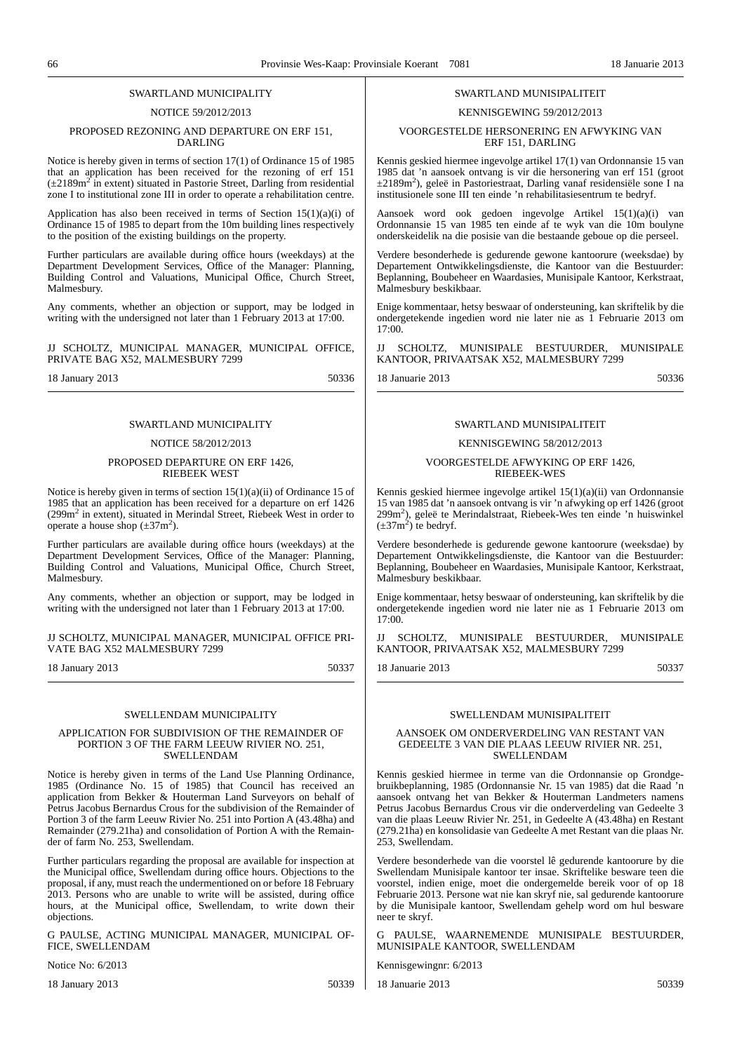#### SWARTLAND MUNICIPALITY

#### NOTICE 59/2012/2013

#### PROPOSED REZONING AND DEPARTURE ON ERF 151, DARLING

Notice is hereby given in terms of section 17(1) of Ordinance 15 of 1985 that an application has been received for the rezoning of erf 151  $(\pm 2189 \text{m}^2 \text{ in extent})$  situated in Pastorie Street, Darling from residential zone I to institutional zone III in order to operate a rehabilitation centre.

Application has also been received in terms of Section  $15(1)(a)(i)$  of Ordinance 15 of 1985 to depart from the 10m building lines respectively to the position of the existing buildings on the property.

Further particulars are available during office hours (weekdays) at the Department Development Services, Office of the Manager: Planning, Building Control and Valuations, Municipal Office, Church Street, Malmesbury.

Any comments, whether an objection or support, may be lodged in writing with the undersigned not later than 1 February 2013 at 17:00.

JJ SCHOLTZ, MUNICIPAL MANAGER, MUNICIPAL OFFICE, PRIVATE BAG X52, MALMESBURY 7299

18 January 2013 50336

#### SWARTLAND MUNICIPALITY

#### NOTICE 58/2012/2013

#### PROPOSED DEPARTURE ON ERF 1426, RIEBEEK WEST

Notice is hereby given in terms of section 15(1)(a)(ii) of Ordinance 15 of 1985 that an application has been received for a departure on erf 1426  $(299m<sup>2</sup>)$  in extent), situated in Merindal Street, Riebeek West in order to operate a house shop  $(\pm 37 \text{m}^2)$ .

Further particulars are available during office hours (weekdays) at the Department Development Services, Office of the Manager: Planning, Building Control and Valuations, Municipal Office, Church Street, Malmesbury.

Any comments, whether an objection or support, may be lodged in writing with the undersigned not later than 1 February 2013 at 17:00.

JJ SCHOLTZ, MUNICIPAL MANAGER, MUNICIPAL OFFICE PRI-VATE BAG X52 MALMESBURY 7299

18 January 2013 50337

#### SWELLENDAM MUNICIPALITY

#### APPLICATION FOR SUBDIVISION OF THE REMAINDER OF PORTION 3 OF THE FARM LEEUW RIVIER NO. 251, SWELLENDAM

Notice is hereby given in terms of the Land Use Planning Ordinance, 1985 (Ordinance No. 15 of 1985) that Council has received an application from Bekker & Houterman Land Surveyors on behalf of Petrus Jacobus Bernardus Crous for the subdivision of the Remainder of Portion 3 of the farm Leeuw Rivier No. 251 into Portion A (43.48ha) and Remainder (279.21ha) and consolidation of Portion A with the Remainder of farm No. 253, Swellendam.

Further particulars regarding the proposal are available for inspection at the Municipal office, Swellendam during office hours. Objections to the proposal, if any, must reach the undermentioned on or before 18 February 2013. Persons who are unable to write will be assisted, during office hours, at the Municipal office, Swellendam, to write down their objections.

G PAULSE, ACTING MUNICIPAL MANAGER, MUNICIPAL OF-FICE, SWELLENDAM

Notice No: 6/2013

18 January 2013 50339

18 Ianuarie 2013 **50339** 

#### SWARTLAND MUNISIPALITEIT

#### KENNISGEWING 59/2012/2013

#### VOORGESTELDE HERSONERING EN AFWYKING VAN ERF 151, DARLING

Kennis geskied hiermee ingevolge artikel 17(1) van Ordonnansie 15 van 1985 dat 'n aansoek ontvang is vir die hersonering van erf 151 (groot ±2189m2 ), geleë in Pastoriestraat, Darling vanaf residensiële sone I na institusionele sone III ten einde 'n rehabilitasiesentrum te bedryf.

Aansoek word ook gedoen ingevolge Artikel 15(1)(a)(i) van Ordonnansie 15 van 1985 ten einde af te wyk van die 10m boulyne onderskeidelik na die posisie van die bestaande geboue op die perseel.

Verdere besonderhede is gedurende gewone kantoorure (weeksdae) by Departement Ontwikkelingsdienste, die Kantoor van die Bestuurder: Beplanning, Boubeheer en Waardasies, Munisipale Kantoor, Kerkstraat, Malmesbury beskikbaar.

Enige kommentaar, hetsy beswaar of ondersteuning, kan skriftelik by die ondergetekende ingedien word nie later nie as 1 Februarie 2013 om 17:00.

SCHOLTZ, MUNISIPALE BESTUURDER, MUNISIPALE KANTOOR, PRIVAATSAK X52, MALMESBURY 7299

18 Januarie 2013 50336

#### SWARTLAND MUNISIPALITEIT

#### KENNISGEWING 58/2012/2013

#### VOORGESTELDE AFWYKING OP ERF 1426, RIEBEEK-WES

Kennis geskied hiermee ingevolge artikel 15(1)(a)(ii) van Ordonnansie 15 van 1985 dat 'n aansoek ontvang is vir 'n afwyking op erf 1426 (groot 299m2 ), geleë te Merindalstraat, Riebeek-Wes ten einde 'n huiswinkel  $(\pm 37m^2)$  te bedryf.

Verdere besonderhede is gedurende gewone kantoorure (weeksdae) by Departement Ontwikkelingsdienste, die Kantoor van die Bestuurder: Beplanning, Boubeheer en Waardasies, Munisipale Kantoor, Kerkstraat, Malmesbury beskikbaar.

Enige kommentaar, hetsy beswaar of ondersteuning, kan skriftelik by die ondergetekende ingedien word nie later nie as 1 Februarie 2013 om 17:00.

JJ SCHOLTZ, MUNISIPALE BESTUURDER, MUNISIPALE KANTOOR, PRIVAATSAK X52, MALMESBURY 7299

18 Ianuarie 2013 **50337** 

#### SWELLENDAM MUNISIPALITEIT

#### AANSOEK OM ONDERVERDELING VAN RESTANT VAN GEDEELTE 3 VAN DIE PLAAS LEEUW RIVIER NR. 251, SWELLENDAM

Kennis geskied hiermee in terme van die Ordonnansie op Grondgebruikbeplanning, 1985 (Ordonnansie Nr. 15 van 1985) dat die Raad 'n aansoek ontvang het van Bekker & Houterman Landmeters namens Petrus Jacobus Bernardus Crous vir die onderverdeling van Gedeelte 3 van die plaas Leeuw Rivier Nr. 251, in Gedeelte A (43.48ha) en Restant (279.21ha) en konsolidasie van Gedeelte A met Restant van die plaas Nr. 253, Swellendam.

Verdere besonderhede van die voorstel lê gedurende kantoorure by die Swellendam Munisipale kantoor ter insae. Skriftelike besware teen die voorstel, indien enige, moet die ondergemelde bereik voor of op 18 Februarie 2013. Persone wat nie kan skryf nie, sal gedurende kantoorure by die Munisipale kantoor, Swellendam gehelp word om hul besware neer te skryf.

G PAULSE, WAARNEMENDE MUNISIPALE BESTUURDER, MUNISIPALE KANTOOR, SWELLENDAM

Kennisgewingnr: 6/2013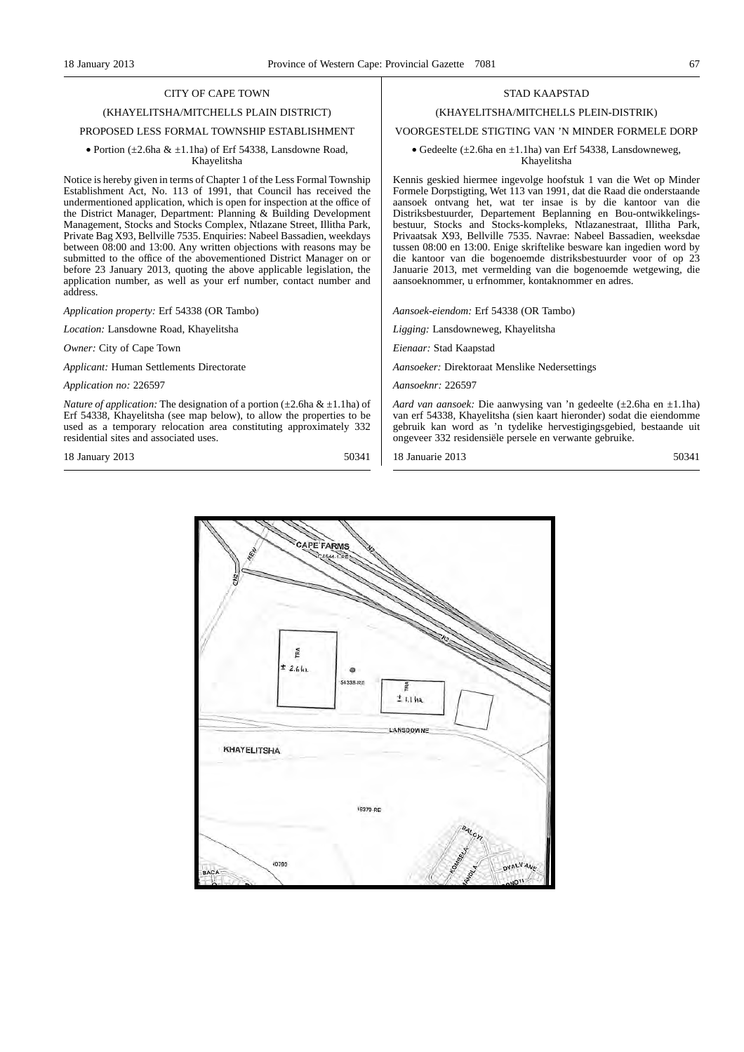# (KHAYELITSHA/MITCHELLS PLAIN DISTRICT)

### PROPOSED LESS FORMAL TOWNSHIP ESTABLISHMENT

#### • Portion  $(\pm 2.6$ ha &  $\pm 1.1$ ha) of Erf 54338, Lansdowne Road, Khayelitsha

Notice is hereby given in terms of Chapter 1 of the Less Formal Township Establishment Act, No. 113 of 1991, that Council has received the undermentioned application, which is open for inspection at the office of the District Manager, Department: Planning & Building Development Management, Stocks and Stocks Complex, Ntlazane Street, Illitha Park, Private Bag X93, Bellville 7535. Enquiries: Nabeel Bassadien, weekdays between 08:00 and 13:00. Any written objections with reasons may be submitted to the office of the abovementioned District Manager on or before 23 January 2013, quoting the above applicable legislation, the application number, as well as your erf number, contact number and address.

*Application property:* Erf 54338 (OR Tambo)

*Location:* Lansdowne Road, Khayelitsha

*Owner:* City of Cape Town

*Applicant:* Human Settlements Directorate

*Application no:* 226597

*Nature of application:* The designation of a portion  $(\pm 2.6$ ha &  $\pm 1.1$ ha) of Erf 54338, Khayelitsha (see map below), to allow the properties to be used as a temporary relocation area constituting approximately 332 residential sites and associated uses.

18 January 2013 50341

#### STAD KAAPSTAD

#### (KHAYELITSHA/MITCHELLS PLEIN-DISTRIK)

VOORGESTELDE STIGTING VAN 'N MINDER FORMELE DORP

#### • Gedeelte ( $\pm 2.6$ ha en  $\pm 1.1$ ha) van Erf 54338, Lansdowneweg, Khayelitsha

Kennis geskied hiermee ingevolge hoofstuk 1 van die Wet op Minder Formele Dorpstigting, Wet 113 van 1991, dat die Raad die onderstaande aansoek ontvang het, wat ter insae is by die kantoor van die Distriksbestuurder, Departement Beplanning en Bou-ontwikkelingsbestuur, Stocks and Stocks-kompleks, Ntlazanestraat, Illitha Park, Privaatsak X93, Bellville 7535. Navrae: Nabeel Bassadien, weeksdae tussen 08:00 en 13:00. Enige skriftelike besware kan ingedien word by die kantoor van die bogenoemde distriksbestuurder voor of op 23 Januarie 2013, met vermelding van die bogenoemde wetgewing, die aansoeknommer, u erfnommer, kontaknommer en adres.

*Aansoek-eiendom:* Erf 54338 (OR Tambo)

*Ligging:* Lansdowneweg, Khayelitsha

*Eienaar:* Stad Kaapstad

*Aansoeker:* Direktoraat Menslike Nedersettings

*Aansoeknr:* 226597

*Aard van aansoek:* Die aanwysing van 'n gedeelte (±2.6ha en ±1.1ha) van erf 54338, Khayelitsha (sien kaart hieronder) sodat die eiendomme gebruik kan word as 'n tydelike hervestigingsgebied, bestaande uit ongeveer 332 residensiële persele en verwante gebruike.

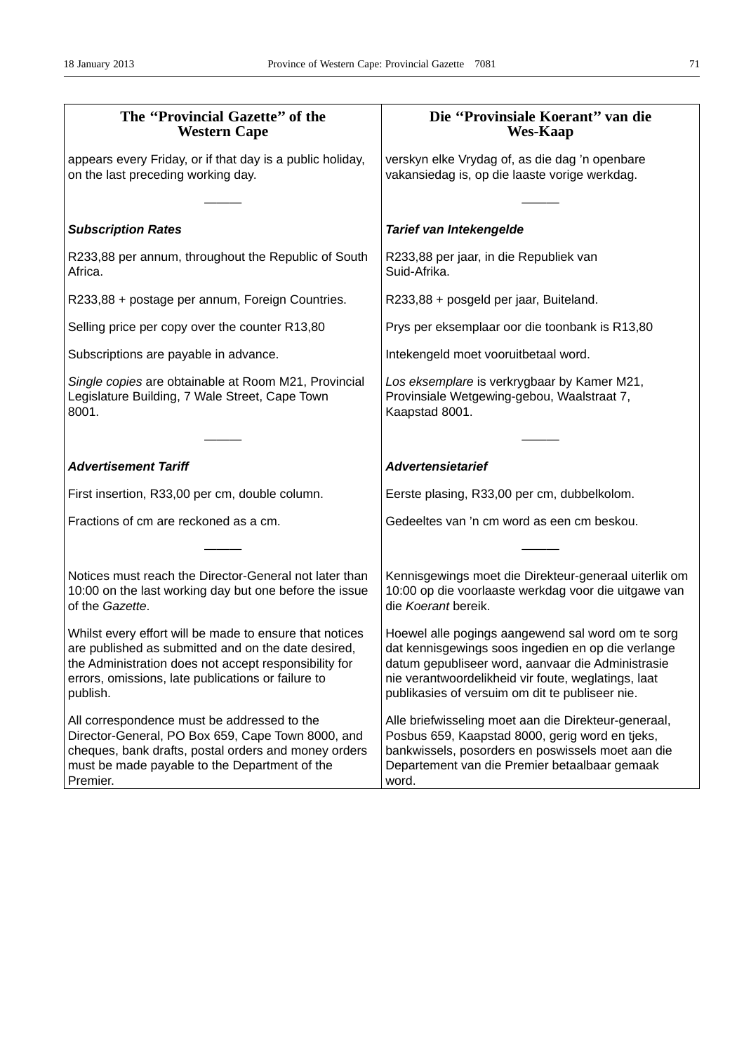| The "Provincial Gazette" of the<br><b>Western Cape</b>                                                                                                                                                                                    | Die "Provinsiale Koerant" van die<br><b>Wes-Kaap</b>                                                                                                                                                                                                                   |
|-------------------------------------------------------------------------------------------------------------------------------------------------------------------------------------------------------------------------------------------|------------------------------------------------------------------------------------------------------------------------------------------------------------------------------------------------------------------------------------------------------------------------|
| appears every Friday, or if that day is a public holiday,<br>on the last preceding working day.                                                                                                                                           | verskyn elke Vrydag of, as die dag 'n openbare<br>vakansiedag is, op die laaste vorige werkdag.                                                                                                                                                                        |
| <b>Subscription Rates</b>                                                                                                                                                                                                                 | Tarief van Intekengelde                                                                                                                                                                                                                                                |
| R233,88 per annum, throughout the Republic of South<br>Africa.                                                                                                                                                                            | R233,88 per jaar, in die Republiek van<br>Suid-Afrika.                                                                                                                                                                                                                 |
| R233,88 + postage per annum, Foreign Countries.                                                                                                                                                                                           | R233,88 + posgeld per jaar, Buiteland.                                                                                                                                                                                                                                 |
| Selling price per copy over the counter R13,80                                                                                                                                                                                            | Prys per eksemplaar oor die toonbank is R13,80                                                                                                                                                                                                                         |
| Subscriptions are payable in advance.                                                                                                                                                                                                     | Intekengeld moet vooruitbetaal word.                                                                                                                                                                                                                                   |
| Single copies are obtainable at Room M21, Provincial<br>Legislature Building, 7 Wale Street, Cape Town<br>8001.                                                                                                                           | Los eksemplare is verkrygbaar by Kamer M21,<br>Provinsiale Wetgewing-gebou, Waalstraat 7,<br>Kaapstad 8001.                                                                                                                                                            |
|                                                                                                                                                                                                                                           |                                                                                                                                                                                                                                                                        |
| <b>Advertisement Tariff</b>                                                                                                                                                                                                               | <b>Advertensietarief</b>                                                                                                                                                                                                                                               |
| First insertion, R33,00 per cm, double column.                                                                                                                                                                                            | Eerste plasing, R33,00 per cm, dubbelkolom.                                                                                                                                                                                                                            |
| Fractions of cm are reckoned as a cm.                                                                                                                                                                                                     | Gedeeltes van 'n cm word as een cm beskou.                                                                                                                                                                                                                             |
|                                                                                                                                                                                                                                           |                                                                                                                                                                                                                                                                        |
| Notices must reach the Director-General not later than<br>10:00 on the last working day but one before the issue<br>of the Gazette.                                                                                                       | Kennisgewings moet die Direkteur-generaal uiterlik om<br>10:00 op die voorlaaste werkdag voor die uitgawe van<br>die Koerant bereik.                                                                                                                                   |
| Whilst every effort will be made to ensure that notices<br>are published as submitted and on the date desired,<br>the Administration does not accept responsibility for<br>errors, omissions, late publications or failure to<br>publish. | Hoewel alle pogings aangewend sal word om te sorg<br>dat kennisgewings soos ingedien en op die verlange<br>datum gepubliseer word, aanvaar die Administrasie<br>nie verantwoordelikheid vir foute, weglatings, laat<br>publikasies of versuim om dit te publiseer nie. |
| All correspondence must be addressed to the<br>Director-General, PO Box 659, Cape Town 8000, and<br>cheques, bank drafts, postal orders and money orders<br>must be made payable to the Department of the<br>Premier.                     | Alle briefwisseling moet aan die Direkteur-generaal,<br>Posbus 659, Kaapstad 8000, gerig word en tjeks,<br>bankwissels, posorders en poswissels moet aan die<br>Departement van die Premier betaalbaar gemaak<br>word.                                                 |